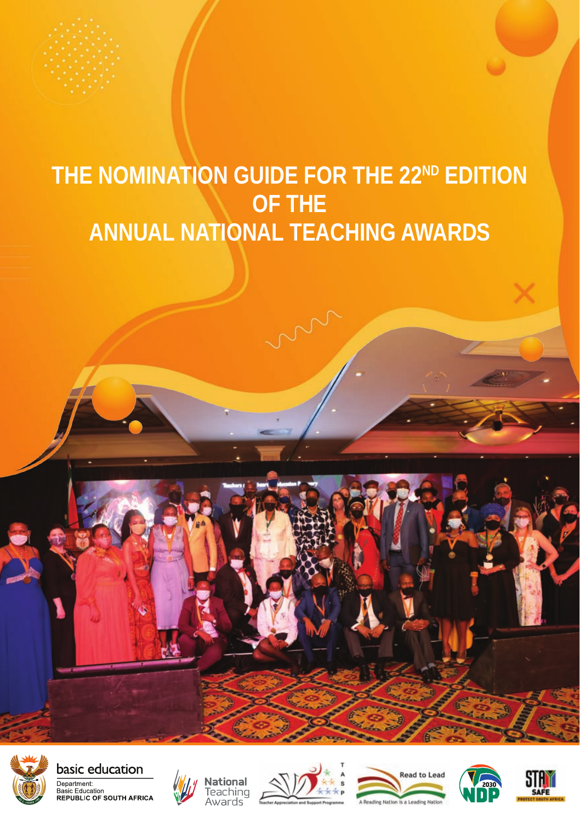# THE NOMINATION GUIDE FOR THE 22<sup>ND</sup> EDITION **OF THE ANNUAL NATIONAL TEACHING AWARDS**



basic education Department: **Beparament:**<br>Basic Education<br>REPUBLIC OF SOUTH AFRICA









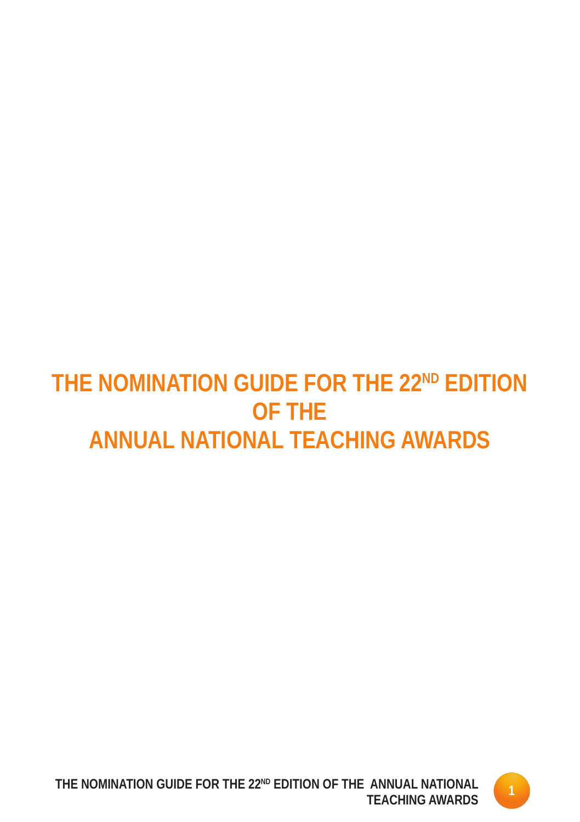# THE NOMINATION GUIDE FOR THE 22<sup>ND</sup> EDITION **OF THE ANNUAL NATIONAL TEACHING AWARDS**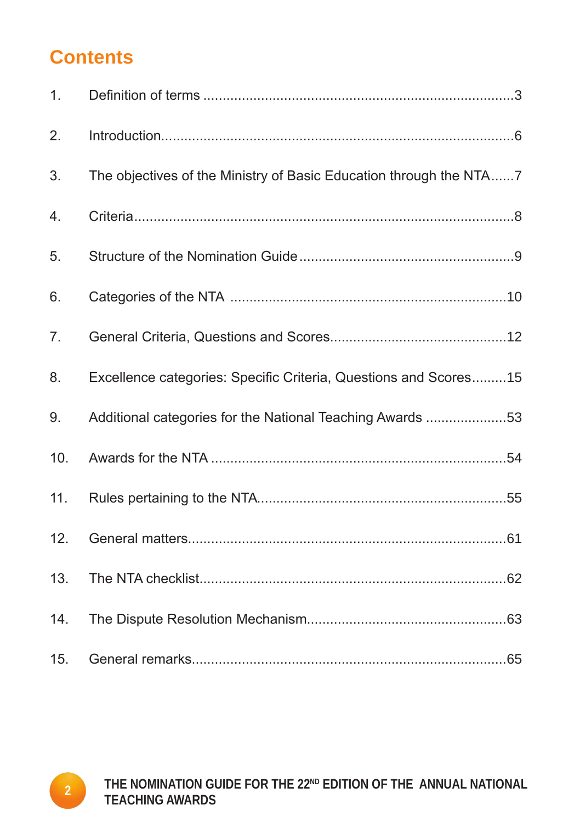# **Contents**

| 1.  |                                                                    |
|-----|--------------------------------------------------------------------|
| 2.  |                                                                    |
| 3.  | The objectives of the Ministry of Basic Education through the NTA7 |
| 4.  |                                                                    |
| 5.  |                                                                    |
| 6.  |                                                                    |
| 7.  |                                                                    |
| 8.  | Excellence categories: Specific Criteria, Questions and Scores15   |
| 9.  | Additional categories for the National Teaching Awards 53          |
| 10. |                                                                    |
| 11. |                                                                    |
| 12. |                                                                    |
| 13. |                                                                    |
| 14. |                                                                    |
| 15. |                                                                    |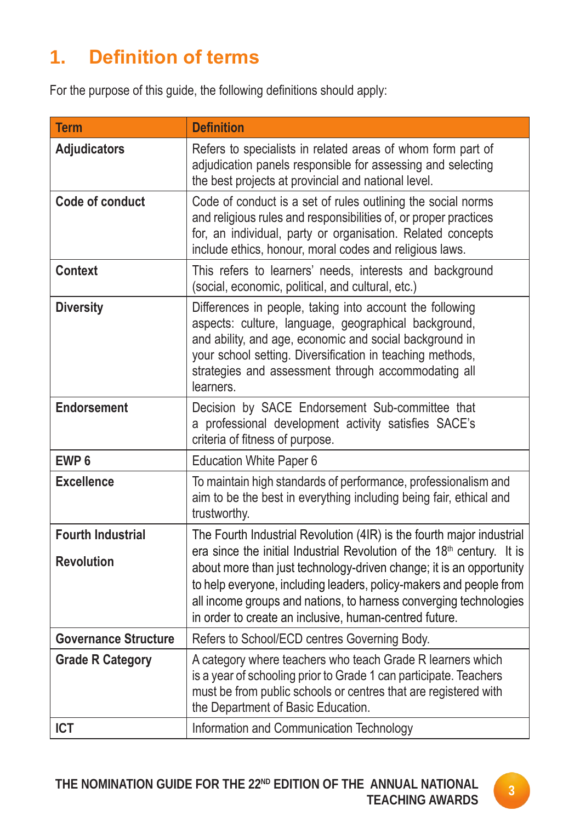# **1. Definition of terms**

For the purpose of this guide, the following definitions should apply:

| <b>Term</b>                                   | <b>Definition</b>                                                                                                                                                                                                                                                                                                                                                                                                                       |
|-----------------------------------------------|-----------------------------------------------------------------------------------------------------------------------------------------------------------------------------------------------------------------------------------------------------------------------------------------------------------------------------------------------------------------------------------------------------------------------------------------|
| <b>Adjudicators</b>                           | Refers to specialists in related areas of whom form part of<br>adjudication panels responsible for assessing and selecting<br>the best projects at provincial and national level.                                                                                                                                                                                                                                                       |
| Code of conduct                               | Code of conduct is a set of rules outlining the social norms<br>and religious rules and responsibilities of, or proper practices<br>for, an individual, party or organisation. Related concepts<br>include ethics, honour, moral codes and religious laws.                                                                                                                                                                              |
| <b>Context</b>                                | This refers to learners' needs, interests and background<br>(social, economic, political, and cultural, etc.)                                                                                                                                                                                                                                                                                                                           |
| <b>Diversity</b>                              | Differences in people, taking into account the following<br>aspects: culture, language, geographical background,<br>and ability, and age, economic and social background in<br>your school setting. Diversification in teaching methods,<br>strategies and assessment through accommodating all<br>learners.                                                                                                                            |
| <b>Endorsement</b>                            | Decision by SACE Endorsement Sub-committee that<br>a professional development activity satisfies SACE's<br>criteria of fitness of purpose.                                                                                                                                                                                                                                                                                              |
| EWP <sub>6</sub>                              | Education White Paper 6                                                                                                                                                                                                                                                                                                                                                                                                                 |
| <b>Excellence</b>                             | To maintain high standards of performance, professionalism and<br>aim to be the best in everything including being fair, ethical and<br>trustworthy.                                                                                                                                                                                                                                                                                    |
| <b>Fourth Industrial</b><br><b>Revolution</b> | The Fourth Industrial Revolution (4IR) is the fourth major industrial<br>era since the initial Industrial Revolution of the 18 <sup>th</sup> century. It is<br>about more than just technology-driven change; it is an opportunity<br>to help everyone, including leaders, policy-makers and people from<br>all income groups and nations, to harness converging technologies<br>in order to create an inclusive, human-centred future. |
| <b>Governance Structure</b>                   | Refers to School/ECD centres Governing Body.                                                                                                                                                                                                                                                                                                                                                                                            |
| <b>Grade R Category</b>                       | A category where teachers who teach Grade R learners which<br>is a year of schooling prior to Grade 1 can participate. Teachers<br>must be from public schools or centres that are registered with<br>the Department of Basic Education.                                                                                                                                                                                                |
| <b>ICT</b>                                    | Information and Communication Technology                                                                                                                                                                                                                                                                                                                                                                                                |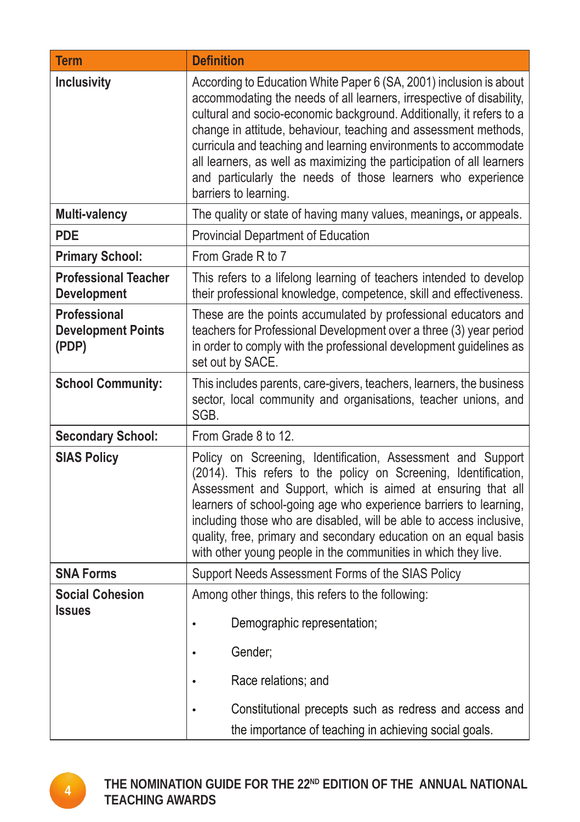| <b>Term</b>                                        | <b>Definition</b>                                                                                                                                                                                                                                                                                                                                                                                                                                                                                                         |
|----------------------------------------------------|---------------------------------------------------------------------------------------------------------------------------------------------------------------------------------------------------------------------------------------------------------------------------------------------------------------------------------------------------------------------------------------------------------------------------------------------------------------------------------------------------------------------------|
| <b>Inclusivity</b>                                 | According to Education White Paper 6 (SA, 2001) inclusion is about<br>accommodating the needs of all learners, irrespective of disability,<br>cultural and socio-economic background. Additionally, it refers to a<br>change in attitude, behaviour, teaching and assessment methods,<br>curricula and teaching and learning environments to accommodate<br>all learners, as well as maximizing the participation of all learners<br>and particularly the needs of those learners who experience<br>barriers to learning. |
| <b>Multi-valency</b>                               | The quality or state of having many values, meanings, or appeals.                                                                                                                                                                                                                                                                                                                                                                                                                                                         |
| <b>PDE</b>                                         | Provincial Department of Education                                                                                                                                                                                                                                                                                                                                                                                                                                                                                        |
| <b>Primary School:</b>                             | From Grade R to 7                                                                                                                                                                                                                                                                                                                                                                                                                                                                                                         |
| <b>Professional Teacher</b><br>Development         | This refers to a lifelong learning of teachers intended to develop<br>their professional knowledge, competence, skill and effectiveness.                                                                                                                                                                                                                                                                                                                                                                                  |
| Professional<br><b>Development Points</b><br>(PDP) | These are the points accumulated by professional educators and<br>teachers for Professional Development over a three (3) year period<br>in order to comply with the professional development guidelines as<br>set out by SACE.                                                                                                                                                                                                                                                                                            |
| <b>School Community:</b>                           | This includes parents, care-givers, teachers, learners, the business<br>sector, local community and organisations, teacher unions, and<br>SGB.                                                                                                                                                                                                                                                                                                                                                                            |
| <b>Secondary School:</b>                           | From Grade 8 to 12.                                                                                                                                                                                                                                                                                                                                                                                                                                                                                                       |
| <b>SIAS Policy</b>                                 | Policy on Screening, Identification, Assessment and Support<br>(2014). This refers to the policy on Screening, Identification,<br>Assessment and Support, which is aimed at ensuring that all<br>learners of school-going age who experience barriers to learning,<br>including those who are disabled, will be able to access inclusive,<br>quality, free, primary and secondary education on an equal basis<br>with other young people in the communities in which they live.                                           |
| <b>SNA Forms</b>                                   | Support Needs Assessment Forms of the SIAS Policy                                                                                                                                                                                                                                                                                                                                                                                                                                                                         |
| <b>Social Cohesion</b><br><b>Issues</b>            | Among other things, this refers to the following:<br>Demographic representation;<br>Gender;<br>Race relations; and<br>Constitutional precepts such as redress and access and                                                                                                                                                                                                                                                                                                                                              |
|                                                    | the importance of teaching in achieving social goals.                                                                                                                                                                                                                                                                                                                                                                                                                                                                     |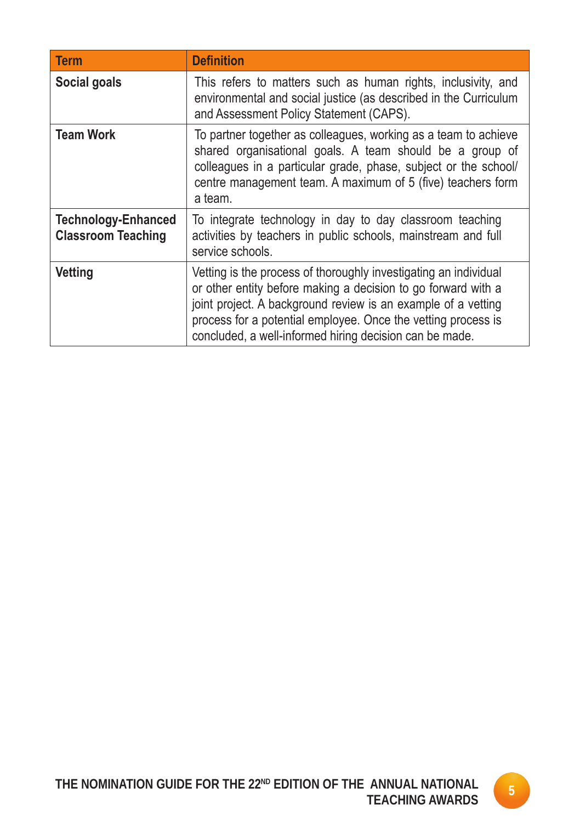| <b>Term</b>                                             | <b>Definition</b>                                                                                                                                                                                                                                                                                                              |
|---------------------------------------------------------|--------------------------------------------------------------------------------------------------------------------------------------------------------------------------------------------------------------------------------------------------------------------------------------------------------------------------------|
| Social goals                                            | This refers to matters such as human rights, inclusivity, and<br>environmental and social justice (as described in the Curriculum<br>and Assessment Policy Statement (CAPS).                                                                                                                                                   |
| <b>Team Work</b>                                        | To partner together as colleagues, working as a team to achieve<br>shared organisational goals. A team should be a group of<br>colleagues in a particular grade, phase, subject or the school/<br>centre management team. A maximum of 5 (five) teachers form<br>a team.                                                       |
| <b>Technology-Enhanced</b><br><b>Classroom Teaching</b> | To integrate technology in day to day classroom teaching<br>activities by teachers in public schools, mainstream and full<br>service schools.                                                                                                                                                                                  |
| Vetting                                                 | Vetting is the process of thoroughly investigating an individual<br>or other entity before making a decision to go forward with a<br>joint project. A background review is an example of a vetting<br>process for a potential employee. Once the vetting process is<br>concluded, a well-informed hiring decision can be made. |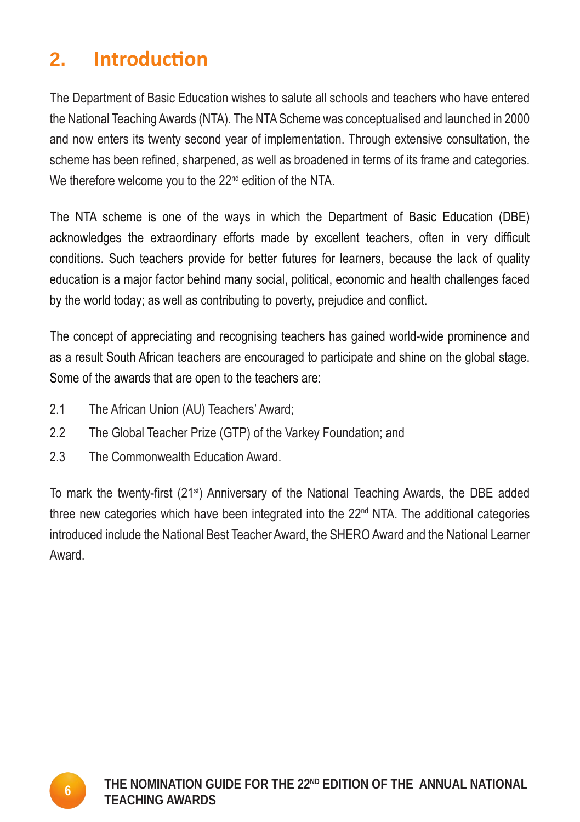# **2. Introduction**

The Department of Basic Education wishes to salute all schools and teachers who have entered the National Teaching Awards (NTA). The NTA Scheme was conceptualised and launched in 2000 and now enters its twenty second year of implementation. Through extensive consultation, the scheme has been refined, sharpened, as well as broadened in terms of its frame and categories. We therefore welcome you to the 22<sup>nd</sup> edition of the NTA.

The NTA scheme is one of the ways in which the Department of Basic Education (DBE) acknowledges the extraordinary efforts made by excellent teachers, often in very difficult conditions. Such teachers provide for better futures for learners, because the lack of quality education is a major factor behind many social, political, economic and health challenges faced by the world today; as well as contributing to poverty, prejudice and conflict.

The concept of appreciating and recognising teachers has gained world-wide prominence and as a result South African teachers are encouraged to participate and shine on the global stage. Some of the awards that are open to the teachers are:

- 2.1 The African Union (AU) Teachers' Award;
- 2.2 The Global Teacher Prize (GTP) of the Varkey Foundation; and
- 2.3 The Commonwealth Education Award.

To mark the twenty-first (21<sup>st</sup>) Anniversary of the National Teaching Awards, the DBE added three new categories which have been integrated into the  $22<sup>nd</sup> NTA$ . The additional categories introduced include the National Best Teacher Award, the SHERO Award and the National Learner Award.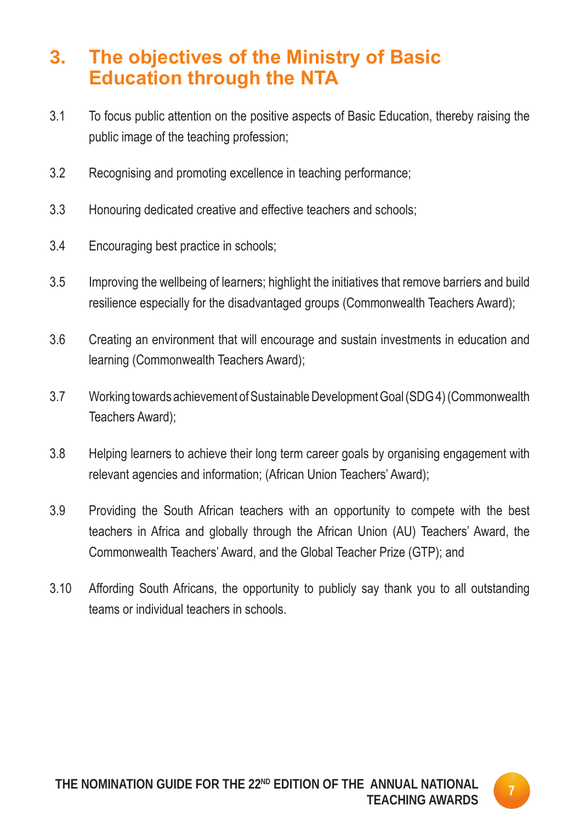# **3. The objectives of the Ministry of Basic Education through the NTA**

- 3.1 To focus public attention on the positive aspects of Basic Education, thereby raising the public image of the teaching profession;
- 3.2 Recognising and promoting excellence in teaching performance;
- 3.3 Honouring dedicated creative and effective teachers and schools;
- 3.4 Encouraging best practice in schools;
- 3.5 Improving the wellbeing of learners; highlight the initiatives that remove barriers and build resilience especially for the disadvantaged groups (Commonwealth Teachers Award);
- 3.6 Creating an environment that will encourage and sustain investments in education and learning (Commonwealth Teachers Award);
- 3.7 Working towards achievement of Sustainable Development Goal (SDG 4) (Commonwealth Teachers Award);
- 3.8 Helping learners to achieve their long term career goals by organising engagement with relevant agencies and information; (African Union Teachers' Award);
- 3.9 Providing the South African teachers with an opportunity to compete with the best teachers in Africa and globally through the African Union (AU) Teachers' Award, the Commonwealth Teachers' Award, and the Global Teacher Prize (GTP); and
- 3.10 Affording South Africans, the opportunity to publicly say thank you to all outstanding teams or individual teachers in schools.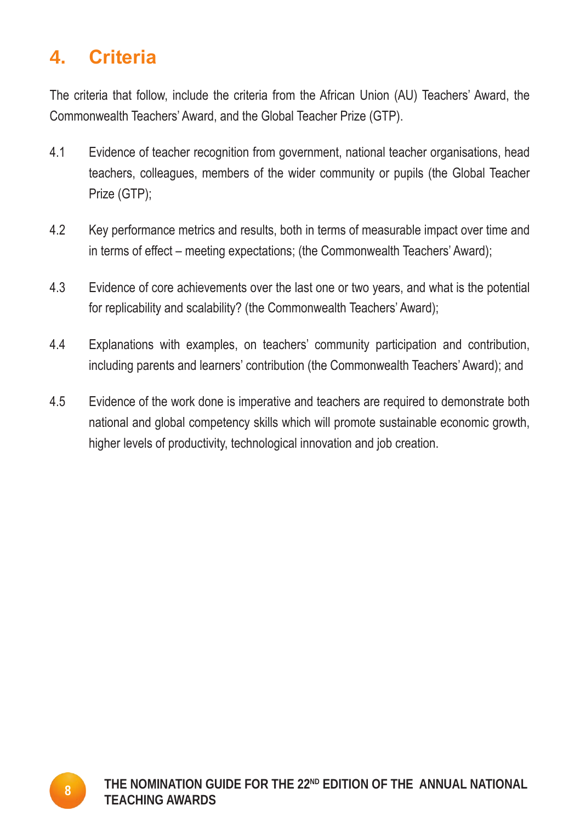# **4. Criteria**

The criteria that follow, include the criteria from the African Union (AU) Teachers' Award, the Commonwealth Teachers' Award, and the Global Teacher Prize (GTP).

- 4.1 Evidence of teacher recognition from government, national teacher organisations, head teachers, colleagues, members of the wider community or pupils (the Global Teacher Prize (GTP);
- 4.2 Key performance metrics and results, both in terms of measurable impact over time and in terms of effect – meeting expectations; (the Commonwealth Teachers' Award);
- 4.3 Evidence of core achievements over the last one or two years, and what is the potential for replicability and scalability? (the Commonwealth Teachers' Award);
- 4.4 Explanations with examples, on teachers' community participation and contribution, including parents and learners' contribution (the Commonwealth Teachers' Award); and
- 4.5 Evidence of the work done is imperative and teachers are required to demonstrate both national and global competency skills which will promote sustainable economic growth, higher levels of productivity, technological innovation and job creation.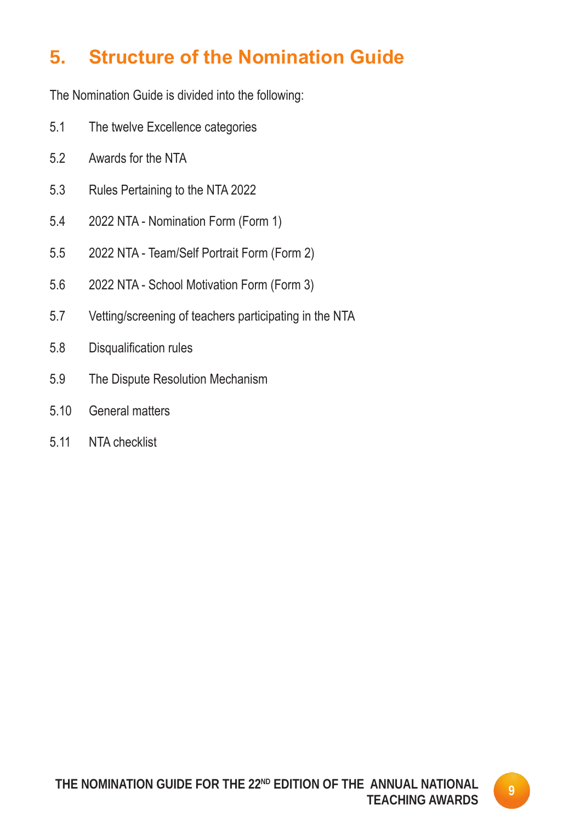# **5. Structure of the Nomination Guide**

The Nomination Guide is divided into the following:

- 5.1 The twelve Excellence categories
- 5.2 Awards for the NTA
- 5.3 Rules Pertaining to the NTA 2022
- 5.4 2022 NTA Nomination Form (Form 1)
- 5.5 2022 NTA Team/Self Portrait Form (Form 2)
- 5.6 2022 NTA School Motivation Form (Form 3)
- 5.7 Vetting/screening of teachers participating in the NTA
- 5.8 Disqualification rules
- 5.9 The Dispute Resolution Mechanism
- 5.10 General matters
- 5.11 NTA checklist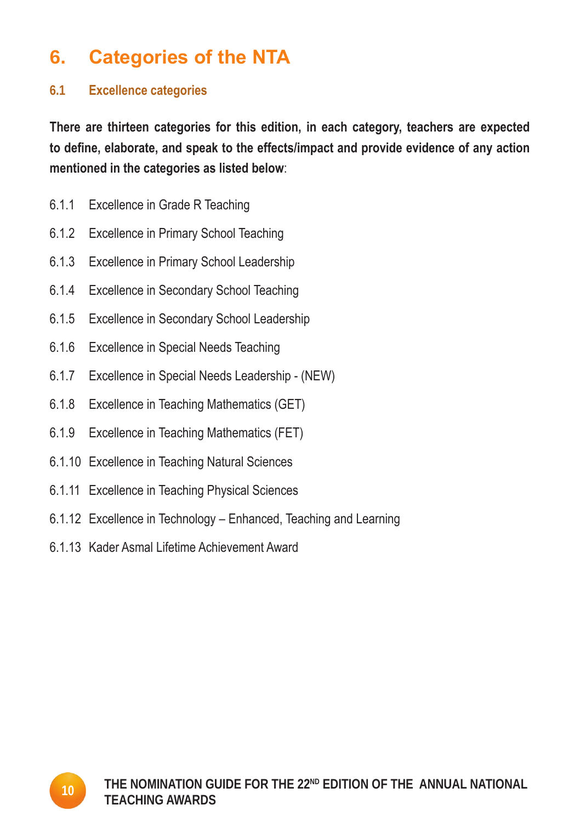# **6. Categories of the NTA**

#### **6.1 Excellence categories**

**There are thirteen categories for this edition, in each category, teachers are expected to define, elaborate, and speak to the effects/impact and provide evidence of any action mentioned in the categories as listed below**:

- 6.1.1 Excellence in Grade R Teaching
- 6.1.2 Excellence in Primary School Teaching
- 6.1.3 Excellence in Primary School Leadership
- 6.1.4 Excellence in Secondary School Teaching
- 6.1.5 Excellence in Secondary School Leadership
- 6.1.6 Excellence in Special Needs Teaching
- 6.1.7 Excellence in Special Needs Leadership (NEW)
- 6.1.8 Excellence in Teaching Mathematics (GET)
- 6.1.9 Excellence in Teaching Mathematics (FET)
- 6.1.10 Excellence in Teaching Natural Sciences
- 6.1.11 Excellence in Teaching Physical Sciences
- 6.1.12 Excellence in Technology Enhanced, Teaching and Learning
- 6.1.13 Kader Asmal Lifetime Achievement Award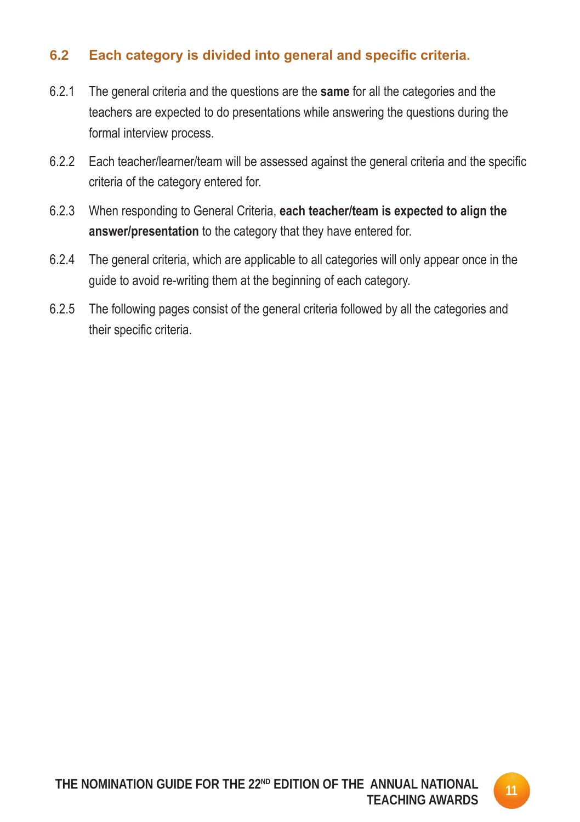#### **6.2 Each category is divided into general and specific criteria.**

- 6.2.1 The general criteria and the questions are the **same** for all the categories and the teachers are expected to do presentations while answering the questions during the formal interview process.
- 6.2.2 Each teacher/learner/team will be assessed against the general criteria and the specific criteria of the category entered for.
- 6.2.3 When responding to General Criteria, **each teacher/team is expected to align the answer/presentation** to the category that they have entered for.
- 6.2.4 The general criteria, which are applicable to all categories will only appear once in the guide to avoid re-writing them at the beginning of each category.
- 6.2.5 The following pages consist of the general criteria followed by all the categories and their specific criteria.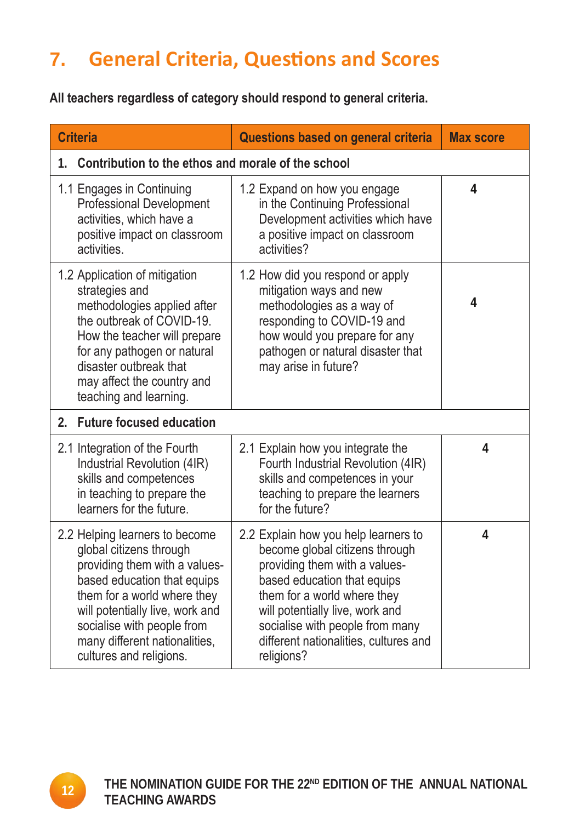# **7. General Criteria, Questions and Scores**

**All teachers regardless of category should respond to general criteria.**

| <b>Criteria</b>                                                                                                                                                                                                                                                                       | Questions based on general criteria                                                                                                                                                                                                                                                                | <b>Max score</b> |
|---------------------------------------------------------------------------------------------------------------------------------------------------------------------------------------------------------------------------------------------------------------------------------------|----------------------------------------------------------------------------------------------------------------------------------------------------------------------------------------------------------------------------------------------------------------------------------------------------|------------------|
| Contribution to the ethos and morale of the school<br>1.                                                                                                                                                                                                                              |                                                                                                                                                                                                                                                                                                    |                  |
| 1.1 Engages in Continuing<br><b>Professional Development</b><br>activities, which have a<br>positive impact on classroom<br>activities.                                                                                                                                               | 1.2 Expand on how you engage<br>in the Continuing Professional<br>Development activities which have<br>a positive impact on classroom<br>activities?                                                                                                                                               | 4                |
| 1.2 Application of mitigation<br>strategies and<br>methodologies applied after<br>the outbreak of COVID-19.<br>How the teacher will prepare<br>for any pathogen or natural<br>disaster outbreak that<br>may affect the country and<br>teaching and learning.                          | 1.2 How did you respond or apply<br>mitigation ways and new<br>methodologies as a way of<br>responding to COVID-19 and<br>how would you prepare for any<br>pathogen or natural disaster that<br>may arise in future?                                                                               | 4                |
| <b>Future focused education</b><br>$\mathfrak{D}_{\cdot}$                                                                                                                                                                                                                             |                                                                                                                                                                                                                                                                                                    |                  |
| 2.1 Integration of the Fourth<br>Industrial Revolution (4IR)<br>skills and competences<br>in teaching to prepare the<br>learners for the future.                                                                                                                                      | 2.1 Explain how you integrate the<br>Fourth Industrial Revolution (4IR)<br>skills and competences in your<br>teaching to prepare the learners<br>for the future?                                                                                                                                   | 4                |
| 2.2 Helping learners to become<br>global citizens through<br>providing them with a values-<br>based education that equips<br>them for a world where they<br>will potentially live, work and<br>socialise with people from<br>many different nationalities,<br>cultures and religions. | 2.2 Explain how you help learners to<br>become global citizens through<br>providing them with a values-<br>based education that equips<br>them for a world where they<br>will potentially live, work and<br>socialise with people from many<br>different nationalities, cultures and<br>religions? | 4                |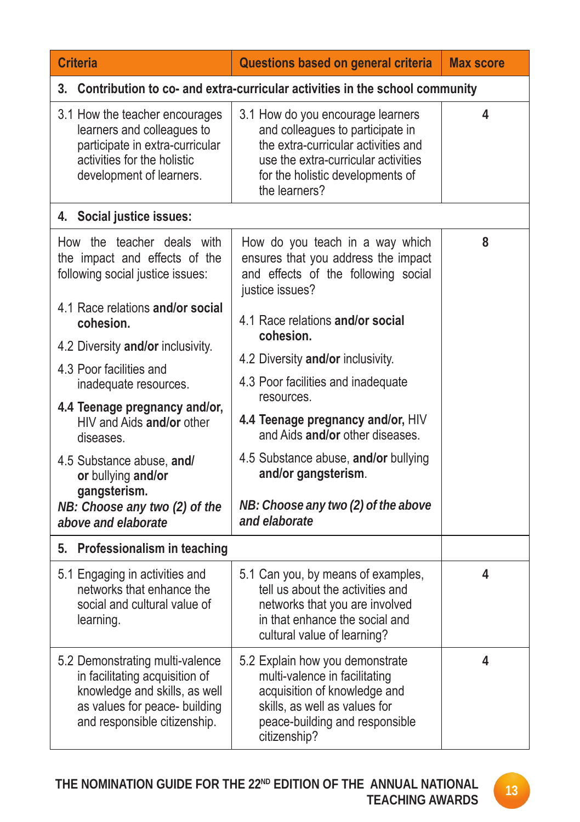| <b>Criteria</b>                                                                                                                                                     | Questions based on general criteria                                                                                                                                                                      | <b>Max score</b> |
|---------------------------------------------------------------------------------------------------------------------------------------------------------------------|----------------------------------------------------------------------------------------------------------------------------------------------------------------------------------------------------------|------------------|
| 3.                                                                                                                                                                  | Contribution to co- and extra-curricular activities in the school community                                                                                                                              |                  |
| 3.1 How the teacher encourages<br>learners and colleagues to<br>participate in extra-curricular<br>activities for the holistic<br>development of learners.          | 3.1 How do you encourage learners<br>and colleagues to participate in<br>the extra-curricular activities and<br>use the extra-curricular activities<br>for the holistic developments of<br>the learners? | 4                |
| 4. Social justice issues:                                                                                                                                           |                                                                                                                                                                                                          |                  |
| How the teacher deals with<br>the impact and effects of the<br>following social justice issues:                                                                     | How do you teach in a way which<br>ensures that you address the impact<br>and effects of the following social<br>justice issues?                                                                         | 8                |
| 4.1 Race relations and/or social<br>cohesion.                                                                                                                       | 4.1 Race relations and/or social<br>cohesion.                                                                                                                                                            |                  |
| 4.2 Diversity and/or inclusivity.                                                                                                                                   | 4.2 Diversity and/or inclusivity.                                                                                                                                                                        |                  |
| 4.3 Poor facilities and<br>inadequate resources.                                                                                                                    | 4.3 Poor facilities and inadequate<br>resources.                                                                                                                                                         |                  |
| 4.4 Teenage pregnancy and/or,<br>HIV and Aids and/or other<br>diseases.                                                                                             | 4.4 Teenage pregnancy and/or, HIV<br>and Aids and/or other diseases.                                                                                                                                     |                  |
| 4.5 Substance abuse, and/<br>or bullying and/or                                                                                                                     | 4.5 Substance abuse, and/or bullying<br>and/or gangsterism.                                                                                                                                              |                  |
| gangsterism.<br>NB: Choose any two (2) of the<br>above and elaborate                                                                                                | NB: Choose any two (2) of the above<br>and elaborate                                                                                                                                                     |                  |
| 5. Professionalism in teaching                                                                                                                                      |                                                                                                                                                                                                          |                  |
| 5.1 Engaging in activities and<br>networks that enhance the<br>social and cultural value of<br>learning.                                                            | 5.1 Can you, by means of examples,<br>tell us about the activities and<br>networks that you are involved<br>in that enhance the social and<br>cultural value of learning?                                | 4                |
| 5.2 Demonstrating multi-valence<br>in facilitating acquisition of<br>knowledge and skills, as well<br>as values for peace- building<br>and responsible citizenship. | 5.2 Explain how you demonstrate<br>multi-valence in facilitating<br>acquisition of knowledge and<br>skills, as well as values for<br>peace-building and responsible<br>citizenship?                      | 4                |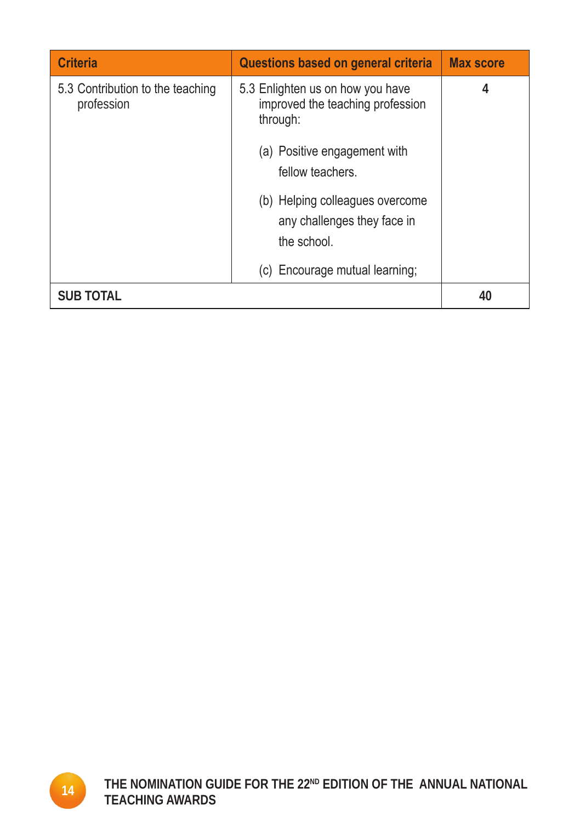| <b>Criteria</b>                                | Questions based on general criteria                                                                                                                                                                                                                     | <b>Max score</b> |
|------------------------------------------------|---------------------------------------------------------------------------------------------------------------------------------------------------------------------------------------------------------------------------------------------------------|------------------|
| 5.3 Contribution to the teaching<br>profession | 5.3 Enlighten us on how you have<br>improved the teaching profession<br>through:<br>(a) Positive engagement with<br>fellow teachers.<br>(b) Helping colleagues overcome<br>any challenges they face in<br>the school.<br>(c) Encourage mutual learning; | 4                |
|                                                |                                                                                                                                                                                                                                                         |                  |
| <b>SUB TOTAL</b>                               |                                                                                                                                                                                                                                                         | 40               |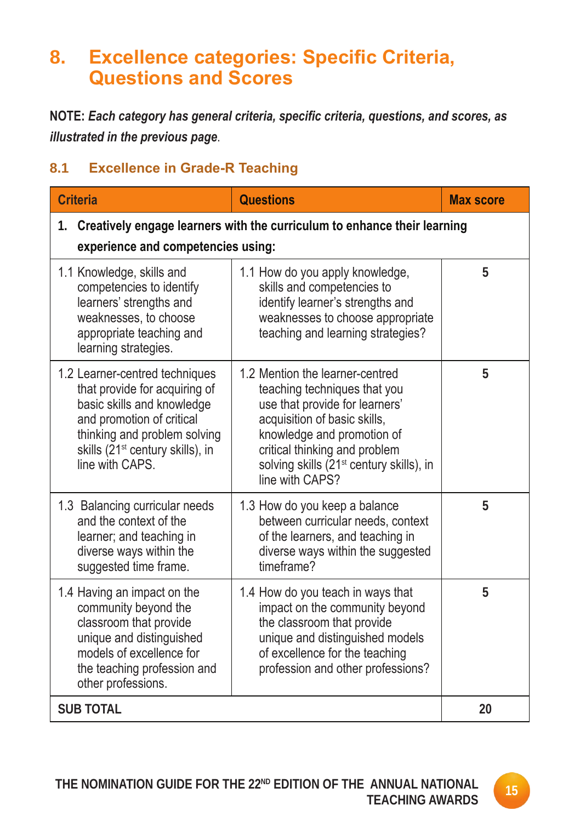### **8. Excellence categories: Specific Criteria, Questions and Scores**

**NOTE:** *Each category has general criteria, specific criteria, questions, and scores, as illustrated in the previous page*.

#### **8.1 Excellence in Grade-R Teaching**

| <b>Criteria</b>                                                                                                                                                                                                               | <b>Questions</b>                                                                                                                                                                                                                                                            | <b>Max score</b> |
|-------------------------------------------------------------------------------------------------------------------------------------------------------------------------------------------------------------------------------|-----------------------------------------------------------------------------------------------------------------------------------------------------------------------------------------------------------------------------------------------------------------------------|------------------|
| Creatively engage learners with the curriculum to enhance their learning<br>1.<br>experience and competencies using:                                                                                                          |                                                                                                                                                                                                                                                                             |                  |
| 1.1 Knowledge, skills and<br>competencies to identify<br>learners' strengths and<br>weaknesses, to choose<br>appropriate teaching and<br>learning strategies.                                                                 | 1.1 How do you apply knowledge,<br>skills and competencies to<br>identify learner's strengths and<br>weaknesses to choose appropriate<br>teaching and learning strategies?                                                                                                  | 5                |
| 1.2 Learner-centred techniques<br>that provide for acquiring of<br>basic skills and knowledge<br>and promotion of critical<br>thinking and problem solving<br>skills (21 <sup>st</sup> century skills), in<br>line with CAPS. | 1.2 Mention the learner-centred<br>teaching techniques that you<br>use that provide for learners'<br>acquisition of basic skills,<br>knowledge and promotion of<br>critical thinking and problem<br>solving skills (21 <sup>st</sup> century skills), in<br>line with CAPS? | 5                |
| 1.3 Balancing curricular needs<br>and the context of the<br>learner; and teaching in<br>diverse ways within the<br>suggested time frame.                                                                                      | 1.3 How do you keep a balance<br>between curricular needs, context<br>of the learners, and teaching in<br>diverse ways within the suggested<br>timeframe?                                                                                                                   | 5                |
| 1.4 Having an impact on the<br>community beyond the<br>classroom that provide<br>unique and distinguished<br>models of excellence for<br>the teaching profession and<br>other professions.                                    | 1.4 How do you teach in ways that<br>impact on the community beyond<br>the classroom that provide<br>unique and distinguished models<br>of excellence for the teaching<br>profession and other professions?                                                                 | 5                |
| <b>SUB TOTAL</b>                                                                                                                                                                                                              |                                                                                                                                                                                                                                                                             | 20               |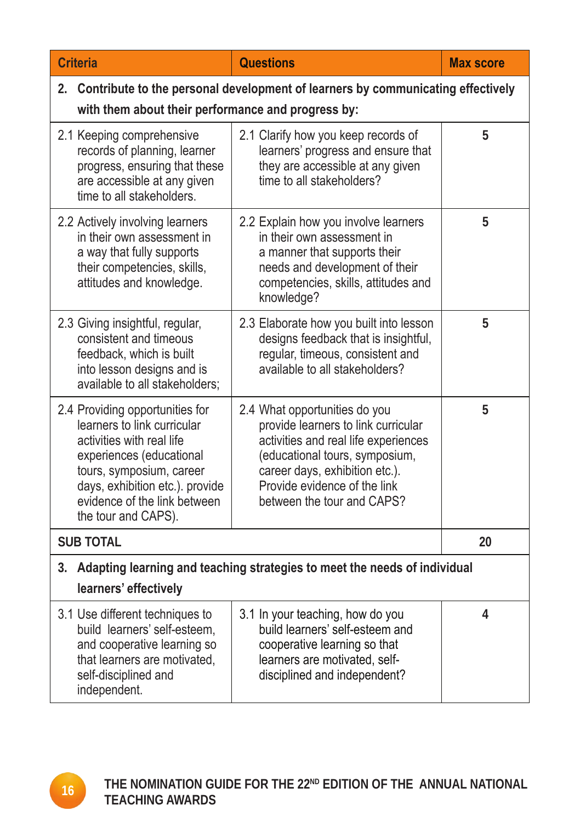| <b>Criteria</b>                                                                                                                                                                                                                               | <b>Questions</b>                                                                                                                                                                                                                               | <b>Max score</b> |
|-----------------------------------------------------------------------------------------------------------------------------------------------------------------------------------------------------------------------------------------------|------------------------------------------------------------------------------------------------------------------------------------------------------------------------------------------------------------------------------------------------|------------------|
| Contribute to the personal development of learners by communicating effectively<br>2.<br>with them about their performance and progress by:                                                                                                   |                                                                                                                                                                                                                                                |                  |
| 2.1 Keeping comprehensive<br>records of planning, learner<br>progress, ensuring that these<br>are accessible at any given<br>time to all stakeholders.                                                                                        | 2.1 Clarify how you keep records of<br>learners' progress and ensure that<br>they are accessible at any given<br>time to all stakeholders?                                                                                                     | 5                |
| 2.2 Actively involving learners<br>in their own assessment in<br>a way that fully supports<br>their competencies, skills,<br>attitudes and knowledge.                                                                                         | 2.2 Explain how you involve learners<br>in their own assessment in<br>a manner that supports their<br>needs and development of their<br>competencies, skills, attitudes and<br>knowledge?                                                      | 5                |
| 2.3 Giving insightful, regular,<br>consistent and timeous<br>feedback, which is built<br>into lesson designs and is<br>available to all stakeholders;                                                                                         | 2.3 Elaborate how you built into lesson<br>designs feedback that is insightful,<br>regular, timeous, consistent and<br>available to all stakeholders?                                                                                          | 5                |
| 2.4 Providing opportunities for<br>learners to link curricular<br>activities with real life<br>experiences (educational<br>tours, symposium, career<br>days, exhibition etc.). provide<br>evidence of the link between<br>the tour and CAPS). | 2.4 What opportunities do you<br>provide learners to link curricular<br>activities and real life experiences<br>(educational tours, symposium,<br>career days, exhibition etc.).<br>Provide evidence of the link<br>between the tour and CAPS? | 5                |
| <b>SUB TOTAL</b>                                                                                                                                                                                                                              |                                                                                                                                                                                                                                                | 20               |
| Adapting learning and teaching strategies to meet the needs of individual<br>3.<br>learners' effectively                                                                                                                                      |                                                                                                                                                                                                                                                |                  |
| 3.1 Use different techniques to<br>build learners' self-esteem,<br>and cooperative learning so<br>that learners are motivated,<br>self-disciplined and<br>independent.                                                                        | 3.1 In your teaching, how do you<br>build learners' self-esteem and<br>cooperative learning so that<br>learners are motivated, self-<br>disciplined and independent?                                                                           | 4                |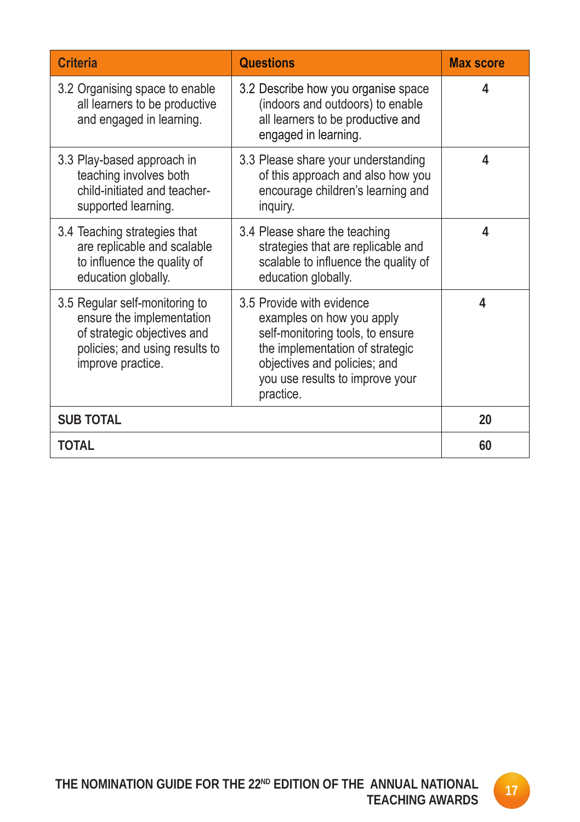| <b>Criteria</b>                                                                                                                                   | <b>Questions</b>                                                                                                                                                                                              | <b>Max score</b> |
|---------------------------------------------------------------------------------------------------------------------------------------------------|---------------------------------------------------------------------------------------------------------------------------------------------------------------------------------------------------------------|------------------|
| 3.2 Organising space to enable<br>all learners to be productive<br>and engaged in learning.                                                       | 3.2 Describe how you organise space<br>(indoors and outdoors) to enable<br>all learners to be productive and<br>engaged in learning.                                                                          | 4                |
| 3.3 Play-based approach in<br>teaching involves both<br>child-initiated and teacher-<br>supported learning.                                       | 3.3 Please share your understanding<br>of this approach and also how you<br>encourage children's learning and<br>inquiry.                                                                                     | 4                |
| 3.4 Teaching strategies that<br>are replicable and scalable<br>to influence the quality of<br>education globally.                                 | 3.4 Please share the teaching<br>strategies that are replicable and<br>scalable to influence the quality of<br>education globally.                                                                            | 4                |
| 3.5 Regular self-monitoring to<br>ensure the implementation<br>of strategic objectives and<br>policies; and using results to<br>improve practice. | 3.5 Provide with evidence<br>examples on how you apply<br>self-monitoring tools, to ensure<br>the implementation of strategic<br>objectives and policies; and<br>you use results to improve your<br>practice. | 4                |
| <b>SUB TOTAL</b>                                                                                                                                  |                                                                                                                                                                                                               | 20               |
| TOTAL                                                                                                                                             |                                                                                                                                                                                                               | 60               |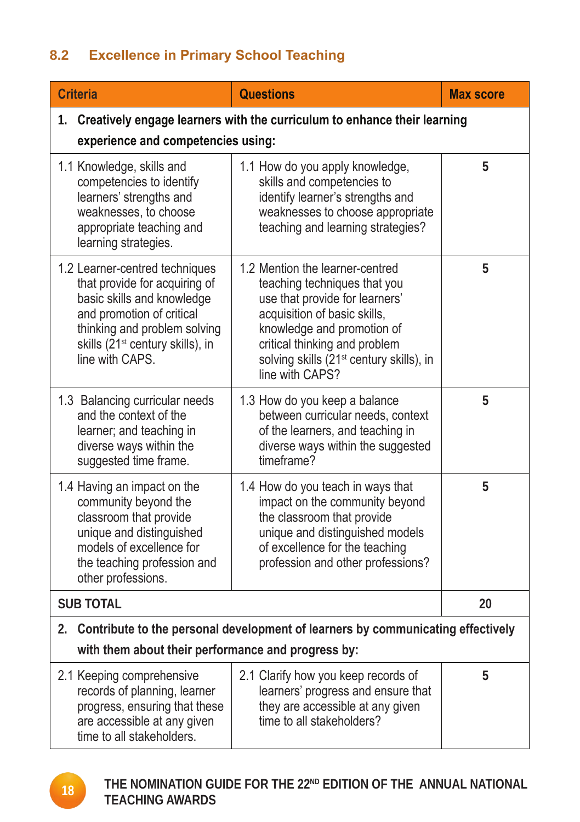### **8.2 Excellence in Primary School Teaching**

| <b>Criteria</b>                                                                                                                                                                                                               | <b>Questions</b>                                                                                                                                                                                                                                                            | <b>Max score</b> |
|-------------------------------------------------------------------------------------------------------------------------------------------------------------------------------------------------------------------------------|-----------------------------------------------------------------------------------------------------------------------------------------------------------------------------------------------------------------------------------------------------------------------------|------------------|
| Creatively engage learners with the curriculum to enhance their learning<br>1.                                                                                                                                                |                                                                                                                                                                                                                                                                             |                  |
| experience and competencies using:                                                                                                                                                                                            |                                                                                                                                                                                                                                                                             |                  |
| 1.1 Knowledge, skills and<br>competencies to identify<br>learners' strengths and<br>weaknesses, to choose<br>appropriate teaching and<br>learning strategies.                                                                 | 1.1 How do you apply knowledge,<br>skills and competencies to<br>identify learner's strengths and<br>weaknesses to choose appropriate<br>teaching and learning strategies?                                                                                                  | 5                |
| 1.2 Learner-centred techniques<br>that provide for acquiring of<br>basic skills and knowledge<br>and promotion of critical<br>thinking and problem solving<br>skills (21 <sup>st</sup> century skills), in<br>line with CAPS. | 1.2 Mention the learner-centred<br>teaching techniques that you<br>use that provide for learners'<br>acquisition of basic skills,<br>knowledge and promotion of<br>critical thinking and problem<br>solving skills (21 <sup>st</sup> century skills), in<br>line with CAPS? | 5                |
| 1.3 Balancing curricular needs<br>and the context of the<br>learner; and teaching in<br>diverse ways within the<br>suggested time frame.                                                                                      | 1.3 How do you keep a balance<br>between curricular needs, context<br>of the learners, and teaching in<br>diverse ways within the suggested<br>timeframe?                                                                                                                   | 5                |
| 1.4 Having an impact on the<br>community beyond the<br>classroom that provide<br>unique and distinguished<br>models of excellence for<br>the teaching profession and<br>other professions.                                    | 1.4 How do you teach in ways that<br>impact on the community beyond<br>the classroom that provide<br>unique and distinguished models<br>of excellence for the teaching<br>profession and other professions?                                                                 | 5                |
| <b>SUB TOTAL</b>                                                                                                                                                                                                              |                                                                                                                                                                                                                                                                             | 20               |
|                                                                                                                                                                                                                               | 2. Contribute to the personal development of learners by communicating effectively                                                                                                                                                                                          |                  |
| with them about their performance and progress by:                                                                                                                                                                            |                                                                                                                                                                                                                                                                             |                  |
| 2.1 Keeping comprehensive<br>records of planning, learner<br>progress, ensuring that these<br>are accessible at any given<br>time to all stakeholders.                                                                        | 2.1 Clarify how you keep records of<br>learners' progress and ensure that<br>they are accessible at any given<br>time to all stakeholders?                                                                                                                                  | 5                |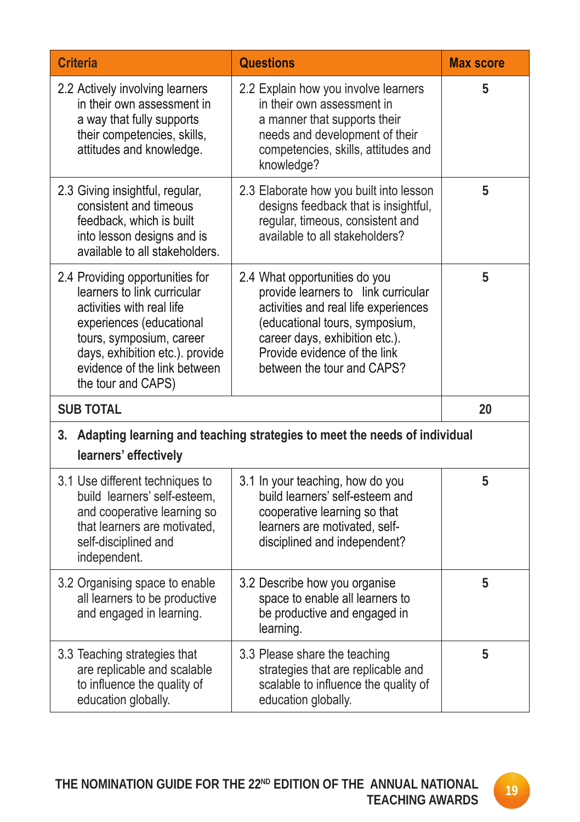| <b>Criteria</b>                                                                                                                                                                                                                              | <b>Questions</b>                                                                                                                                                                                                                               | <b>Max score</b> |
|----------------------------------------------------------------------------------------------------------------------------------------------------------------------------------------------------------------------------------------------|------------------------------------------------------------------------------------------------------------------------------------------------------------------------------------------------------------------------------------------------|------------------|
| 2.2 Actively involving learners<br>in their own assessment in<br>a way that fully supports<br>their competencies, skills,<br>attitudes and knowledge.                                                                                        | 2.2 Explain how you involve learners<br>in their own assessment in<br>a manner that supports their<br>needs and development of their<br>competencies, skills, attitudes and<br>knowledge?                                                      | 5                |
| 2.3 Giving insightful, regular,<br>consistent and timeous<br>feedback, which is built<br>into lesson designs and is<br>available to all stakeholders.                                                                                        | 2.3 Elaborate how you built into lesson<br>designs feedback that is insightful,<br>regular, timeous, consistent and<br>available to all stakeholders?                                                                                          | 5                |
| 2.4 Providing opportunities for<br>learners to link curricular<br>activities with real life<br>experiences (educational<br>tours, symposium, career<br>days, exhibition etc.). provide<br>evidence of the link between<br>the tour and CAPS) | 2.4 What opportunities do you<br>provide learners to link curricular<br>activities and real life experiences<br>(educational tours, symposium,<br>career days, exhibition etc.).<br>Provide evidence of the link<br>between the tour and CAPS? | 5                |
| <b>SUB TOTAL</b>                                                                                                                                                                                                                             |                                                                                                                                                                                                                                                | 20               |
| 3.<br>learners' effectively                                                                                                                                                                                                                  | Adapting learning and teaching strategies to meet the needs of individual                                                                                                                                                                      |                  |
| 3.1 Use different techniques to<br>build learners' self-esteem,<br>and cooperative learning so<br>that learners are motivated,<br>self-disciplined and<br>independent.                                                                       | 3.1 In your teaching, how do you<br>build learners' self-esteem and<br>cooperative learning so that<br>learners are motivated, self-<br>disciplined and independent?                                                                           | 5                |
| 3.2 Organising space to enable<br>all learners to be productive<br>and engaged in learning.                                                                                                                                                  | 3.2 Describe how you organise<br>space to enable all learners to<br>be productive and engaged in<br>learning.                                                                                                                                  | 5                |
| 3.3 Teaching strategies that<br>are replicable and scalable<br>to influence the quality of<br>education globally.                                                                                                                            | 3.3 Please share the teaching<br>strategies that are replicable and<br>scalable to influence the quality of<br>education globally.                                                                                                             | 5                |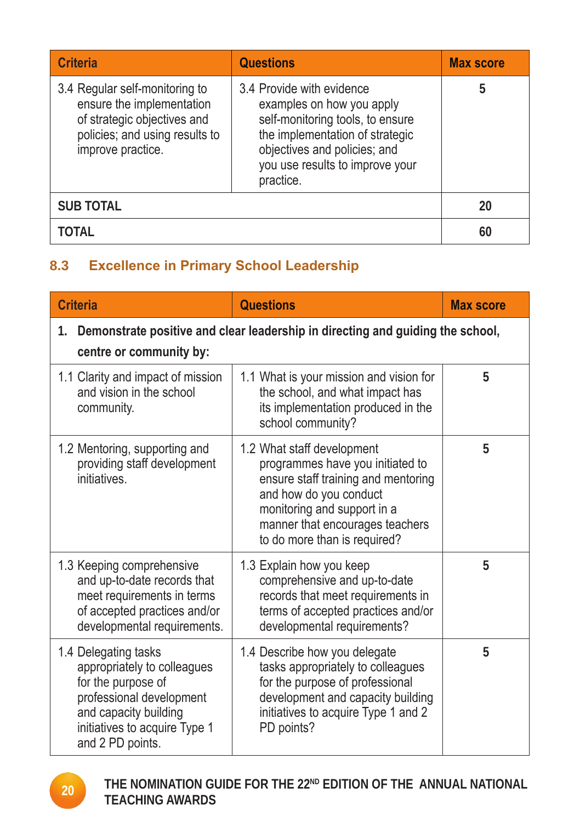| <b>Criteria</b>                                                                                                                                   | <b>Questions</b>                                                                                                                                                                                              | <b>Max score</b> |
|---------------------------------------------------------------------------------------------------------------------------------------------------|---------------------------------------------------------------------------------------------------------------------------------------------------------------------------------------------------------------|------------------|
| 3.4 Regular self-monitoring to<br>ensure the implementation<br>of strategic objectives and<br>policies; and using results to<br>improve practice. | 3.4 Provide with evidence<br>examples on how you apply<br>self-monitoring tools, to ensure<br>the implementation of strategic<br>objectives and policies; and<br>you use results to improve your<br>practice. | 5                |
| <b>SUB TOTAL</b>                                                                                                                                  |                                                                                                                                                                                                               | 20               |
| TOTAL                                                                                                                                             |                                                                                                                                                                                                               | 60               |

### **8.3 Excellence in Primary School Leadership**

| <b>Criteria</b>                                                                                                                                                                     | <b>Questions</b>                                                                                                                                                                                                                  | <b>Max score</b> |
|-------------------------------------------------------------------------------------------------------------------------------------------------------------------------------------|-----------------------------------------------------------------------------------------------------------------------------------------------------------------------------------------------------------------------------------|------------------|
| Demonstrate positive and clear leadership in directing and guiding the school,<br>1.<br>centre or community by:                                                                     |                                                                                                                                                                                                                                   |                  |
| 1.1 Clarity and impact of mission<br>and vision in the school<br>community.                                                                                                         | 1.1 What is your mission and vision for<br>the school, and what impact has<br>its implementation produced in the<br>school community?                                                                                             | 5                |
| 1.2 Mentoring, supporting and<br>providing staff development<br>initiatives.                                                                                                        | 1.2 What staff development<br>programmes have you initiated to<br>ensure staff training and mentoring<br>and how do you conduct<br>monitoring and support in a<br>manner that encourages teachers<br>to do more than is required? | 5                |
| 1.3 Keeping comprehensive<br>and up-to-date records that<br>meet requirements in terms<br>of accepted practices and/or<br>developmental requirements.                               | 1.3 Explain how you keep<br>comprehensive and up-to-date<br>records that meet requirements in<br>terms of accepted practices and/or<br>developmental requirements?                                                                | 5                |
| 1.4 Delegating tasks<br>appropriately to colleagues<br>for the purpose of<br>professional development<br>and capacity building<br>initiatives to acquire Type 1<br>and 2 PD points. | 1.4 Describe how you delegate<br>tasks appropriately to colleagues<br>for the purpose of professional<br>development and capacity building<br>initiatives to acquire Type 1 and 2<br>PD points?                                   | 5                |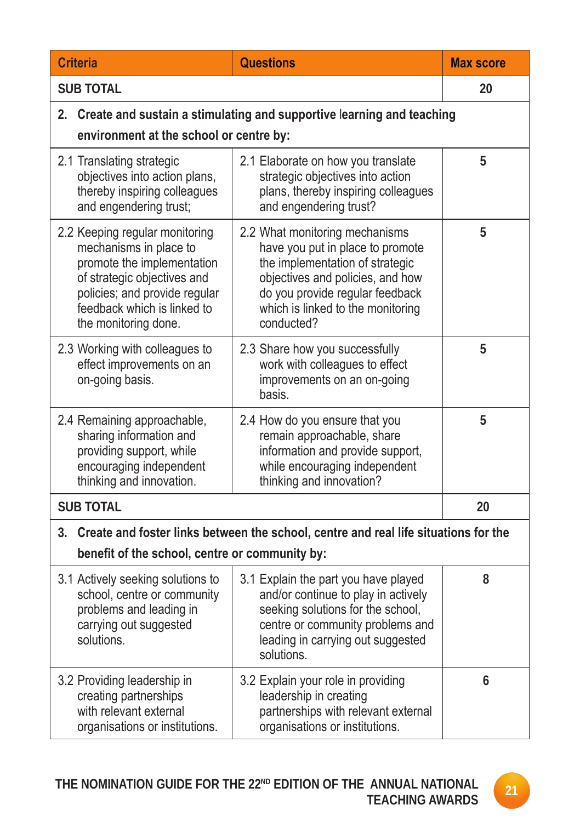| <b>Criteria</b>                                                                                                                                                                                               | <b>Questions</b>                                                                                                                                                                                                                | <b>Max score</b> |
|---------------------------------------------------------------------------------------------------------------------------------------------------------------------------------------------------------------|---------------------------------------------------------------------------------------------------------------------------------------------------------------------------------------------------------------------------------|------------------|
| <b>SUB TOTAL</b>                                                                                                                                                                                              |                                                                                                                                                                                                                                 | 20               |
|                                                                                                                                                                                                               | 2. Create and sustain a stimulating and supportive learning and teaching                                                                                                                                                        |                  |
| environment at the school or centre by:                                                                                                                                                                       |                                                                                                                                                                                                                                 |                  |
| 2.1 Translating strategic<br>objectives into action plans,<br>thereby inspiring colleagues<br>and engendering trust;                                                                                          | 2.1 Elaborate on how you translate<br>strategic objectives into action<br>plans, thereby inspiring colleagues<br>and engendering trust?                                                                                         | 5                |
| 2.2 Keeping regular monitoring<br>mechanisms in place to<br>promote the implementation<br>of strategic objectives and<br>policies; and provide regular<br>feedback which is linked to<br>the monitoring done. | 2.2 What monitoring mechanisms<br>have you put in place to promote<br>the implementation of strategic<br>objectives and policies, and how<br>do you provide regular feedback<br>which is linked to the monitoring<br>conducted? | 5                |
| 2.3 Working with colleagues to<br>effect improvements on an<br>on-going basis.                                                                                                                                | 2.3 Share how you successfully<br>work with colleagues to effect<br>improvements on an on-going<br>basis.                                                                                                                       | 5                |
| 2.4 Remaining approachable,<br>sharing information and<br>providing support, while<br>encouraging independent<br>thinking and innovation.                                                                     | 2.4 How do you ensure that you<br>remain approachable, share<br>information and provide support,<br>while encouraging independent<br>thinking and innovation?                                                                   | 5                |
| <b>SUB TOTAL</b>                                                                                                                                                                                              |                                                                                                                                                                                                                                 | 20               |
| 3.                                                                                                                                                                                                            | Create and foster links between the school, centre and real life situations for the                                                                                                                                             |                  |
| benefit of the school, centre or community by:                                                                                                                                                                |                                                                                                                                                                                                                                 |                  |
| 3.1 Actively seeking solutions to<br>school, centre or community<br>problems and leading in<br>carrying out suggested<br>solutions.                                                                           | 3.1 Explain the part you have played<br>and/or continue to play in actively<br>seeking solutions for the school,<br>centre or community problems and<br>leading in carrying out suggested<br>solutions.                         | 8                |
| 3.2 Providing leadership in<br>creating partnerships<br>with relevant external<br>organisations or institutions.                                                                                              | 3.2 Explain your role in providing<br>leadership in creating<br>partnerships with relevant external<br>organisations or institutions.                                                                                           | 6                |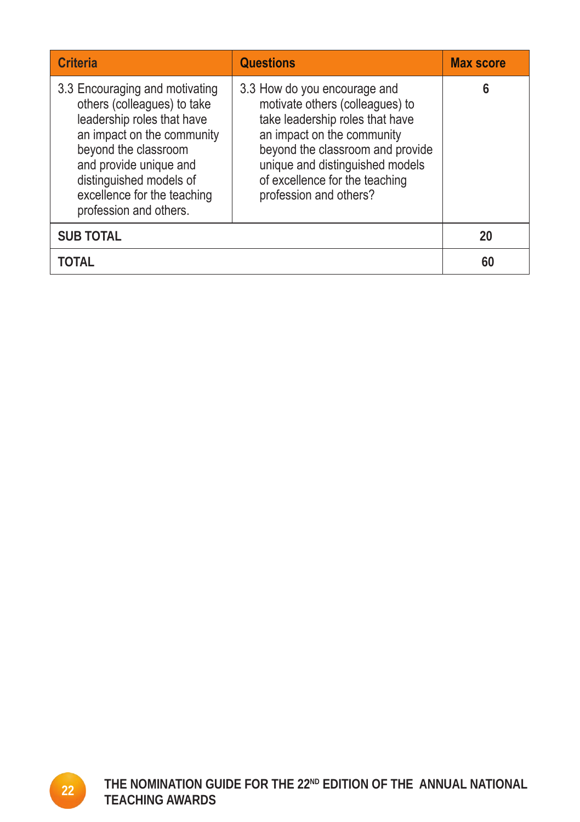| <b>Criteria</b>                                                                                                                                                                                                                                                 | <b>Questions</b>                                                                                                                                                                                                                                                    | <b>Max score</b> |
|-----------------------------------------------------------------------------------------------------------------------------------------------------------------------------------------------------------------------------------------------------------------|---------------------------------------------------------------------------------------------------------------------------------------------------------------------------------------------------------------------------------------------------------------------|------------------|
| 3.3 Encouraging and motivating<br>others (colleagues) to take<br>leadership roles that have<br>an impact on the community<br>beyond the classroom<br>and provide unique and<br>distinguished models of<br>excellence for the teaching<br>profession and others. | 3.3 How do you encourage and<br>motivate others (colleagues) to<br>take leadership roles that have<br>an impact on the community<br>beyond the classroom and provide<br>unique and distinguished models<br>of excellence for the teaching<br>profession and others? | 6                |
| <b>SUB TOTAL</b>                                                                                                                                                                                                                                                |                                                                                                                                                                                                                                                                     | 20               |
| TOTAL                                                                                                                                                                                                                                                           |                                                                                                                                                                                                                                                                     | 60               |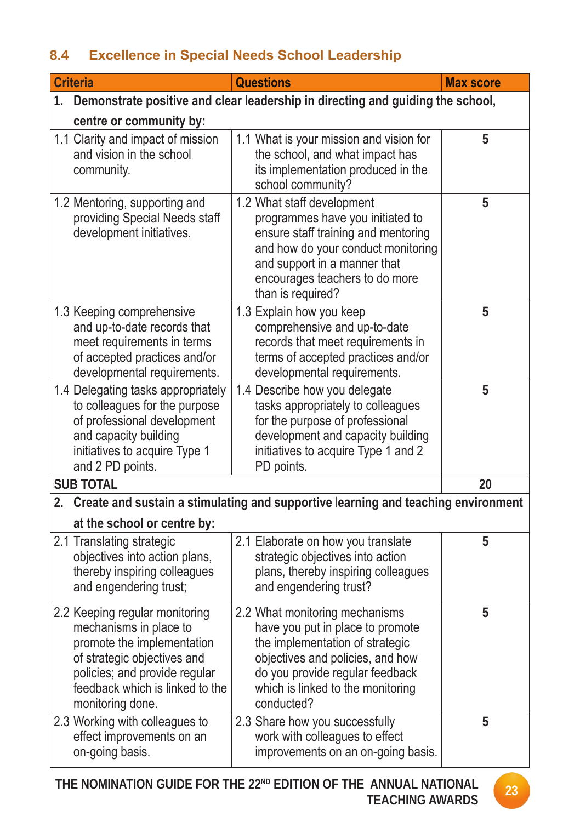### **8.4 Excellence in Special Needs School Leadership**

| <b>Criteria</b>                                                                                                                                                                                               | <b>Questions</b>                                                                                                                                                                                                                   | <b>Max score</b> |
|---------------------------------------------------------------------------------------------------------------------------------------------------------------------------------------------------------------|------------------------------------------------------------------------------------------------------------------------------------------------------------------------------------------------------------------------------------|------------------|
| 1.                                                                                                                                                                                                            | Demonstrate positive and clear leadership in directing and guiding the school,                                                                                                                                                     |                  |
| centre or community by:                                                                                                                                                                                       |                                                                                                                                                                                                                                    |                  |
| 1.1 Clarity and impact of mission<br>and vision in the school<br>community.                                                                                                                                   | 1.1 What is your mission and vision for<br>the school, and what impact has<br>its implementation produced in the<br>school community?                                                                                              | 5                |
| 1.2 Mentoring, supporting and<br>providing Special Needs staff<br>development initiatives.                                                                                                                    | 1.2 What staff development<br>programmes have you initiated to<br>ensure staff training and mentoring<br>and how do your conduct monitoring<br>and support in a manner that<br>encourages teachers to do more<br>than is required? | 5                |
| 1.3 Keeping comprehensive<br>and up-to-date records that<br>meet requirements in terms<br>of accepted practices and/or<br>developmental requirements.                                                         | 1.3 Explain how you keep<br>comprehensive and up-to-date<br>records that meet requirements in<br>terms of accepted practices and/or<br>developmental requirements.                                                                 | 5                |
| 1.4 Delegating tasks appropriately<br>to colleagues for the purpose<br>of professional development<br>and capacity building<br>initiatives to acquire Type 1<br>and 2 PD points.                              | 1.4 Describe how you delegate<br>tasks appropriately to colleagues<br>for the purpose of professional<br>development and capacity building<br>initiatives to acquire Type 1 and 2<br>PD points.                                    | 5                |
| <b>SUB TOTAL</b>                                                                                                                                                                                              |                                                                                                                                                                                                                                    | 20               |
|                                                                                                                                                                                                               | 2. Create and sustain a stimulating and supportive learning and teaching environment                                                                                                                                               |                  |
| at the school or centre by:                                                                                                                                                                                   |                                                                                                                                                                                                                                    |                  |
| 2.1 Translating strategic<br>objectives into action plans,<br>thereby inspiring colleagues<br>and engendering trust;                                                                                          | 2.1 Elaborate on how you translate<br>strategic objectives into action<br>plans, thereby inspiring colleagues<br>and engendering trust?                                                                                            | 5                |
| 2.2 Keeping regular monitoring<br>mechanisms in place to<br>promote the implementation<br>of strategic objectives and<br>policies; and provide regular<br>feedback which is linked to the<br>monitoring done. | 2.2 What monitoring mechanisms<br>have you put in place to promote<br>the implementation of strategic<br>objectives and policies, and how<br>do you provide regular feedback<br>which is linked to the monitoring<br>conducted?    | 5                |
| 2.3 Working with colleagues to<br>effect improvements on an<br>on-going basis.                                                                                                                                | 2.3 Share how you successfully<br>work with colleagues to effect<br>improvements on an on-going basis.                                                                                                                             | 5                |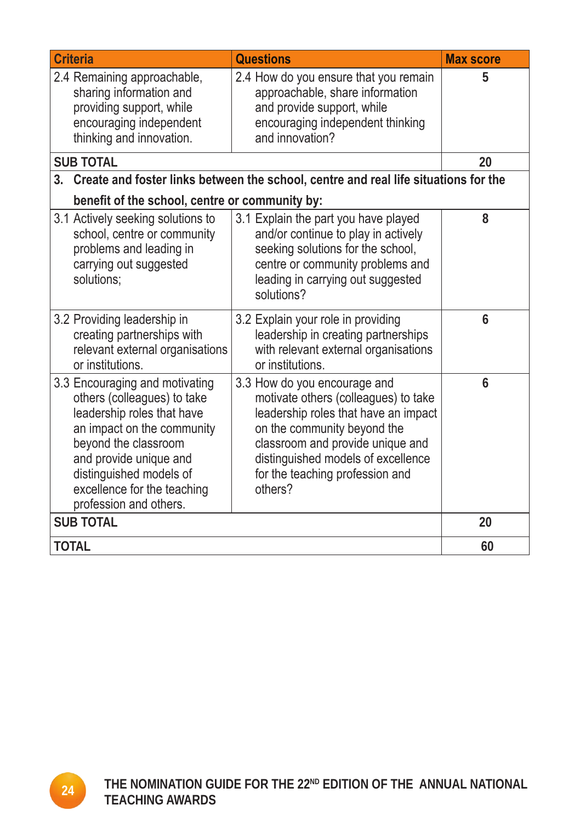| <b>Criteria</b>                                                                                                                                                                                                                                                 | <b>Questions</b>                                                                                                                                                                                                                                                    | <b>Max score</b> |
|-----------------------------------------------------------------------------------------------------------------------------------------------------------------------------------------------------------------------------------------------------------------|---------------------------------------------------------------------------------------------------------------------------------------------------------------------------------------------------------------------------------------------------------------------|------------------|
| 2.4 Remaining approachable,                                                                                                                                                                                                                                     | 2.4 How do you ensure that you remain<br>approachable, share information                                                                                                                                                                                            | 5                |
| sharing information and<br>providing support, while                                                                                                                                                                                                             | and provide support, while                                                                                                                                                                                                                                          |                  |
| encouraging independent                                                                                                                                                                                                                                         | encouraging independent thinking                                                                                                                                                                                                                                    |                  |
| thinking and innovation.                                                                                                                                                                                                                                        | and innovation?                                                                                                                                                                                                                                                     |                  |
| <b>SUB TOTAL</b>                                                                                                                                                                                                                                                |                                                                                                                                                                                                                                                                     | 20               |
|                                                                                                                                                                                                                                                                 | 3. Create and foster links between the school, centre and real life situations for the                                                                                                                                                                              |                  |
| benefit of the school, centre or community by:                                                                                                                                                                                                                  |                                                                                                                                                                                                                                                                     |                  |
| 3.1 Actively seeking solutions to<br>school, centre or community<br>problems and leading in<br>carrying out suggested<br>solutions:                                                                                                                             | 3.1 Explain the part you have played<br>and/or continue to play in actively<br>seeking solutions for the school,<br>centre or community problems and<br>leading in carrying out suggested<br>solutions?                                                             | 8                |
| 3.2 Providing leadership in<br>creating partnerships with<br>relevant external organisations<br>or institutions.                                                                                                                                                | 3.2 Explain your role in providing<br>leadership in creating partnerships<br>with relevant external organisations<br>or institutions.                                                                                                                               | 6                |
| 3.3 Encouraging and motivating<br>others (colleagues) to take<br>leadership roles that have<br>an impact on the community<br>beyond the classroom<br>and provide unique and<br>distinguished models of<br>excellence for the teaching<br>profession and others. | 3.3 How do you encourage and<br>motivate others (colleagues) to take<br>leadership roles that have an impact<br>on the community beyond the<br>classroom and provide unique and<br>distinguished models of excellence<br>for the teaching profession and<br>others? | 6                |
| <b>SUB TOTAL</b>                                                                                                                                                                                                                                                |                                                                                                                                                                                                                                                                     | 20               |
| TOTAL                                                                                                                                                                                                                                                           |                                                                                                                                                                                                                                                                     | 60               |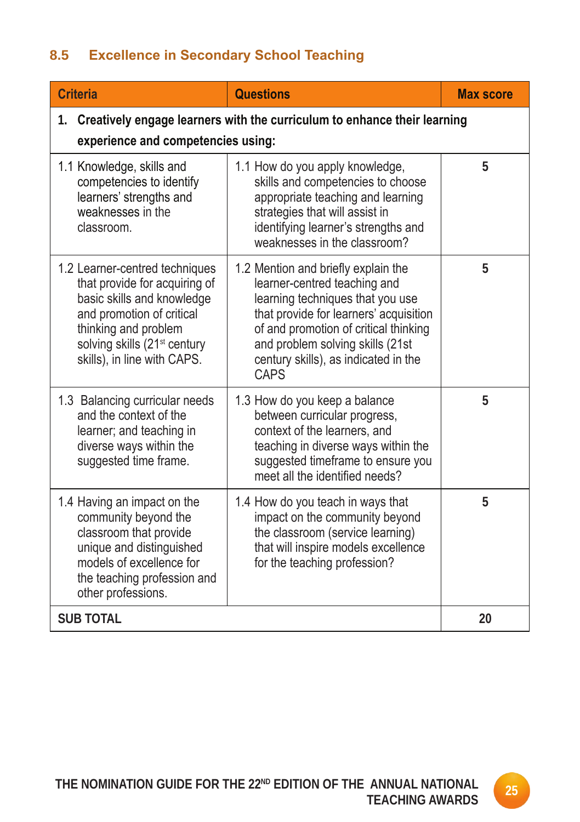### **8.5 Excellence in Secondary School Teaching**

| <b>Criteria</b>                                                                                                                                                                                                               | <b>Questions</b>                                                                                                                                                                                                                                                                      | <b>Max score</b> |
|-------------------------------------------------------------------------------------------------------------------------------------------------------------------------------------------------------------------------------|---------------------------------------------------------------------------------------------------------------------------------------------------------------------------------------------------------------------------------------------------------------------------------------|------------------|
| 1.<br>experience and competencies using:                                                                                                                                                                                      | Creatively engage learners with the curriculum to enhance their learning                                                                                                                                                                                                              |                  |
| 1.1 Knowledge, skills and<br>competencies to identify<br>learners' strengths and<br>weaknesses in the<br>classroom.                                                                                                           | 1.1 How do you apply knowledge,<br>skills and competencies to choose<br>appropriate teaching and learning<br>strategies that will assist in<br>identifying learner's strengths and<br>weaknesses in the classroom?                                                                    | 5                |
| 1.2 Learner-centred techniques<br>that provide for acquiring of<br>basic skills and knowledge<br>and promotion of critical<br>thinking and problem<br>solving skills (21 <sup>st</sup> century<br>skills), in line with CAPS. | 1.2 Mention and briefly explain the<br>learner-centred teaching and<br>learning techniques that you use<br>that provide for learners' acquisition<br>of and promotion of critical thinking<br>and problem solving skills (21st<br>century skills), as indicated in the<br><b>CAPS</b> | 5                |
| 1.3 Balancing curricular needs<br>and the context of the<br>learner; and teaching in<br>diverse ways within the<br>suggested time frame.                                                                                      | 1.3 How do you keep a balance<br>between curricular progress,<br>context of the learners, and<br>teaching in diverse ways within the<br>suggested timeframe to ensure you<br>meet all the identified needs?                                                                           | 5                |
| 1.4 Having an impact on the<br>community beyond the<br>classroom that provide<br>unique and distinguished<br>models of excellence for<br>the teaching profession and<br>other professions.                                    | 1.4 How do you teach in ways that<br>impact on the community beyond<br>the classroom (service learning)<br>that will inspire models excellence<br>for the teaching profession?                                                                                                        | 5                |
| <b>SUB TOTAL</b>                                                                                                                                                                                                              |                                                                                                                                                                                                                                                                                       | 20               |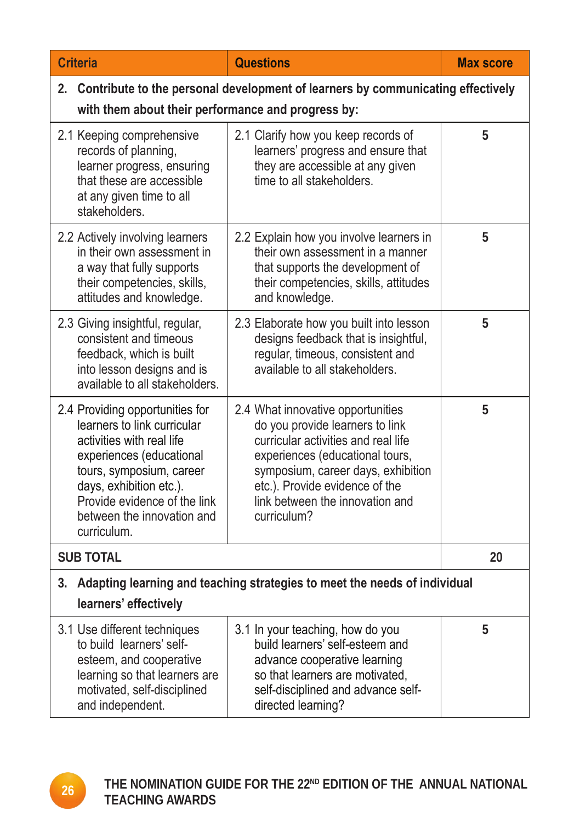| <b>Criteria</b>                                                                                                                                                                                                                                             | <b>Questions</b>                                                                                                                                                                                                                                                         | <b>Max score</b> |
|-------------------------------------------------------------------------------------------------------------------------------------------------------------------------------------------------------------------------------------------------------------|--------------------------------------------------------------------------------------------------------------------------------------------------------------------------------------------------------------------------------------------------------------------------|------------------|
| Contribute to the personal development of learners by communicating effectively<br>2.<br>with them about their performance and progress by:                                                                                                                 |                                                                                                                                                                                                                                                                          |                  |
| 2.1 Keeping comprehensive<br>records of planning,<br>learner progress, ensuring<br>that these are accessible<br>at any given time to all<br>stakeholders.                                                                                                   | 2.1 Clarify how you keep records of<br>learners' progress and ensure that<br>they are accessible at any given<br>time to all stakeholders.                                                                                                                               | 5                |
| 2.2 Actively involving learners<br>in their own assessment in<br>a way that fully supports<br>their competencies, skills,<br>attitudes and knowledge.                                                                                                       | 2.2 Explain how you involve learners in<br>their own assessment in a manner<br>that supports the development of<br>their competencies, skills, attitudes<br>and knowledge.                                                                                               | 5                |
| 2.3 Giving insightful, regular,<br>consistent and timeous<br>feedback, which is built<br>into lesson designs and is<br>available to all stakeholders.                                                                                                       | 2.3 Elaborate how you built into lesson<br>designs feedback that is insightful,<br>regular, timeous, consistent and<br>available to all stakeholders.                                                                                                                    | 5                |
| 2.4 Providing opportunities for<br>learners to link curricular<br>activities with real life<br>experiences (educational<br>tours, symposium, career<br>days, exhibition etc.).<br>Provide evidence of the link<br>between the innovation and<br>curriculum. | 2.4 What innovative opportunities<br>do you provide learners to link<br>curricular activities and real life<br>experiences (educational tours,<br>symposium, career days, exhibition<br>etc.). Provide evidence of the<br>link between the innovation and<br>curriculum? | 5                |
| <b>SUB TOTAL</b>                                                                                                                                                                                                                                            |                                                                                                                                                                                                                                                                          | 20               |
| Adapting learning and teaching strategies to meet the needs of individual<br>3.<br>learners' effectively                                                                                                                                                    |                                                                                                                                                                                                                                                                          |                  |
| 3.1 Use different techniques<br>to build learners' self-<br>esteem, and cooperative<br>learning so that learners are<br>motivated, self-disciplined<br>and independent.                                                                                     | 3.1 In your teaching, how do you<br>build learners' self-esteem and<br>advance cooperative learning<br>so that learners are motivated,<br>self-disciplined and advance self-<br>directed learning?                                                                       | 5                |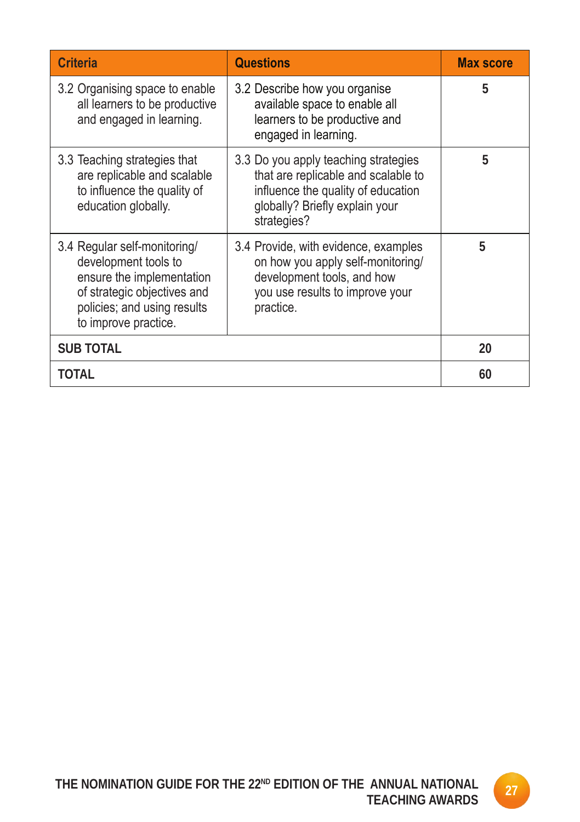| <b>Criteria</b>                                                                                                                                                         | <b>Questions</b>                                                                                                                                                   | <b>Max score</b> |
|-------------------------------------------------------------------------------------------------------------------------------------------------------------------------|--------------------------------------------------------------------------------------------------------------------------------------------------------------------|------------------|
| 3.2 Organising space to enable<br>all learners to be productive<br>and engaged in learning.                                                                             | 3.2 Describe how you organise<br>available space to enable all<br>learners to be productive and<br>engaged in learning.                                            | 5                |
| 3.3 Teaching strategies that<br>are replicable and scalable<br>to influence the quality of<br>education globally.                                                       | 3.3 Do you apply teaching strategies<br>that are replicable and scalable to<br>influence the quality of education<br>globally? Briefly explain your<br>strategies? | 5                |
| 3.4 Regular self-monitoring/<br>development tools to<br>ensure the implementation<br>of strategic objectives and<br>policies; and using results<br>to improve practice. | 3.4 Provide, with evidence, examples<br>on how you apply self-monitoring/<br>development tools, and how<br>you use results to improve your<br>practice.            | 5                |
| <b>SUB TOTAL</b>                                                                                                                                                        |                                                                                                                                                                    | 20               |
| TOTAL                                                                                                                                                                   |                                                                                                                                                                    | 60               |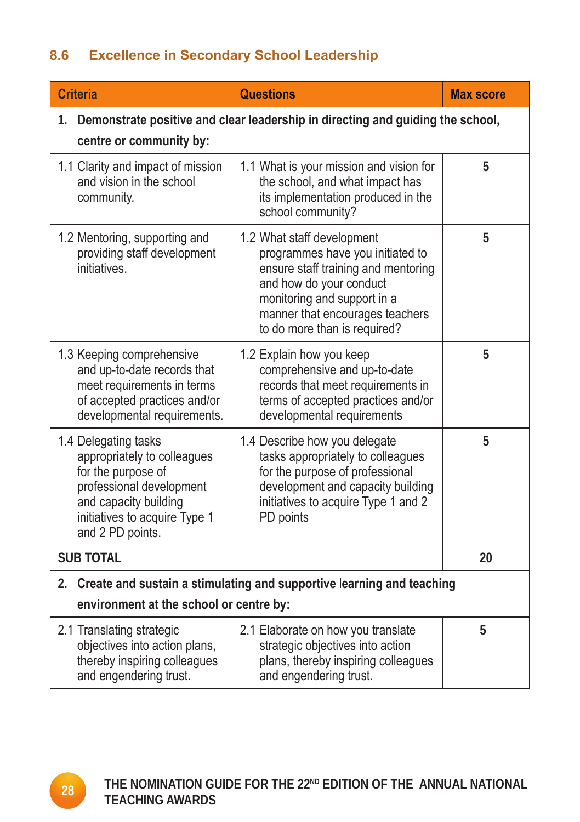### **8.6 Excellence in Secondary School Leadership**

| <b>Criteria</b>                                                                                                                                                                     | <b>Questions</b>                                                                                                                                                                                                                   | <b>Max score</b> |
|-------------------------------------------------------------------------------------------------------------------------------------------------------------------------------------|------------------------------------------------------------------------------------------------------------------------------------------------------------------------------------------------------------------------------------|------------------|
| Demonstrate positive and clear leadership in directing and guiding the school,<br>1.                                                                                                |                                                                                                                                                                                                                                    |                  |
| centre or community by:                                                                                                                                                             |                                                                                                                                                                                                                                    |                  |
| 1.1 Clarity and impact of mission<br>and vision in the school<br>community.                                                                                                         | 1.1 What is your mission and vision for<br>the school, and what impact has<br>its implementation produced in the<br>school community?                                                                                              | 5                |
| 1.2 Mentoring, supporting and<br>providing staff development<br>initiatives.                                                                                                        | 1.2 What staff development<br>programmes have you initiated to<br>ensure staff training and mentoring<br>and how do your conduct<br>monitoring and support in a<br>manner that encourages teachers<br>to do more than is required? | 5                |
| 1.3 Keeping comprehensive<br>and up-to-date records that<br>meet requirements in terms<br>of accepted practices and/or<br>developmental requirements.                               | 1.2 Explain how you keep<br>comprehensive and up-to-date<br>records that meet requirements in<br>terms of accepted practices and/or<br>developmental requirements                                                                  | 5                |
| 1.4 Delegating tasks<br>appropriately to colleagues<br>for the purpose of<br>professional development<br>and capacity building<br>initiatives to acquire Type 1<br>and 2 PD points. | 1.4 Describe how you delegate<br>tasks appropriately to colleagues<br>for the purpose of professional<br>development and capacity building<br>initiatives to acquire Type 1 and 2<br>PD points                                     | 5                |
| <b>SUB TOTAL</b>                                                                                                                                                                    |                                                                                                                                                                                                                                    | 20               |
| Create and sustain a stimulating and supportive learning and teaching<br>2.                                                                                                         |                                                                                                                                                                                                                                    |                  |
| environment at the school or centre by:                                                                                                                                             |                                                                                                                                                                                                                                    |                  |
| 2.1 Translating strategic<br>objectives into action plans,<br>thereby inspiring colleagues<br>and engendering trust.                                                                | 2.1 Elaborate on how you translate<br>strategic objectives into action<br>plans, thereby inspiring colleagues<br>and engendering trust.                                                                                            | 5                |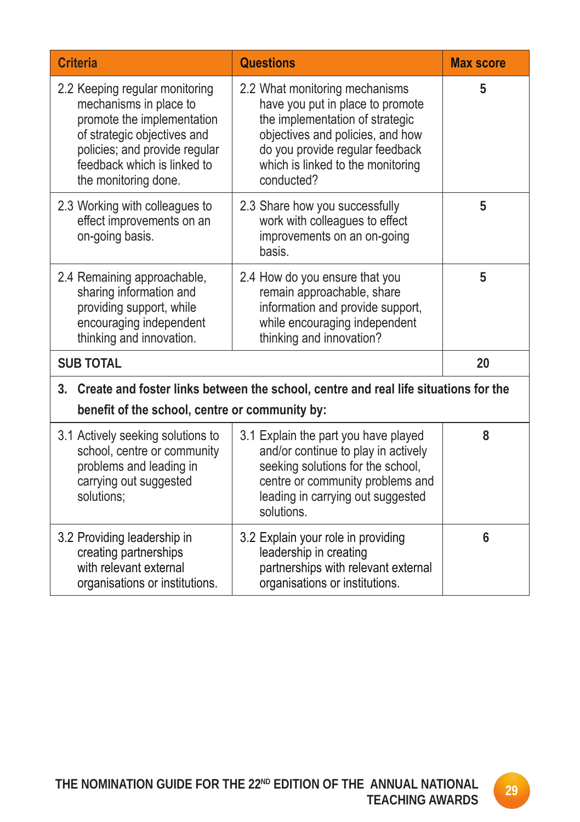| <b>Criteria</b>                                                                                                                                                                                               | <b>Questions</b>                                                                                                                                                                                                                | <b>Max score</b> |
|---------------------------------------------------------------------------------------------------------------------------------------------------------------------------------------------------------------|---------------------------------------------------------------------------------------------------------------------------------------------------------------------------------------------------------------------------------|------------------|
| 2.2 Keeping regular monitoring<br>mechanisms in place to<br>promote the implementation<br>of strategic objectives and<br>policies; and provide regular<br>feedback which is linked to<br>the monitoring done. | 2.2 What monitoring mechanisms<br>have you put in place to promote<br>the implementation of strategic<br>objectives and policies, and how<br>do you provide regular feedback<br>which is linked to the monitoring<br>conducted? | 5                |
| 2.3 Working with colleagues to<br>effect improvements on an<br>on-going basis.                                                                                                                                | 2.3 Share how you successfully<br>work with colleagues to effect<br>improvements on an on-going<br>basis.                                                                                                                       | 5                |
| 2.4 Remaining approachable,<br>sharing information and<br>providing support, while<br>encouraging independent<br>thinking and innovation.                                                                     | 2.4 How do you ensure that you<br>remain approachable, share<br>information and provide support,<br>while encouraging independent<br>thinking and innovation?                                                                   | 5                |
| <b>SUB TOTAL</b>                                                                                                                                                                                              |                                                                                                                                                                                                                                 | 20               |
| 3.<br>benefit of the school, centre or community by:                                                                                                                                                          | Create and foster links between the school, centre and real life situations for the                                                                                                                                             |                  |
| 3.1 Actively seeking solutions to<br>school, centre or community<br>problems and leading in<br>carrying out suggested<br>solutions:                                                                           | 3.1 Explain the part you have played<br>and/or continue to play in actively<br>seeking solutions for the school,<br>centre or community problems and<br>leading in carrying out suggested<br>solutions.                         | 8                |
| 3.2 Providing leadership in<br>creating partnerships<br>with relevant external<br>organisations or institutions.                                                                                              | 3.2 Explain your role in providing<br>leadership in creating<br>partnerships with relevant external<br>organisations or institutions.                                                                                           | 6                |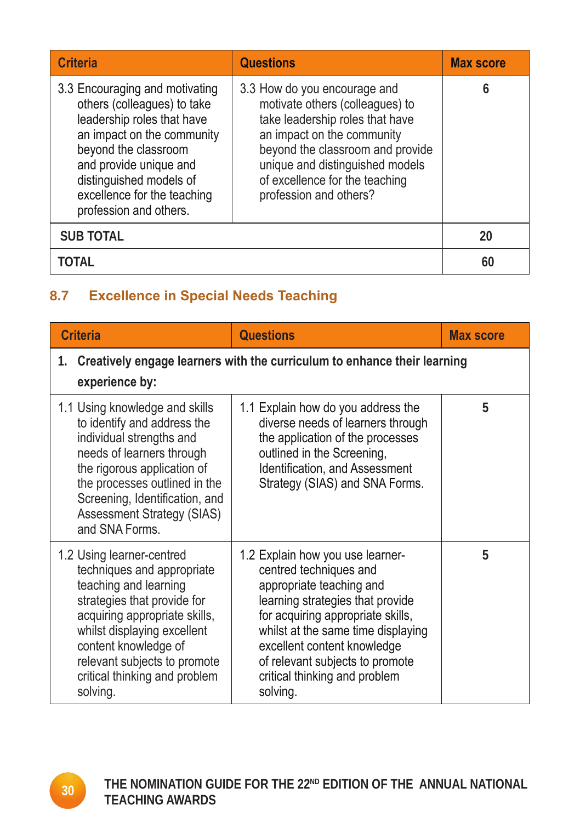| <b>Criteria</b>                                                                                                                                                                                                                                                 | <b>Questions</b>                                                                                                                                                                                                                                                    | <b>Max score</b> |
|-----------------------------------------------------------------------------------------------------------------------------------------------------------------------------------------------------------------------------------------------------------------|---------------------------------------------------------------------------------------------------------------------------------------------------------------------------------------------------------------------------------------------------------------------|------------------|
| 3.3 Encouraging and motivating<br>others (colleagues) to take<br>leadership roles that have<br>an impact on the community<br>beyond the classroom<br>and provide unique and<br>distinguished models of<br>excellence for the teaching<br>profession and others. | 3.3 How do you encourage and<br>motivate others (colleagues) to<br>take leadership roles that have<br>an impact on the community<br>beyond the classroom and provide<br>unique and distinguished models<br>of excellence for the teaching<br>profession and others? | 6                |
| <b>SUB TOTAL</b>                                                                                                                                                                                                                                                |                                                                                                                                                                                                                                                                     | 20               |
| <b>TOTAL</b>                                                                                                                                                                                                                                                    |                                                                                                                                                                                                                                                                     | 60               |

### **8.7 Excellence in Special Needs Teaching**

| <b>Criteria</b>                                                                                                                                                                                                                                                                      | <b>Questions</b>                                                                                                                                                                                                                                                                                                     | <b>Max score</b> |  |
|--------------------------------------------------------------------------------------------------------------------------------------------------------------------------------------------------------------------------------------------------------------------------------------|----------------------------------------------------------------------------------------------------------------------------------------------------------------------------------------------------------------------------------------------------------------------------------------------------------------------|------------------|--|
| experience by:                                                                                                                                                                                                                                                                       | 1. Creatively engage learners with the curriculum to enhance their learning                                                                                                                                                                                                                                          |                  |  |
| 1.1 Using knowledge and skills<br>to identify and address the<br>individual strengths and<br>needs of learners through<br>the rigorous application of<br>the processes outlined in the<br>Screening, Identification, and<br>Assessment Strategy (SIAS)<br>and SNA Forms.             | 1.1 Explain how do you address the<br>diverse needs of learners through<br>the application of the processes<br>outlined in the Screening,<br>Identification, and Assessment<br>Strategy (SIAS) and SNA Forms.                                                                                                        | 5                |  |
| 1.2 Using learner-centred<br>techniques and appropriate<br>teaching and learning<br>strategies that provide for<br>acquiring appropriate skills,<br>whilst displaying excellent<br>content knowledge of<br>relevant subjects to promote<br>critical thinking and problem<br>solving. | 1.2 Explain how you use learner-<br>centred techniques and<br>appropriate teaching and<br>learning strategies that provide<br>for acquiring appropriate skills,<br>whilst at the same time displaying<br>excellent content knowledge<br>of relevant subjects to promote<br>critical thinking and problem<br>solving. | 5                |  |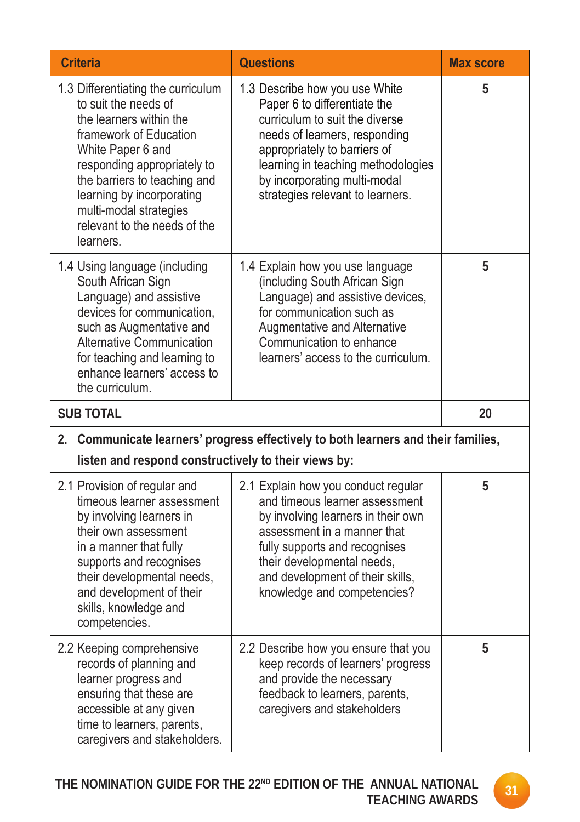| <b>Criteria</b>                                                                                                                                                                                                                                                                                         | <b>Questions</b>                                                                                                                                                                                                                                                             | <b>Max score</b> |
|---------------------------------------------------------------------------------------------------------------------------------------------------------------------------------------------------------------------------------------------------------------------------------------------------------|------------------------------------------------------------------------------------------------------------------------------------------------------------------------------------------------------------------------------------------------------------------------------|------------------|
| 1.3 Differentiating the curriculum<br>to suit the needs of<br>the learners within the<br>framework of Education<br>White Paper 6 and<br>responding appropriately to<br>the barriers to teaching and<br>learning by incorporating<br>multi-modal strategies<br>relevant to the needs of the<br>learners. | 1.3 Describe how you use White<br>Paper 6 to differentiate the<br>curriculum to suit the diverse<br>needs of learners, responding<br>appropriately to barriers of<br>learning in teaching methodologies<br>by incorporating multi-modal<br>strategies relevant to learners.  | 5                |
| 1.4 Using language (including<br>South African Sign<br>Language) and assistive<br>devices for communication,<br>such as Augmentative and<br>Alternative Communication<br>for teaching and learning to<br>enhance learners' access to<br>the curriculum.                                                 | 1.4 Explain how you use language<br>(including South African Sign<br>Language) and assistive devices,<br>for communication such as<br>Augmentative and Alternative<br>Communication to enhance<br>learners' access to the curriculum.                                        | 5                |
| <b>SUB TOTAL</b>                                                                                                                                                                                                                                                                                        |                                                                                                                                                                                                                                                                              | 20               |
|                                                                                                                                                                                                                                                                                                         | 2. Communicate learners' progress effectively to both learners and their families,                                                                                                                                                                                           |                  |
| listen and respond constructively to their views by:                                                                                                                                                                                                                                                    |                                                                                                                                                                                                                                                                              |                  |
| 2.1 Provision of regular and<br>timeous learner assessment<br>by involving learners in<br>their own assessment<br>in a manner that fully<br>supports and recognises<br>their developmental needs,<br>and development of their<br>skills, knowledge and<br>competencies.                                 | 2.1 Explain how you conduct regular<br>and timeous learner assessment<br>by involving learners in their own<br>assessment in a manner that<br>fully supports and recognises<br>their developmental needs,<br>and development of their skills,<br>knowledge and competencies? | 5                |
| 2.2 Keeping comprehensive<br>records of planning and<br>learner progress and<br>ensuring that these are<br>accessible at any given<br>time to learners, parents,<br>caregivers and stakeholders.                                                                                                        | 2.2 Describe how you ensure that you<br>keep records of learners' progress<br>and provide the necessary<br>feedback to learners, parents,<br>caregivers and stakeholders                                                                                                     | 5                |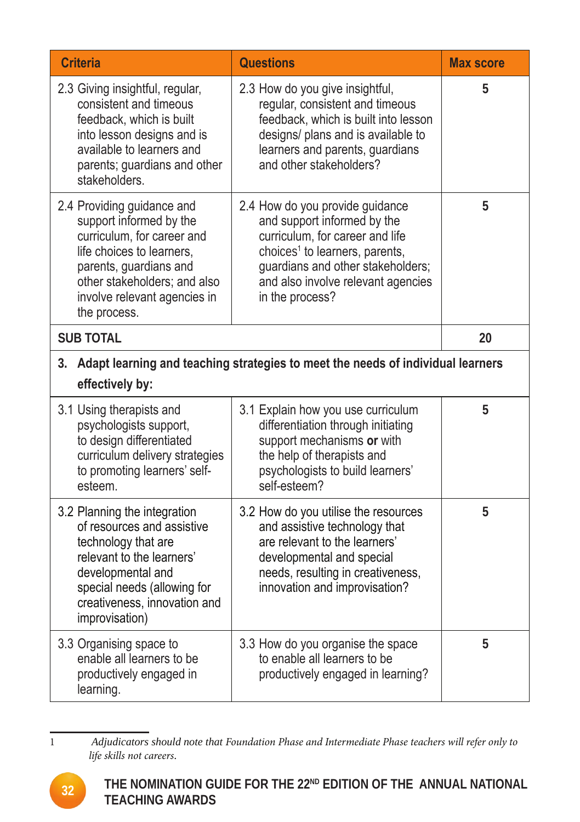| <b>Criteria</b>                                                                                                                                                                                                            | <b>Questions</b>                                                                                                                                                                                                                              | <b>Max score</b> |
|----------------------------------------------------------------------------------------------------------------------------------------------------------------------------------------------------------------------------|-----------------------------------------------------------------------------------------------------------------------------------------------------------------------------------------------------------------------------------------------|------------------|
| 2.3 Giving insightful, regular,<br>consistent and timeous<br>feedback, which is built<br>into lesson designs and is<br>available to learners and<br>parents; guardians and other<br>stakeholders.                          | 2.3 How do you give insightful,<br>regular, consistent and timeous<br>feedback, which is built into lesson<br>designs/ plans and is available to<br>learners and parents, guardians<br>and other stakeholders?                                | 5                |
| 2.4 Providing guidance and<br>support informed by the<br>curriculum, for career and<br>life choices to learners.<br>parents, guardians and<br>other stakeholders; and also<br>involve relevant agencies in<br>the process. | 2.4 How do you provide guidance<br>and support informed by the<br>curriculum, for career and life<br>choices <sup>1</sup> to learners, parents,<br>guardians and other stakeholders;<br>and also involve relevant agencies<br>in the process? | 5                |
| <b>SUB TOTAL</b>                                                                                                                                                                                                           |                                                                                                                                                                                                                                               | 20               |
| 3.                                                                                                                                                                                                                         | Adapt learning and teaching strategies to meet the needs of individual learners                                                                                                                                                               |                  |
| effectively by:                                                                                                                                                                                                            |                                                                                                                                                                                                                                               |                  |
| 3.1 Using therapists and<br>psychologists support,<br>to design differentiated<br>curriculum delivery strategies<br>to promoting learners' self-<br>esteem.                                                                | 3.1 Explain how you use curriculum<br>differentiation through initiating<br>support mechanisms or with<br>the help of therapists and<br>psychologists to build learners'<br>self-esteem?                                                      | 5                |
| 3.2 Planning the integration<br>of resources and assistive<br>technology that are<br>relevant to the learners'<br>developmental and<br>special needs (allowing for<br>creativeness, innovation and<br>improvisation)       | 3.2 How do you utilise the resources<br>and assistive technology that<br>are relevant to the learners'<br>developmental and special<br>needs, resulting in creativeness,<br>innovation and improvisation?                                     | 5                |
| 3.3 Organising space to<br>enable all learners to be<br>productively engaged in<br>learning.                                                                                                                               | 3.3 How do you organise the space<br>to enable all learners to be<br>productively engaged in learning?                                                                                                                                        | 5                |

<sup>1</sup> *Adjudicators should note that Foundation Phase and Intermediate Phase teachers will refer only to life skills not careers*.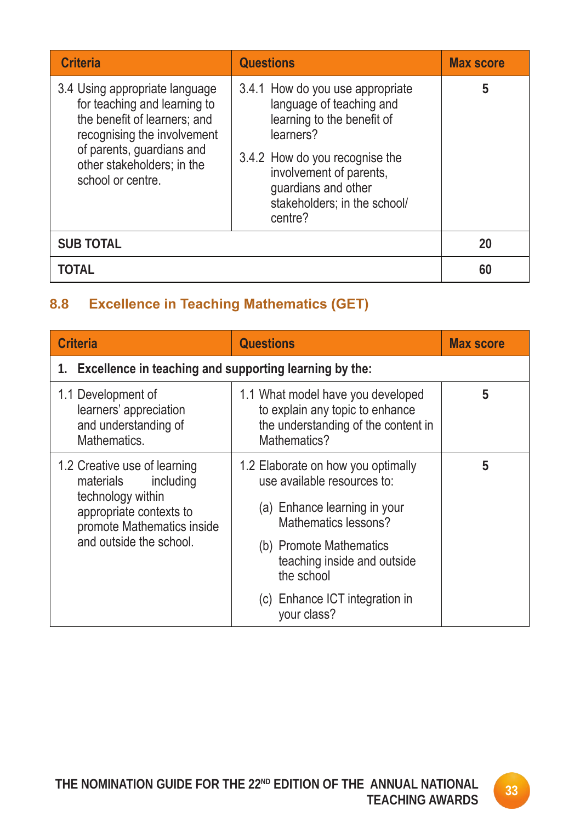| <b>Criteria</b>                                                                                                                                                                                               | <b>Questions</b>                                                                                                                                                                                                                       | <b>Max score</b> |
|---------------------------------------------------------------------------------------------------------------------------------------------------------------------------------------------------------------|----------------------------------------------------------------------------------------------------------------------------------------------------------------------------------------------------------------------------------------|------------------|
| 3.4 Using appropriate language<br>for teaching and learning to<br>the benefit of learners; and<br>recognising the involvement<br>of parents, guardians and<br>other stakeholders; in the<br>school or centre. | 3.4.1 How do you use appropriate<br>language of teaching and<br>learning to the benefit of<br>learners?<br>3.4.2 How do you recognise the<br>involvement of parents,<br>guardians and other<br>stakeholders; in the school/<br>centre? | 5                |
| <b>SUB TOTAL</b>                                                                                                                                                                                              |                                                                                                                                                                                                                                        | 20               |
| ΤΩΤΑΙ                                                                                                                                                                                                         |                                                                                                                                                                                                                                        | 60               |

### **8.8 Excellence in Teaching Mathematics (GET)**

| <b>Criteria</b>                                                                                                                                                 | <b>Questions</b>                                                                                                            | <b>Max score</b> |
|-----------------------------------------------------------------------------------------------------------------------------------------------------------------|-----------------------------------------------------------------------------------------------------------------------------|------------------|
| Excellence in teaching and supporting learning by the:<br>1.                                                                                                    |                                                                                                                             |                  |
| 1.1 Development of<br>learners' appreciation<br>and understanding of<br>Mathematics.                                                                            | 1.1 What model have you developed<br>to explain any topic to enhance<br>the understanding of the content in<br>Mathematics? | 5                |
| 1.2 Creative use of learning<br>materials<br>including<br>technology within<br>appropriate contexts to<br>promote Mathematics inside<br>and outside the school. | 1.2 Elaborate on how you optimally<br>use available resources to:<br>(a) Enhance learning in your<br>Mathematics lessons?   | 5                |
|                                                                                                                                                                 | (b) Promote Mathematics<br>teaching inside and outside<br>the school                                                        |                  |
|                                                                                                                                                                 | (c) Enhance ICT integration in<br>your class?                                                                               |                  |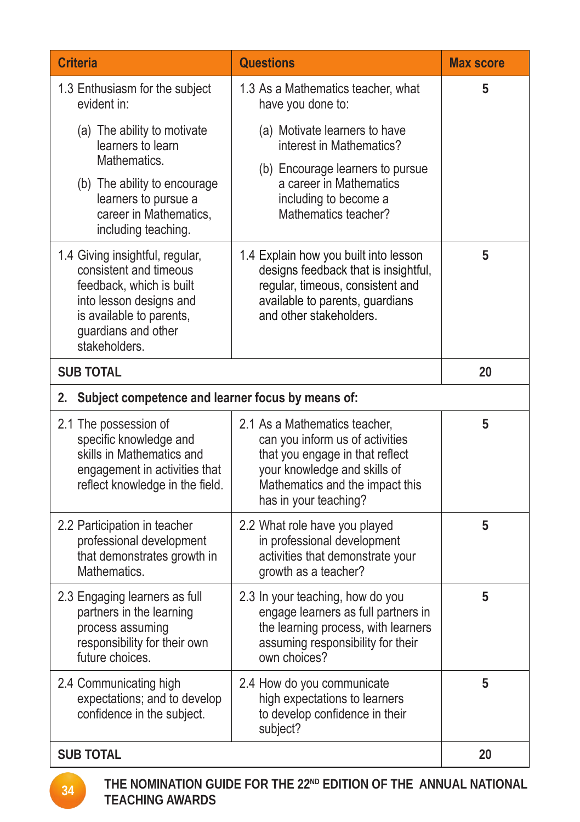| <b>Criteria</b>                                                                                                                                                                      | <b>Questions</b>                                                                                                                                                                                | <b>Max score</b> |
|--------------------------------------------------------------------------------------------------------------------------------------------------------------------------------------|-------------------------------------------------------------------------------------------------------------------------------------------------------------------------------------------------|------------------|
| 1.3 Enthusiasm for the subject<br>evident in:                                                                                                                                        | 1.3 As a Mathematics teacher, what<br>have you done to:                                                                                                                                         | 5                |
| (a) The ability to motivate<br>learners to learn<br>Mathematics.                                                                                                                     | (a) Motivate learners to have<br>interest in Mathematics?                                                                                                                                       |                  |
| (b) The ability to encourage<br>learners to pursue a<br>career in Mathematics,<br>including teaching.                                                                                | (b) Encourage learners to pursue<br>a career in Mathematics<br>including to become a<br>Mathematics teacher?                                                                                    |                  |
| 1.4 Giving insightful, regular,<br>consistent and timeous<br>feedback, which is built<br>into lesson designs and<br>is available to parents,<br>guardians and other<br>stakeholders. | 1.4 Explain how you built into lesson<br>designs feedback that is insightful,<br>regular, timeous, consistent and<br>available to parents, guardians<br>and other stakeholders.                 | 5                |
| <b>SUB TOTAL</b>                                                                                                                                                                     |                                                                                                                                                                                                 | 20               |
| Subject competence and learner focus by means of:<br>2.                                                                                                                              |                                                                                                                                                                                                 |                  |
| 2.1 The possession of<br>specific knowledge and<br>skills in Mathematics and<br>engagement in activities that<br>reflect knowledge in the field.                                     | 2.1 As a Mathematics teacher,<br>can you inform us of activities<br>that you engage in that reflect<br>your knowledge and skills of<br>Mathematics and the impact this<br>has in your teaching? | 5                |
| 2.2 Participation in teacher<br>professional development<br>that demonstrates growth in<br>Mathematics.                                                                              | 2.2 What role have you played<br>in professional development<br>activities that demonstrate your<br>growth as a teacher?                                                                        | 5                |
| 2.3 Engaging learners as full<br>partners in the learning<br>process assuming<br>responsibility for their own<br>future choices.                                                     | 2.3 In your teaching, how do you<br>engage learners as full partners in<br>the learning process, with learners<br>assuming responsibility for their<br>own choices?                             | 5                |
| 2.4 Communicating high<br>expectations; and to develop<br>confidence in the subject.                                                                                                 | 2.4 How do you communicate<br>high expectations to learners<br>to develop confidence in their<br>subject?                                                                                       | 5                |
| <b>SUB TOTAL</b>                                                                                                                                                                     |                                                                                                                                                                                                 | 20               |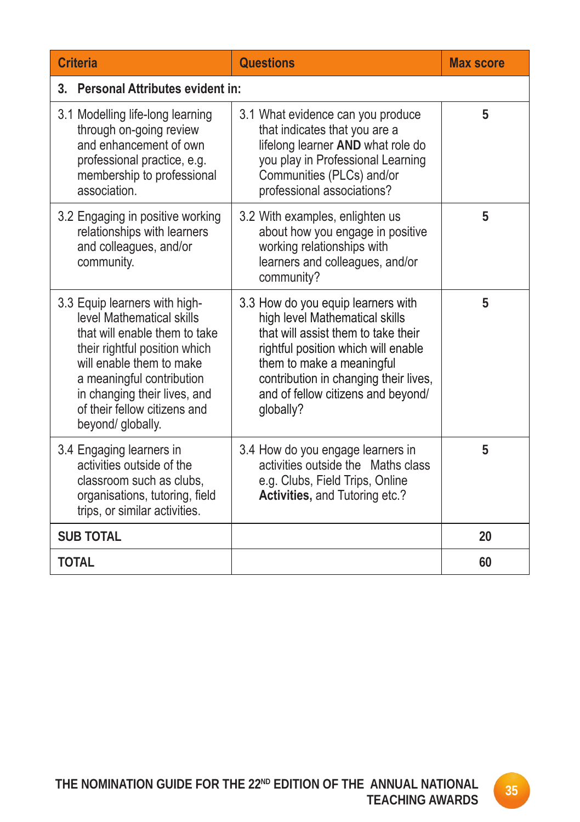| <b>Criteria</b>                                                                                                                                                                                                                                                            | <b>Questions</b>                                                                                                                                                                                                                                                            | <b>Max score</b> |
|----------------------------------------------------------------------------------------------------------------------------------------------------------------------------------------------------------------------------------------------------------------------------|-----------------------------------------------------------------------------------------------------------------------------------------------------------------------------------------------------------------------------------------------------------------------------|------------------|
| <b>Personal Attributes evident in:</b><br>3.                                                                                                                                                                                                                               |                                                                                                                                                                                                                                                                             |                  |
| 3.1 Modelling life-long learning<br>through on-going review<br>and enhancement of own<br>professional practice, e.g.<br>membership to professional<br>association.                                                                                                         | 3.1 What evidence can you produce<br>that indicates that you are a<br>lifelong learner AND what role do<br>you play in Professional Learning<br>Communities (PLCs) and/or<br>professional associations?                                                                     | 5                |
| 3.2 Engaging in positive working<br>relationships with learners<br>and colleagues, and/or<br>community.                                                                                                                                                                    | 3.2 With examples, enlighten us<br>about how you engage in positive<br>working relationships with<br>learners and colleagues, and/or<br>community?                                                                                                                          | 5                |
| 3.3 Equip learners with high-<br>level Mathematical skills<br>that will enable them to take<br>their rightful position which<br>will enable them to make<br>a meaningful contribution<br>in changing their lives, and<br>of their fellow citizens and<br>beyond/ globally. | 3.3 How do you equip learners with<br>high level Mathematical skills<br>that will assist them to take their<br>rightful position which will enable<br>them to make a meaningful<br>contribution in changing their lives,<br>and of fellow citizens and beyond/<br>globally? | 5                |
| 3.4 Engaging learners in<br>activities outside of the<br>classroom such as clubs,<br>organisations, tutoring, field<br>trips, or similar activities.                                                                                                                       | 3.4 How do you engage learners in<br>activities outside the Maths class<br>e.g. Clubs, Field Trips, Online<br>Activities, and Tutoring etc.?                                                                                                                                | 5                |
| <b>SUB TOTAL</b>                                                                                                                                                                                                                                                           |                                                                                                                                                                                                                                                                             | 20               |
| ΤΟΤΑΙ                                                                                                                                                                                                                                                                      |                                                                                                                                                                                                                                                                             | 60               |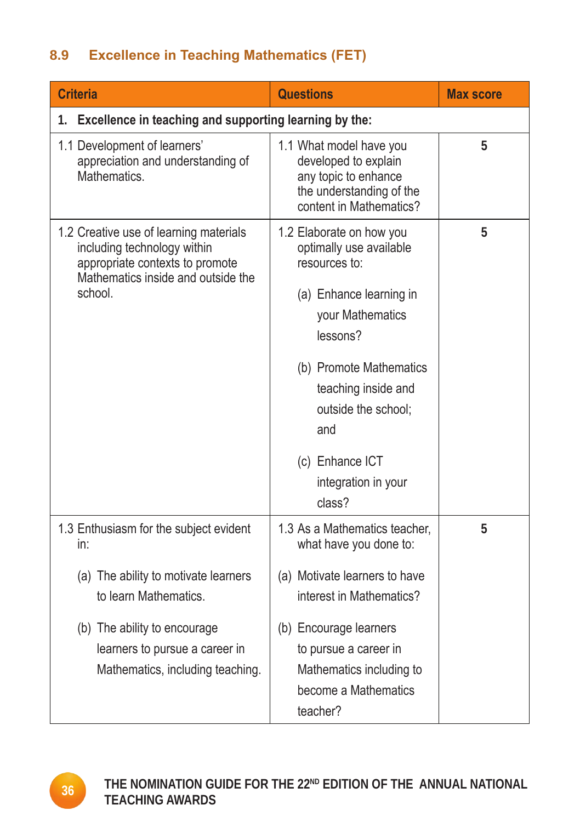### **8.9 Excellence in Teaching Mathematics (FET)**

| <b>Criteria</b>                                                                                                                                           | <b>Questions</b>                                                                                                                                                                                                                                                    | <b>Max score</b> |
|-----------------------------------------------------------------------------------------------------------------------------------------------------------|---------------------------------------------------------------------------------------------------------------------------------------------------------------------------------------------------------------------------------------------------------------------|------------------|
| Excellence in teaching and supporting learning by the:<br>1.                                                                                              |                                                                                                                                                                                                                                                                     |                  |
| 1.1 Development of learners'<br>appreciation and understanding of<br>Mathematics.                                                                         | 1.1 What model have you<br>developed to explain<br>any topic to enhance<br>the understanding of the<br>content in Mathematics?                                                                                                                                      | 5                |
| 1.2 Creative use of learning materials<br>including technology within<br>appropriate contexts to promote<br>Mathematics inside and outside the<br>school. | 1.2 Elaborate on how you<br>optimally use available<br>resources to:<br>(a) Enhance learning in<br>your Mathematics<br>lessons?<br>(b) Promote Mathematics<br>teaching inside and<br>outside the school;<br>and<br>(c) Enhance ICT<br>integration in your<br>class? | 5                |
| 1.3 Enthusiasm for the subject evident<br>in:<br>(a) The ability to motivate learners<br>to learn Mathematics.                                            | 1.3 As a Mathematics teacher,<br>what have you done to:<br>(a) Motivate learners to have<br>interest in Mathematics?                                                                                                                                                | 5                |
| (b) The ability to encourage<br>learners to pursue a career in<br>Mathematics, including teaching.                                                        | (b) Encourage learners<br>to pursue a career in<br>Mathematics including to<br>become a Mathematics<br>teacher?                                                                                                                                                     |                  |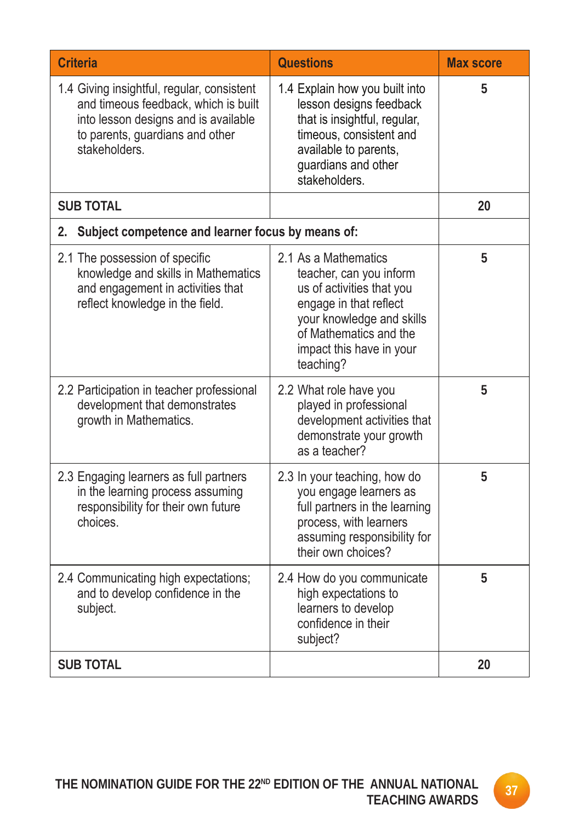| <b>Criteria</b>                                                                                                                                                                | <b>Questions</b>                                                                                                                                                                                       | <b>Max score</b> |
|--------------------------------------------------------------------------------------------------------------------------------------------------------------------------------|--------------------------------------------------------------------------------------------------------------------------------------------------------------------------------------------------------|------------------|
| 1.4 Giving insightful, regular, consistent<br>and timeous feedback, which is built<br>into lesson designs and is available<br>to parents, guardians and other<br>stakeholders. | 1.4 Explain how you built into<br>lesson designs feedback<br>that is insightful, regular,<br>timeous, consistent and<br>available to parents,<br>guardians and other<br>stakeholders.                  | 5                |
| <b>SUB TOTAL</b>                                                                                                                                                               |                                                                                                                                                                                                        | 20               |
| Subject competence and learner focus by means of:<br>2.                                                                                                                        |                                                                                                                                                                                                        |                  |
| 2.1 The possession of specific<br>knowledge and skills in Mathematics<br>and engagement in activities that<br>reflect knowledge in the field.                                  | 2.1 As a Mathematics<br>teacher, can you inform<br>us of activities that you<br>engage in that reflect<br>your knowledge and skills<br>of Mathematics and the<br>impact this have in your<br>teaching? | 5                |
| 2.2 Participation in teacher professional<br>development that demonstrates<br>growth in Mathematics.                                                                           | 2.2 What role have you<br>played in professional<br>development activities that<br>demonstrate your growth<br>as a teacher?                                                                            | 5                |
| 2.3 Engaging learners as full partners<br>in the learning process assuming<br>responsibility for their own future<br>choices.                                                  | 2.3 In your teaching, how do<br>you engage learners as<br>full partners in the learning<br>process, with learners<br>assuming responsibility for<br>their own choices?                                 | 5                |
| 2.4 Communicating high expectations;<br>and to develop confidence in the<br>subject.                                                                                           | 2.4 How do you communicate<br>high expectations to<br>learners to develop<br>confidence in their<br>subject?                                                                                           | 5                |
| <b>SUB TOTAL</b>                                                                                                                                                               |                                                                                                                                                                                                        | 20               |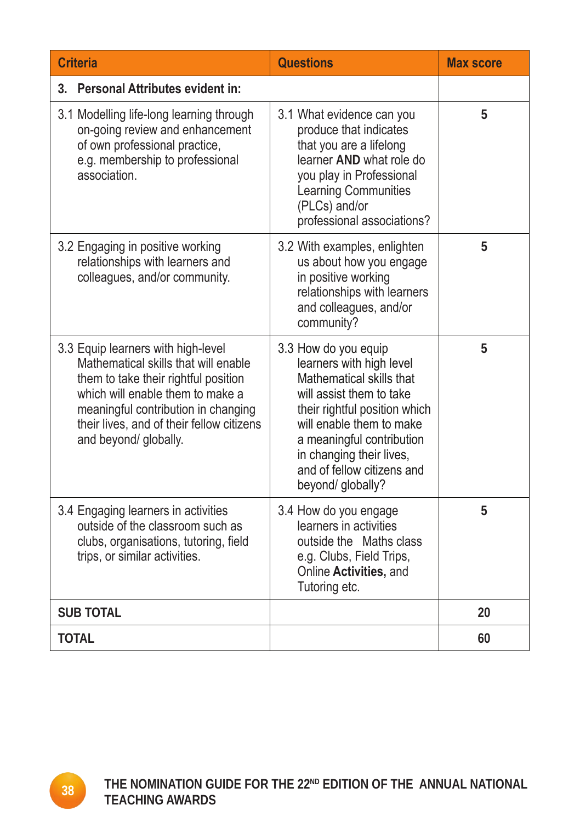| <b>Criteria</b>                                                                                                                                                                                                                                                     | <b>Questions</b>                                                                                                                                                                                                                                                                  | <b>Max score</b> |
|---------------------------------------------------------------------------------------------------------------------------------------------------------------------------------------------------------------------------------------------------------------------|-----------------------------------------------------------------------------------------------------------------------------------------------------------------------------------------------------------------------------------------------------------------------------------|------------------|
| <b>Personal Attributes evident in:</b><br>3.                                                                                                                                                                                                                        |                                                                                                                                                                                                                                                                                   |                  |
| 3.1 Modelling life-long learning through<br>on-going review and enhancement<br>of own professional practice,<br>e.g. membership to professional<br>association.                                                                                                     | 3.1 What evidence can you<br>produce that indicates<br>that you are a lifelong<br>learner AND what role do<br>you play in Professional<br>Learning Communities<br>(PLCs) and/or<br>professional associations?                                                                     | 5                |
| 3.2 Engaging in positive working<br>relationships with learners and<br>colleagues, and/or community.                                                                                                                                                                | 3.2 With examples, enlighten<br>us about how you engage<br>in positive working<br>relationships with learners<br>and colleagues, and/or<br>community?                                                                                                                             | 5                |
| 3.3 Equip learners with high-level<br>Mathematical skills that will enable<br>them to take their rightful position<br>which will enable them to make a<br>meaningful contribution in changing<br>their lives, and of their fellow citizens<br>and beyond/ globally. | 3.3 How do you equip<br>learners with high level<br>Mathematical skills that<br>will assist them to take<br>their rightful position which<br>will enable them to make<br>a meaningful contribution<br>in changing their lives,<br>and of fellow citizens and<br>beyond/ globally? | 5                |
| 3.4 Engaging learners in activities<br>outside of the classroom such as<br>clubs, organisations, tutoring, field<br>trips, or similar activities.                                                                                                                   | 3.4 How do you engage<br>learners in activities<br>outside the Maths class<br>e.g. Clubs, Field Trips,<br>Online Activities, and<br>Tutoring etc.                                                                                                                                 | 5                |
| <b>SUB TOTAL</b>                                                                                                                                                                                                                                                    |                                                                                                                                                                                                                                                                                   | 20               |
| <b>TOTAL</b>                                                                                                                                                                                                                                                        |                                                                                                                                                                                                                                                                                   | 60               |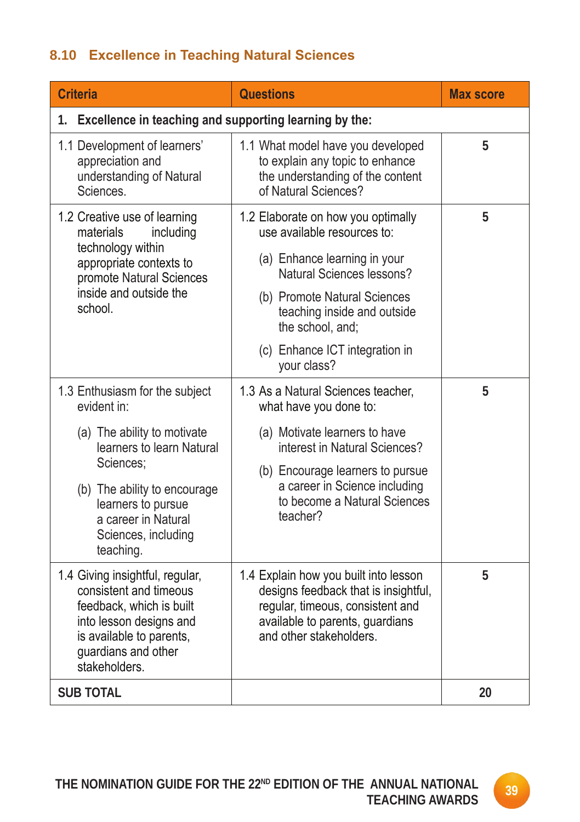### **8.10 Excellence in Teaching Natural Sciences**

| <b>Criteria</b>                                                                                                                                                                                                                         | <b>Questions</b>                                                                                                                                                                                                                                                   | <b>Max score</b> |
|-----------------------------------------------------------------------------------------------------------------------------------------------------------------------------------------------------------------------------------------|--------------------------------------------------------------------------------------------------------------------------------------------------------------------------------------------------------------------------------------------------------------------|------------------|
| Excellence in teaching and supporting learning by the:<br>1.                                                                                                                                                                            |                                                                                                                                                                                                                                                                    |                  |
| 1.1 Development of learners'<br>appreciation and<br>understanding of Natural<br>Sciences.                                                                                                                                               | 1.1 What model have you developed<br>to explain any topic to enhance<br>the understanding of the content<br>of Natural Sciences?                                                                                                                                   | 5                |
| 1.2 Creative use of learning<br>materials<br>including<br>technology within<br>appropriate contexts to<br>promote Natural Sciences<br>inside and outside the<br>school.                                                                 | 1.2 Elaborate on how you optimally<br>use available resources to:<br>(a) Enhance learning in your<br>Natural Sciences lessons?<br>(b) Promote Natural Sciences<br>teaching inside and outside<br>the school, and;<br>(c) Enhance ICT integration in<br>your class? | 5                |
| 1.3 Enthusiasm for the subject<br>evident in:<br>(a) The ability to motivate<br>learners to learn Natural<br>Sciences:<br>(b) The ability to encourage<br>learners to pursue<br>a career in Natural<br>Sciences, including<br>teaching. | 1.3 As a Natural Sciences teacher,<br>what have you done to:<br>(a) Motivate learners to have<br>interest in Natural Sciences?<br>(b) Encourage learners to pursue<br>a career in Science including<br>to become a Natural Sciences<br>teacher?                    | 5                |
| 1.4 Giving insightful, regular,<br>consistent and timeous<br>feedback, which is built<br>into lesson designs and<br>is available to parents,<br>guardians and other<br>stakeholders.                                                    | 1.4 Explain how you built into lesson<br>designs feedback that is insightful,<br>regular, timeous, consistent and<br>available to parents, guardians<br>and other stakeholders.                                                                                    | 5                |
| <b>SUB TOTAL</b>                                                                                                                                                                                                                        |                                                                                                                                                                                                                                                                    | 20               |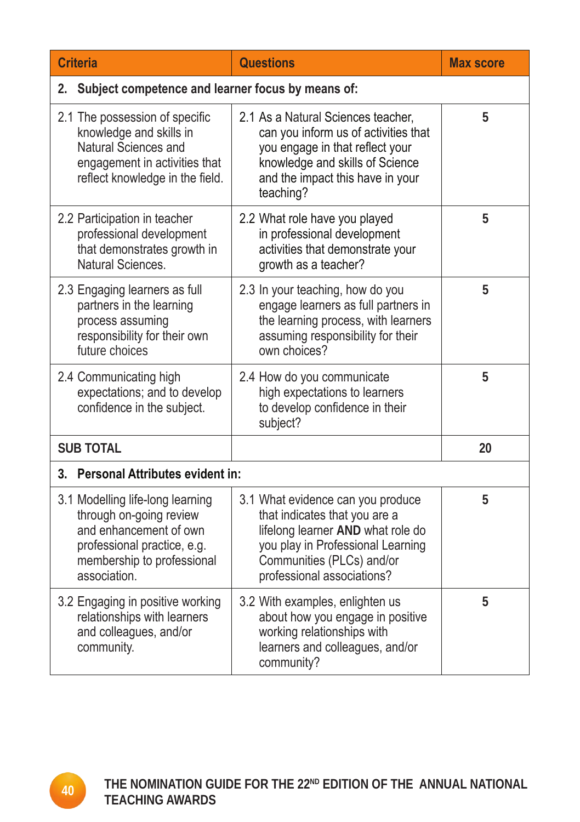| <b>Criteria</b>                                                                                                                                                    | <b>Questions</b>                                                                                                                                                                                        | <b>Max score</b> |  |
|--------------------------------------------------------------------------------------------------------------------------------------------------------------------|---------------------------------------------------------------------------------------------------------------------------------------------------------------------------------------------------------|------------------|--|
| 2.                                                                                                                                                                 | Subject competence and learner focus by means of:                                                                                                                                                       |                  |  |
| 2.1 The possession of specific<br>knowledge and skills in<br>Natural Sciences and<br>engagement in activities that<br>reflect knowledge in the field.              | 2.1 As a Natural Sciences teacher,<br>can you inform us of activities that<br>you engage in that reflect your<br>knowledge and skills of Science<br>and the impact this have in your<br>teaching?       | 5                |  |
| 2.2 Participation in teacher<br>professional development<br>that demonstrates growth in<br>Natural Sciences.                                                       | 2.2 What role have you played<br>in professional development<br>activities that demonstrate your<br>growth as a teacher?                                                                                | 5                |  |
| 2.3 Engaging learners as full<br>partners in the learning<br>process assuming<br>responsibility for their own<br>future choices                                    | 2.3 In your teaching, how do you<br>engage learners as full partners in<br>the learning process, with learners<br>assuming responsibility for their<br>own choices?                                     | 5                |  |
| 2.4 Communicating high<br>expectations; and to develop<br>confidence in the subject.                                                                               | 2.4 How do you communicate<br>high expectations to learners<br>to develop confidence in their<br>subject?                                                                                               | 5                |  |
| <b>SUB TOTAL</b>                                                                                                                                                   |                                                                                                                                                                                                         | 20               |  |
| <b>Personal Attributes evident in:</b><br>3.                                                                                                                       |                                                                                                                                                                                                         |                  |  |
| 3.1 Modelling life-long learning<br>through on-going review<br>and enhancement of own<br>professional practice, e.g.<br>membership to professional<br>association. | 3.1 What evidence can you produce<br>that indicates that you are a<br>lifelong learner AND what role do<br>you play in Professional Learning<br>Communities (PLCs) and/or<br>professional associations? | 5                |  |
| 3.2 Engaging in positive working<br>relationships with learners<br>and colleagues, and/or<br>community.                                                            | 3.2 With examples, enlighten us<br>about how you engage in positive<br>working relationships with<br>learners and colleagues, and/or<br>community?                                                      | 5                |  |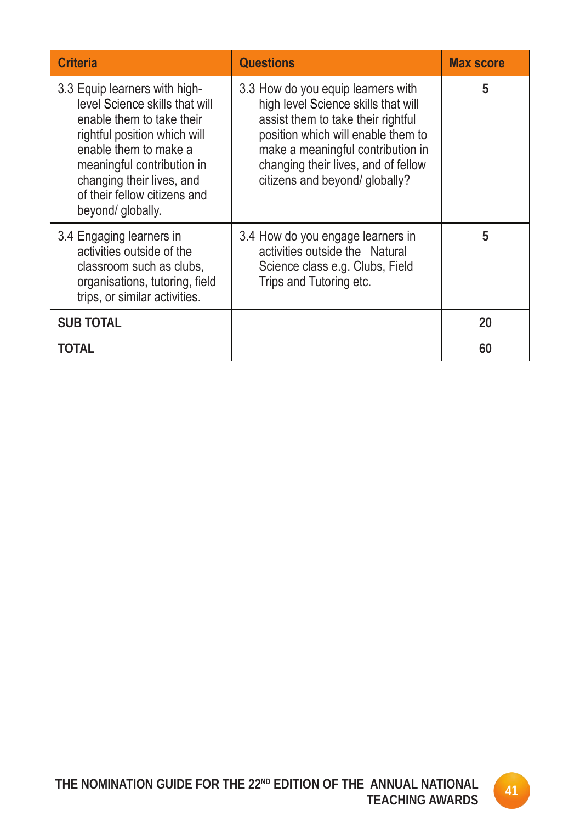| <b>Criteria</b>                                                                                                                                                                                                                                                       | <b>Questions</b>                                                                                                                                                                                                                                                    | <b>Max score</b> |
|-----------------------------------------------------------------------------------------------------------------------------------------------------------------------------------------------------------------------------------------------------------------------|---------------------------------------------------------------------------------------------------------------------------------------------------------------------------------------------------------------------------------------------------------------------|------------------|
| 3.3 Equip learners with high-<br>level Science skills that will<br>enable them to take their<br>rightful position which will<br>enable them to make a<br>meaningful contribution in<br>changing their lives, and<br>of their fellow citizens and<br>beyond/ globally. | 3.3 How do you equip learners with<br>high level Science skills that will<br>assist them to take their rightful<br>position which will enable them to<br>make a meaningful contribution in<br>changing their lives, and of fellow<br>citizens and beyond/ globally? | 5                |
| 3.4 Engaging learners in<br>activities outside of the<br>classroom such as clubs,<br>organisations, tutoring, field<br>trips, or similar activities.                                                                                                                  | 3.4 How do you engage learners in<br>activities outside the Natural<br>Science class e.g. Clubs, Field<br>Trips and Tutoring etc.                                                                                                                                   | 5                |
| <b>SUB TOTAL</b>                                                                                                                                                                                                                                                      |                                                                                                                                                                                                                                                                     | 20               |
| ΤΟΤΑΙ                                                                                                                                                                                                                                                                 |                                                                                                                                                                                                                                                                     | 60               |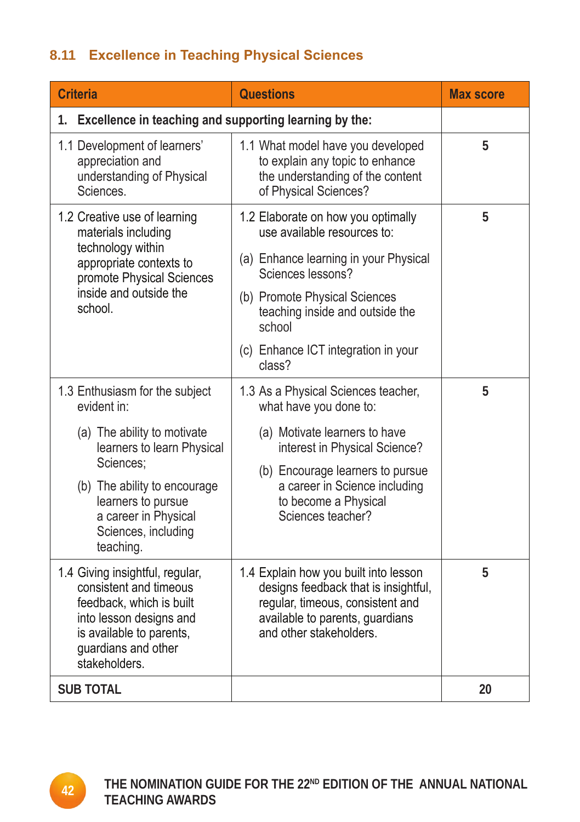### **8.11 Excellence in Teaching Physical Sciences**

| <b>Criteria</b>                                                                                                                                                                                                                           | <b>Questions</b>                                                                                                                                                                                                                                               | <b>Max score</b> |
|-------------------------------------------------------------------------------------------------------------------------------------------------------------------------------------------------------------------------------------------|----------------------------------------------------------------------------------------------------------------------------------------------------------------------------------------------------------------------------------------------------------------|------------------|
| Excellence in teaching and supporting learning by the:<br>1.                                                                                                                                                                              |                                                                                                                                                                                                                                                                |                  |
| 1.1 Development of learners'<br>appreciation and<br>understanding of Physical<br>Sciences.                                                                                                                                                | 1.1 What model have you developed<br>to explain any topic to enhance<br>the understanding of the content<br>of Physical Sciences?                                                                                                                              | 5                |
| 1.2 Creative use of learning<br>materials including<br>technology within<br>appropriate contexts to<br>promote Physical Sciences<br>inside and outside the<br>school.                                                                     | 1.2 Elaborate on how you optimally<br>use available resources to:<br>(a) Enhance learning in your Physical<br>Sciences lessons?<br>(b) Promote Physical Sciences<br>teaching inside and outside the<br>school<br>(c) Enhance ICT integration in your<br>class? | 5                |
| 1.3 Enthusiasm for the subject<br>evident in:<br>(a) The ability to motivate<br>learners to learn Physical<br>Sciences:<br>(b) The ability to encourage<br>learners to pursue<br>a career in Physical<br>Sciences, including<br>teaching. | 1.3 As a Physical Sciences teacher,<br>what have you done to:<br>(a) Motivate learners to have<br>interest in Physical Science?<br>(b) Encourage learners to pursue<br>a career in Science including<br>to become a Physical<br>Sciences teacher?              | 5                |
| 1.4 Giving insightful, regular,<br>consistent and timeous<br>feedback, which is built<br>into lesson designs and<br>is available to parents,<br>guardians and other<br>stakeholders.                                                      | 1.4 Explain how you built into lesson<br>designs feedback that is insightful,<br>regular, timeous, consistent and<br>available to parents, guardians<br>and other stakeholders.                                                                                | 5                |
| <b>SUB TOTAL</b>                                                                                                                                                                                                                          |                                                                                                                                                                                                                                                                | 20               |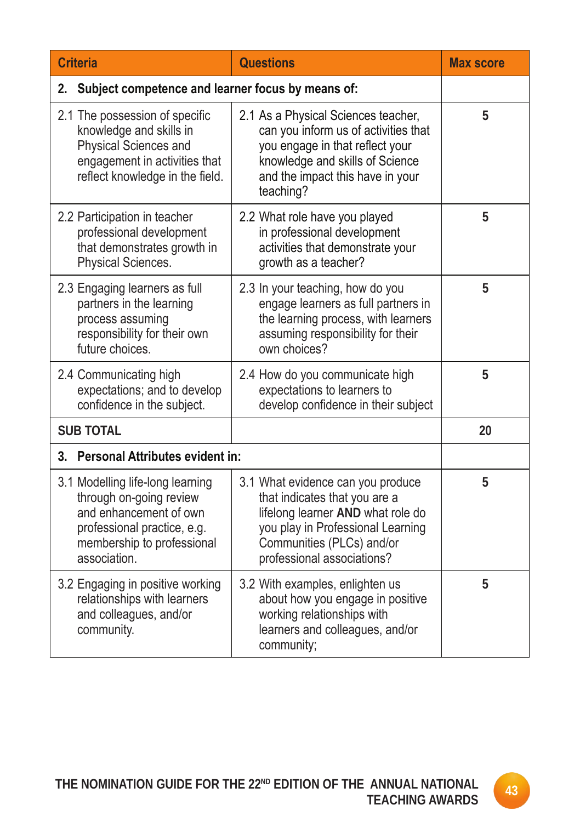| <b>Criteria</b>                                                                                                                                                    | <b>Questions</b>                                                                                                                                                                                        | <b>Max score</b> |
|--------------------------------------------------------------------------------------------------------------------------------------------------------------------|---------------------------------------------------------------------------------------------------------------------------------------------------------------------------------------------------------|------------------|
| Subject competence and learner focus by means of:<br>2.                                                                                                            |                                                                                                                                                                                                         |                  |
| 2.1 The possession of specific<br>knowledge and skills in<br>Physical Sciences and<br>engagement in activities that<br>reflect knowledge in the field.             | 2.1 As a Physical Sciences teacher,<br>can you inform us of activities that<br>you engage in that reflect your<br>knowledge and skills of Science<br>and the impact this have in your<br>teaching?      | 5                |
| 2.2 Participation in teacher<br>professional development<br>that demonstrates growth in<br>Physical Sciences.                                                      | 2.2 What role have you played<br>in professional development<br>activities that demonstrate your<br>growth as a teacher?                                                                                | 5                |
| 2.3 Engaging learners as full<br>partners in the learning<br>process assuming<br>responsibility for their own<br>future choices.                                   | 2.3 In your teaching, how do you<br>engage learners as full partners in<br>the learning process, with learners<br>assuming responsibility for their<br>own choices?                                     | 5                |
| 2.4 Communicating high<br>expectations; and to develop<br>confidence in the subject.                                                                               | 2.4 How do you communicate high<br>expectations to learners to<br>develop confidence in their subject                                                                                                   | 5                |
| <b>SUB TOTAL</b>                                                                                                                                                   |                                                                                                                                                                                                         | 20               |
| <b>Personal Attributes evident in:</b><br>3.                                                                                                                       |                                                                                                                                                                                                         |                  |
| 3.1 Modelling life-long learning<br>through on-going review<br>and enhancement of own<br>professional practice, e.g.<br>membership to professional<br>association. | 3.1 What evidence can you produce<br>that indicates that you are a<br>lifelong learner AND what role do<br>you play in Professional Learning<br>Communities (PLCs) and/or<br>professional associations? | 5                |
| 3.2 Engaging in positive working<br>relationships with learners<br>and colleagues, and/or<br>community.                                                            | 3.2 With examples, enlighten us<br>about how you engage in positive<br>working relationships with<br>learners and colleagues, and/or<br>community;                                                      | 5                |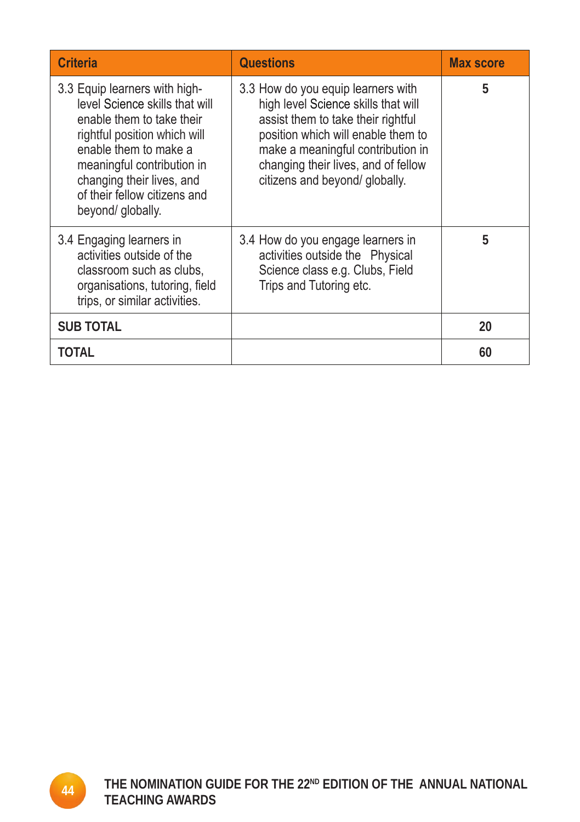| <b>Criteria</b>                                                                                                                                                                                                                                                       | <b>Questions</b>                                                                                                                                                                                                                                                    | <b>Max score</b> |
|-----------------------------------------------------------------------------------------------------------------------------------------------------------------------------------------------------------------------------------------------------------------------|---------------------------------------------------------------------------------------------------------------------------------------------------------------------------------------------------------------------------------------------------------------------|------------------|
| 3.3 Equip learners with high-<br>level Science skills that will<br>enable them to take their<br>rightful position which will<br>enable them to make a<br>meaningful contribution in<br>changing their lives, and<br>of their fellow citizens and<br>beyond/ globally. | 3.3 How do you equip learners with<br>high level Science skills that will<br>assist them to take their rightful<br>position which will enable them to<br>make a meaningful contribution in<br>changing their lives, and of fellow<br>citizens and beyond/ globally. | 5                |
| 3.4 Engaging learners in<br>activities outside of the<br>classroom such as clubs,<br>organisations, tutoring, field<br>trips, or similar activities.                                                                                                                  | 3.4 How do you engage learners in<br>activities outside the Physical<br>Science class e.g. Clubs, Field<br>Trips and Tutoring etc.                                                                                                                                  | 5                |
| <b>SUB TOTAL</b>                                                                                                                                                                                                                                                      |                                                                                                                                                                                                                                                                     | 20               |
| TOTAL                                                                                                                                                                                                                                                                 |                                                                                                                                                                                                                                                                     | 60               |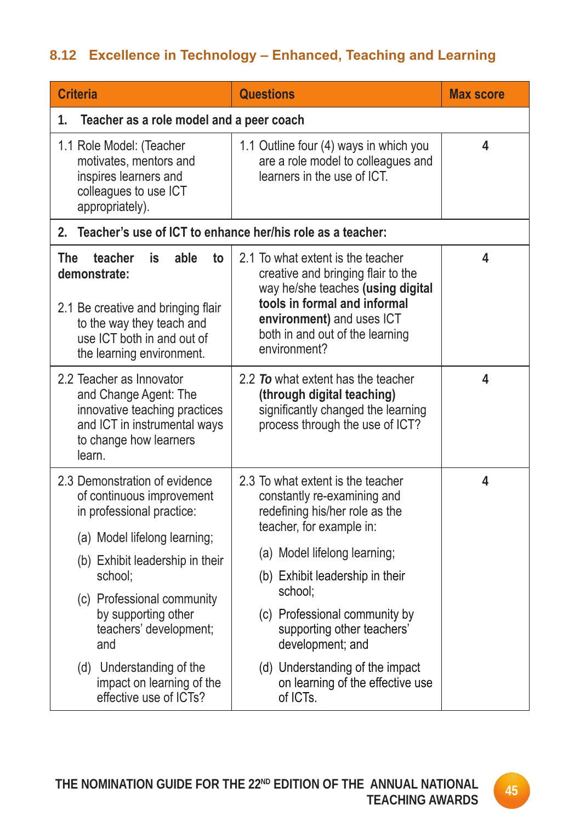### **8.12 Excellence in Technology – Enhanced, Teaching and Learning**

| <b>Criteria</b>                                                                                                                                                                  | <b>Questions</b>                                                                                                                                                                                                             | <b>Max score</b> |
|----------------------------------------------------------------------------------------------------------------------------------------------------------------------------------|------------------------------------------------------------------------------------------------------------------------------------------------------------------------------------------------------------------------------|------------------|
| 1.<br>Teacher as a role model and a peer coach                                                                                                                                   |                                                                                                                                                                                                                              |                  |
| 1.1 Role Model: (Teacher<br>motivates, mentors and<br>inspires learners and<br>colleagues to use ICT<br>appropriately).                                                          | 1.1 Outline four (4) ways in which you<br>are a role model to colleagues and<br>learners in the use of ICT.                                                                                                                  | 4                |
| 2.                                                                                                                                                                               | Teacher's use of ICT to enhance her/his role as a teacher:                                                                                                                                                                   |                  |
| teacher<br>able<br>The<br>is<br>to<br>demonstrate:<br>2.1 Be creative and bringing flair<br>to the way they teach and<br>use ICT both in and out of<br>the learning environment. | 2.1 To what extent is the teacher<br>creative and bringing flair to the<br>way he/she teaches (using digital<br>tools in formal and informal<br>environment) and uses ICT<br>both in and out of the learning<br>environment? | 4                |
| 2.2 Teacher as Innovator<br>and Change Agent: The<br>innovative teaching practices<br>and ICT in instrumental ways<br>to change how learners<br>learn.                           | 2.2 To what extent has the teacher<br>(through digital teaching)<br>significantly changed the learning<br>process through the use of ICT?                                                                                    | 4                |
| 2.3 Demonstration of evidence<br>of continuous improvement<br>in professional practice:<br>(a) Model lifelong learning;                                                          | 2.3 To what extent is the teacher<br>constantly re-examining and<br>redefining his/her role as the<br>teacher, for example in:<br>(a) Model lifelong learning;                                                               | 4                |
| (b) Exhibit leadership in their<br>school;<br>(c) Professional community<br>by supporting other<br>teachers' development;<br>and                                                 | (b) Exhibit leadership in their<br>school:<br>(c) Professional community by<br>supporting other teachers'<br>development; and                                                                                                |                  |
| (d) Understanding of the<br>impact on learning of the<br>effective use of ICTs?                                                                                                  | (d) Understanding of the impact<br>on learning of the effective use<br>of ICTs.                                                                                                                                              |                  |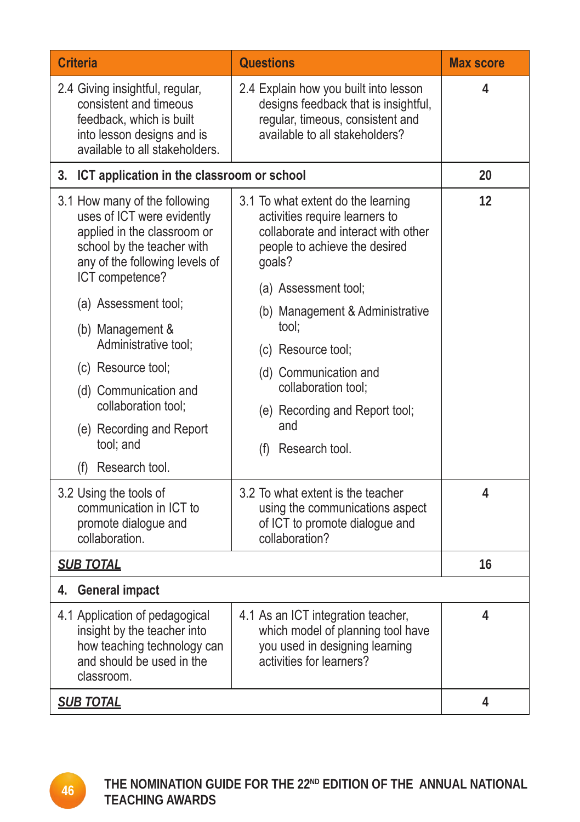| <b>Criteria</b>                                                                                                                                                                                                                                                                                                                                                                        | <b>Questions</b>                                                                                                                                                                                                                                                                                                                                                | <b>Max score</b> |
|----------------------------------------------------------------------------------------------------------------------------------------------------------------------------------------------------------------------------------------------------------------------------------------------------------------------------------------------------------------------------------------|-----------------------------------------------------------------------------------------------------------------------------------------------------------------------------------------------------------------------------------------------------------------------------------------------------------------------------------------------------------------|------------------|
| 2.4 Giving insightful, regular,<br>consistent and timeous<br>feedback, which is built<br>into lesson designs and is<br>available to all stakeholders.                                                                                                                                                                                                                                  | 2.4 Explain how you built into lesson<br>designs feedback that is insightful,<br>regular, timeous, consistent and<br>available to all stakeholders?                                                                                                                                                                                                             | 4                |
| ICT application in the classroom or school<br>3.                                                                                                                                                                                                                                                                                                                                       |                                                                                                                                                                                                                                                                                                                                                                 | 20               |
| 3.1 How many of the following<br>uses of ICT were evidently<br>applied in the classroom or<br>school by the teacher with<br>any of the following levels of<br>ICT competence?<br>(a) Assessment tool;<br>(b) Management &<br>Administrative tool;<br>(c) Resource tool;<br>(d) Communication and<br>collaboration tool;<br>(e) Recording and Report<br>tool; and<br>(f) Research tool. | 3.1 To what extent do the learning<br>activities require learners to<br>collaborate and interact with other<br>people to achieve the desired<br>goals?<br>(a) Assessment tool;<br>(b) Management & Administrative<br>tool:<br>(c) Resource tool;<br>(d) Communication and<br>collaboration tool;<br>(e) Recording and Report tool;<br>and<br>(f) Research tool. | 12               |
| 3.2 Using the tools of<br>communication in ICT to<br>promote dialogue and<br>collaboration.                                                                                                                                                                                                                                                                                            | 3.2 To what extent is the teacher<br>using the communications aspect<br>of ICT to promote dialogue and<br>collaboration?                                                                                                                                                                                                                                        | 4                |
| <b>SUB TOTAL</b>                                                                                                                                                                                                                                                                                                                                                                       |                                                                                                                                                                                                                                                                                                                                                                 | 16               |
| <b>General impact</b><br>4.                                                                                                                                                                                                                                                                                                                                                            |                                                                                                                                                                                                                                                                                                                                                                 |                  |
| 4.1 Application of pedagogical<br>insight by the teacher into<br>how teaching technology can<br>and should be used in the<br>classroom.                                                                                                                                                                                                                                                | 4.1 As an ICT integration teacher,<br>which model of planning tool have<br>you used in designing learning<br>activities for learners?                                                                                                                                                                                                                           | 4                |
| <u>SUB TOTAL</u>                                                                                                                                                                                                                                                                                                                                                                       |                                                                                                                                                                                                                                                                                                                                                                 | 4                |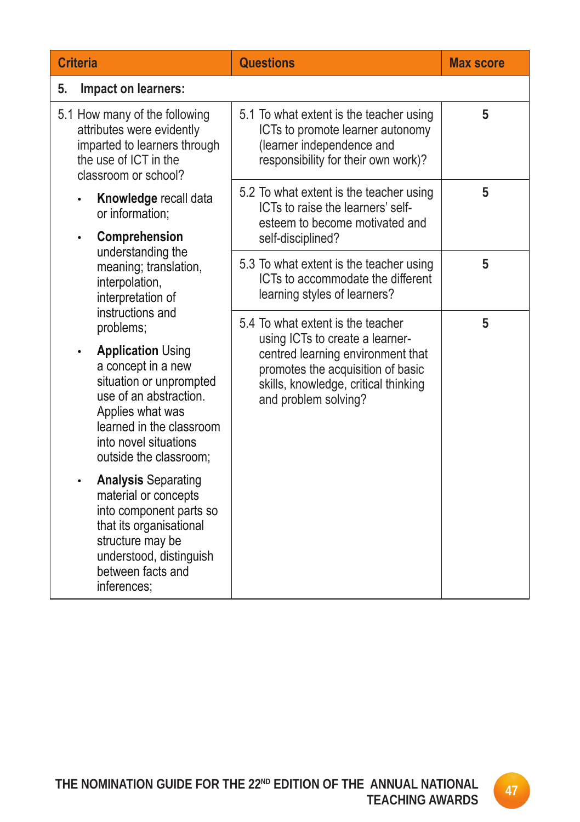| <b>Criteria</b>                                                                                                                                                                                                                  | <b>Questions</b>                                                                                                                                                                                               | <b>Max score</b> |
|----------------------------------------------------------------------------------------------------------------------------------------------------------------------------------------------------------------------------------|----------------------------------------------------------------------------------------------------------------------------------------------------------------------------------------------------------------|------------------|
| 5.<br>Impact on learners:                                                                                                                                                                                                        |                                                                                                                                                                                                                |                  |
| 5.1 How many of the following<br>attributes were evidently<br>imparted to learners through<br>the use of ICT in the<br>classroom or school?                                                                                      | 5.1 To what extent is the teacher using<br>ICTs to promote learner autonomy<br>(learner independence and<br>responsibility for their own work)?                                                                | 5                |
| Knowledge recall data<br>$\bullet$<br>or information;<br>Comprehension<br>$\bullet$                                                                                                                                              | 5.2 To what extent is the teacher using<br>ICTs to raise the learners' self-<br>esteem to become motivated and<br>self-disciplined?                                                                            | 5                |
| understanding the<br>meaning; translation,<br>interpolation,<br>interpretation of<br>instructions and                                                                                                                            | 5.3 To what extent is the teacher using<br>ICTs to accommodate the different<br>learning styles of learners?                                                                                                   | 5                |
| problems;<br><b>Application Using</b><br>$\bullet$<br>a concept in a new<br>situation or unprompted<br>use of an abstraction.<br>Applies what was<br>learned in the classroom<br>into novel situations<br>outside the classroom; | 5.4 To what extent is the teacher<br>using ICTs to create a learner-<br>centred learning environment that<br>promotes the acquisition of basic<br>skills, knowledge, critical thinking<br>and problem solving? | 5                |
| <b>Analysis Separating</b><br>$\bullet$<br>material or concepts<br>into component parts so<br>that its organisational<br>structure may be<br>understood, distinguish<br>between facts and<br>inferences;                         |                                                                                                                                                                                                                |                  |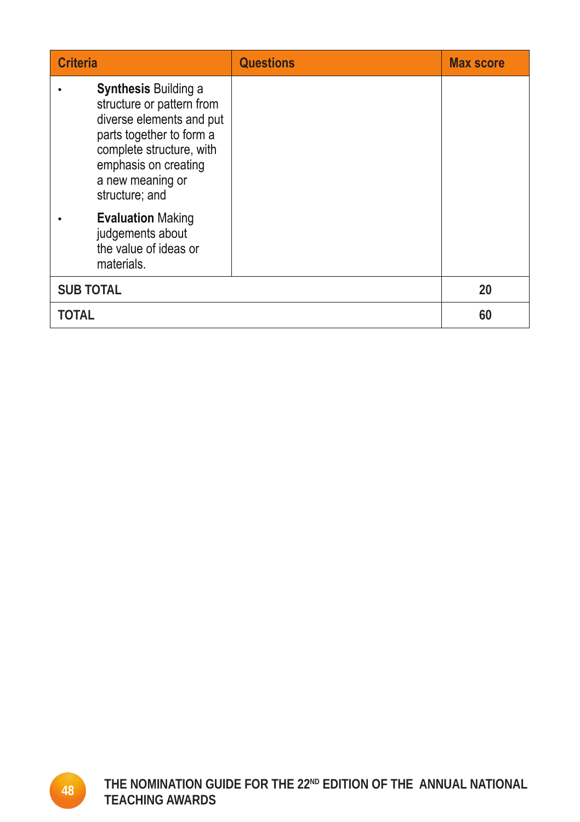| <b>Criteria</b>                                                                                                                                                                                            | <b>Questions</b> | <b>Max score</b> |
|------------------------------------------------------------------------------------------------------------------------------------------------------------------------------------------------------------|------------------|------------------|
| <b>Synthesis Building a</b><br>structure or pattern from<br>diverse elements and put<br>parts together to form a<br>complete structure, with<br>emphasis on creating<br>a new meaning or<br>structure; and |                  |                  |
| <b>Evaluation Making</b><br>judgements about<br>the value of ideas or<br>materials.                                                                                                                        |                  |                  |
| <b>SUB TOTAL</b>                                                                                                                                                                                           |                  | 20               |
| TOTAL                                                                                                                                                                                                      |                  | 60               |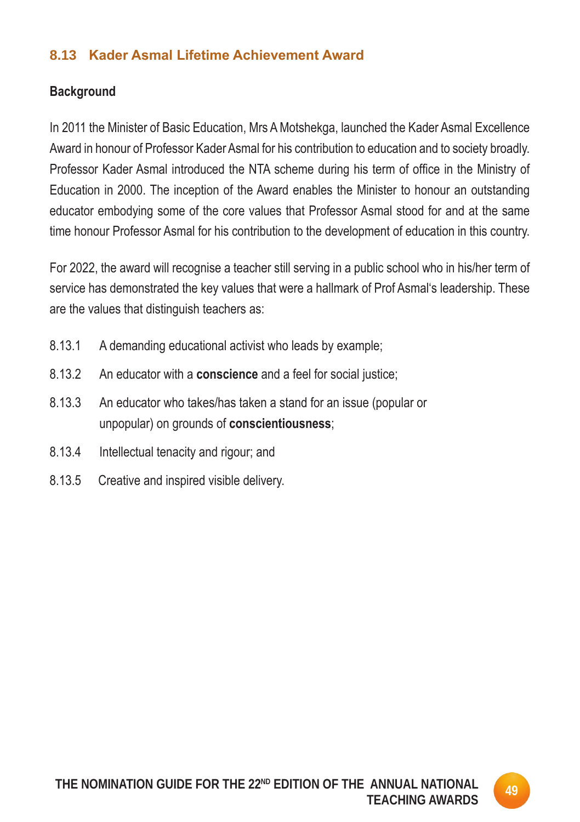### **8.13 Kader Asmal Lifetime Achievement Award**

#### **Background**

In 2011 the Minister of Basic Education, Mrs A Motshekga, launched the Kader Asmal Excellence Award in honour of Professor Kader Asmal for his contribution to education and to society broadly. Professor Kader Asmal introduced the NTA scheme during his term of office in the Ministry of Education in 2000. The inception of the Award enables the Minister to honour an outstanding educator embodying some of the core values that Professor Asmal stood for and at the same time honour Professor Asmal for his contribution to the development of education in this country.

For 2022, the award will recognise a teacher still serving in a public school who in his/her term of service has demonstrated the key values that were a hallmark of Prof Asmal's leadership. These are the values that distinguish teachers as:

- 8.13.1 A demanding educational activist who leads by example;
- 8.13.2 An educator with a **conscience** and a feel for social justice;
- 8.13.3 An educator who takes/has taken a stand for an issue (popular or unpopular) on grounds of **conscientiousness**;
- 8.13.4 Intellectual tenacity and rigour; and
- 8.13.5 Creative and inspired visible delivery.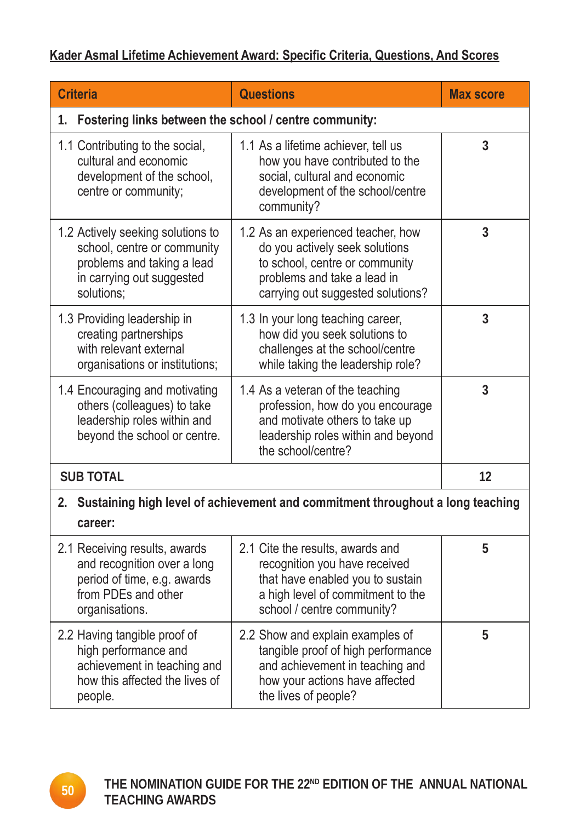### **Kader Asmal Lifetime Achievement Award: Specific Criteria, Questions, And Scores**

| <b>Criteria</b>                                                                                                                           | <b>Questions</b>                                                                                                                                                           | <b>Max score</b> |
|-------------------------------------------------------------------------------------------------------------------------------------------|----------------------------------------------------------------------------------------------------------------------------------------------------------------------------|------------------|
| Fostering links between the school / centre community:<br>1.                                                                              |                                                                                                                                                                            |                  |
| 1.1 Contributing to the social,<br>cultural and economic<br>development of the school,<br>centre or community;                            | 1.1 As a lifetime achiever, tell us<br>how you have contributed to the<br>social, cultural and economic<br>development of the school/centre<br>community?                  | 3                |
| 1.2 Actively seeking solutions to<br>school, centre or community<br>problems and taking a lead<br>in carrying out suggested<br>solutions: | 1.2 As an experienced teacher, how<br>do you actively seek solutions<br>to school, centre or community<br>problems and take a lead in<br>carrying out suggested solutions? | 3                |
| 1.3 Providing leadership in<br>creating partnerships<br>with relevant external<br>organisations or institutions;                          | 1.3 In your long teaching career,<br>how did you seek solutions to<br>challenges at the school/centre<br>while taking the leadership role?                                 | 3                |
| 1.4 Encouraging and motivating<br>others (colleagues) to take<br>leadership roles within and<br>beyond the school or centre.              | 1.4 As a veteran of the teaching<br>profession, how do you encourage<br>and motivate others to take up<br>leadership roles within and beyond<br>the school/centre?         | 3                |
| <b>SUB TOTAL</b>                                                                                                                          |                                                                                                                                                                            | 12               |
| 2.<br>career:                                                                                                                             | Sustaining high level of achievement and commitment throughout a long teaching                                                                                             |                  |
| 2.1 Receiving results, awards<br>and recognition over a long<br>period of time, e.g. awards<br>from PDEs and other<br>organisations.      | 2.1 Cite the results, awards and<br>recognition you have received<br>that have enabled you to sustain<br>a high level of commitment to the<br>school / centre community?   | 5                |
| 2.2 Having tangible proof of<br>high performance and<br>achievement in teaching and<br>how this affected the lives of<br>people.          | 2.2 Show and explain examples of<br>tangible proof of high performance<br>and achievement in teaching and<br>how your actions have affected<br>the lives of people?        | 5                |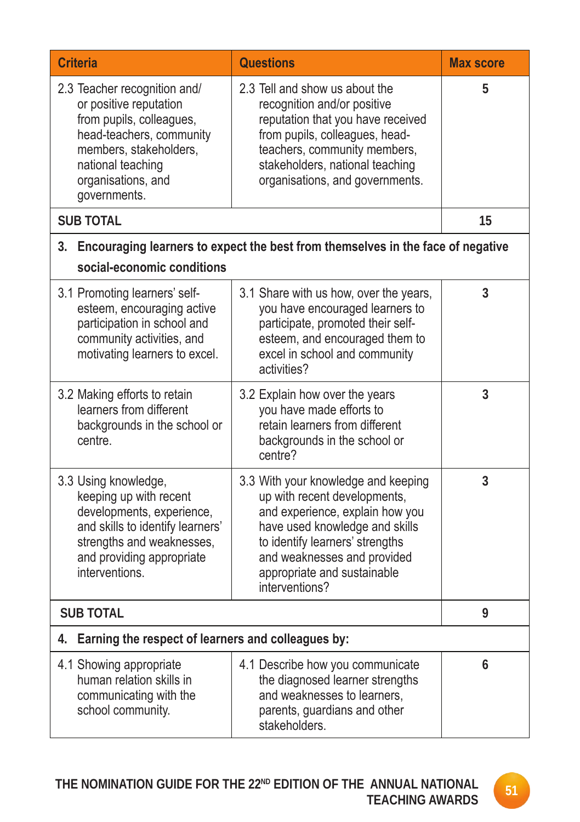| <b>Criteria</b>                                                                                                                                                                                     | <b>Questions</b>                                                                                                                                                                                                                                            | <b>Max score</b> |
|-----------------------------------------------------------------------------------------------------------------------------------------------------------------------------------------------------|-------------------------------------------------------------------------------------------------------------------------------------------------------------------------------------------------------------------------------------------------------------|------------------|
| 2.3 Teacher recognition and/<br>or positive reputation<br>from pupils, colleagues,<br>head-teachers, community<br>members, stakeholders,<br>national teaching<br>organisations, and<br>governments. | 2.3 Tell and show us about the<br>recognition and/or positive<br>reputation that you have received<br>from pupils, colleagues, head-<br>teachers, community members,<br>stakeholders, national teaching<br>organisations, and governments.                  | 5                |
| <b>SUB TOTAL</b>                                                                                                                                                                                    |                                                                                                                                                                                                                                                             | 15               |
| social-economic conditions                                                                                                                                                                          | 3. Encouraging learners to expect the best from themselves in the face of negative                                                                                                                                                                          |                  |
| 3.1 Promoting learners' self-<br>esteem, encouraging active<br>participation in school and<br>community activities, and<br>motivating learners to excel.                                            | 3.1 Share with us how, over the years,<br>you have encouraged learners to<br>participate, promoted their self-<br>esteem, and encouraged them to<br>excel in school and community<br>activities?                                                            | 3                |
| 3.2 Making efforts to retain<br>learners from different<br>backgrounds in the school or<br>centre.                                                                                                  | 3.2 Explain how over the years<br>you have made efforts to<br>retain learners from different<br>backgrounds in the school or<br>centre?                                                                                                                     | 3                |
| 3.3 Using knowledge,<br>keeping up with recent<br>developments, experience,<br>and skills to identify learners'<br>strengths and weaknesses,<br>and providing appropriate<br>interventions.         | 3.3 With your knowledge and keeping<br>up with recent developments,<br>and experience, explain how you<br>have used knowledge and skills<br>to identify learners' strengths<br>and weaknesses and provided<br>appropriate and sustainable<br>interventions? | 3                |
| <b>SUB TOTAL</b>                                                                                                                                                                                    |                                                                                                                                                                                                                                                             | 9                |
| Earning the respect of learners and colleagues by:<br>4.                                                                                                                                            |                                                                                                                                                                                                                                                             |                  |
| 4.1 Showing appropriate<br>human relation skills in<br>communicating with the<br>school community.                                                                                                  | 4.1 Describe how you communicate<br>the diagnosed learner strengths<br>and weaknesses to learners,<br>parents, guardians and other<br>stakeholders.                                                                                                         | 6                |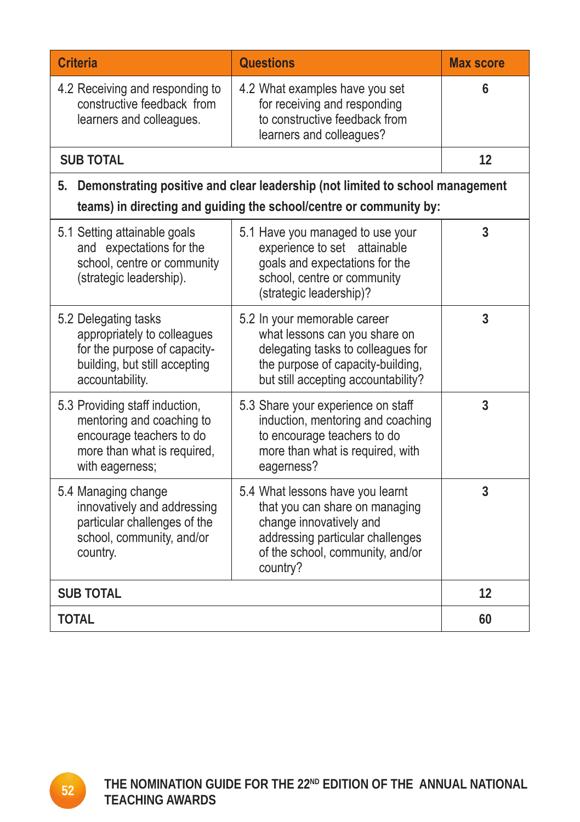| <b>Criteria</b>                                                                                                                           | <b>Questions</b>                                                                                                                                                                  | <b>Max score</b> |
|-------------------------------------------------------------------------------------------------------------------------------------------|-----------------------------------------------------------------------------------------------------------------------------------------------------------------------------------|------------------|
| 4.2 Receiving and responding to<br>constructive feedback from<br>learners and colleagues.                                                 | 4.2 What examples have you set<br>for receiving and responding<br>to constructive feedback from<br>learners and colleagues?                                                       | 6                |
| SUB TOTAL                                                                                                                                 |                                                                                                                                                                                   | 12               |
| 5.                                                                                                                                        | Demonstrating positive and clear leadership (not limited to school management                                                                                                     |                  |
|                                                                                                                                           | teams) in directing and guiding the school/centre or community by:                                                                                                                |                  |
| 5.1 Setting attainable goals<br>and expectations for the<br>school, centre or community<br>(strategic leadership).                        | 5.1 Have you managed to use your<br>experience to set attainable<br>goals and expectations for the<br>school, centre or community<br>(strategic leadership)?                      | 3                |
| 5.2 Delegating tasks<br>appropriately to colleagues<br>for the purpose of capacity-<br>building, but still accepting<br>accountability.   | 5.2 In your memorable career<br>what lessons can you share on<br>delegating tasks to colleagues for<br>the purpose of capacity-building,<br>but still accepting accountability?   | 3                |
| 5.3 Providing staff induction,<br>mentoring and coaching to<br>encourage teachers to do<br>more than what is required,<br>with eagerness; | 5.3 Share your experience on staff<br>induction, mentoring and coaching<br>to encourage teachers to do<br>more than what is required, with<br>eagerness?                          | 3                |
| 5.4 Managing change<br>innovatively and addressing<br>particular challenges of the<br>school, community, and/or<br>country.               | 5.4 What lessons have you learnt<br>that you can share on managing<br>change innovatively and<br>addressing particular challenges<br>of the school, community, and/or<br>country? | 3                |
| <b>SUB TOTAL</b>                                                                                                                          |                                                                                                                                                                                   | 12               |
| <b>TOTAL</b>                                                                                                                              |                                                                                                                                                                                   | 60               |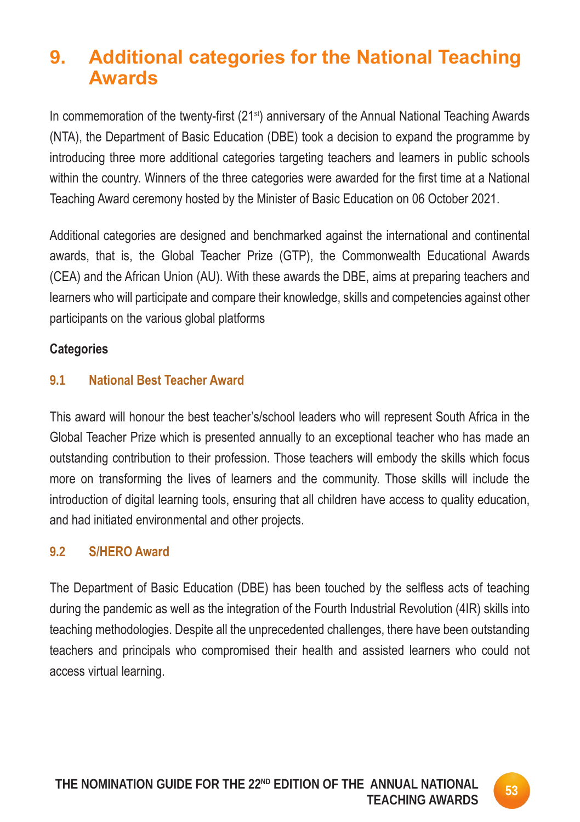## **9. Additional categories for the National Teaching Awards**

In commemoration of the twenty-first (21<sup>st</sup>) anniversary of the Annual National Teaching Awards (NTA), the Department of Basic Education (DBE) took a decision to expand the programme by introducing three more additional categories targeting teachers and learners in public schools within the country. Winners of the three categories were awarded for the first time at a National Teaching Award ceremony hosted by the Minister of Basic Education on 06 October 2021.

Additional categories are designed and benchmarked against the international and continental awards, that is, the Global Teacher Prize (GTP), the Commonwealth Educational Awards (CEA) and the African Union (AU). With these awards the DBE, aims at preparing teachers and learners who will participate and compare their knowledge, skills and competencies against other participants on the various global platforms

#### **Categories**

#### **9.1 National Best Teacher Award**

This award will honour the best teacher's/school leaders who will represent South Africa in the Global Teacher Prize which is presented annually to an exceptional teacher who has made an outstanding contribution to their profession. Those teachers will embody the skills which focus more on transforming the lives of learners and the community. Those skills will include the introduction of digital learning tools, ensuring that all children have access to quality education, and had initiated environmental and other projects.

#### **9.2 S/HERO Award**

The Department of Basic Education (DBE) has been touched by the selfless acts of teaching during the pandemic as well as the integration of the Fourth Industrial Revolution (4IR) skills into teaching methodologies. Despite all the unprecedented challenges, there have been outstanding teachers and principals who compromised their health and assisted learners who could not access virtual learning.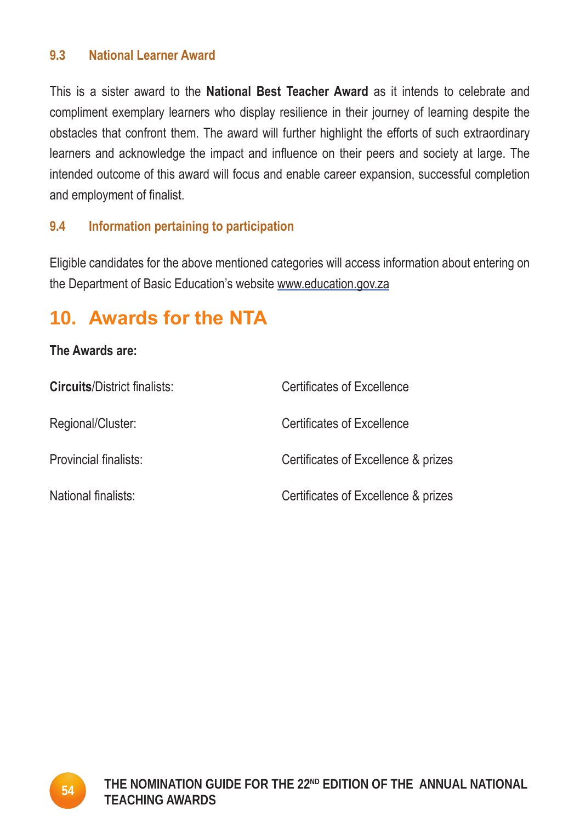#### **9.3 National Learner Award**

This is a sister award to the **National Best Teacher Award** as it intends to celebrate and compliment exemplary learners who display resilience in their journey of learning despite the obstacles that confront them. The award will further highlight the efforts of such extraordinary learners and acknowledge the impact and influence on their peers and society at large. The intended outcome of this award will focus and enable career expansion, successful completion and employment of finalist.

#### **9.4 Information pertaining to participation**

Eligible candidates for the above mentioned categories will access information about entering on the Department of Basic Education's website www.education.gov.za

# **10. Awards for the NTA**

#### **The Awards are:**

| <b>Circuits/District finalists:</b> | Certificates of Excellence          |
|-------------------------------------|-------------------------------------|
| Regional/Cluster:                   | Certificates of Excellence          |
| Provincial finalists:               | Certificates of Excellence & prizes |
| National finalists:                 | Certificates of Excellence & prizes |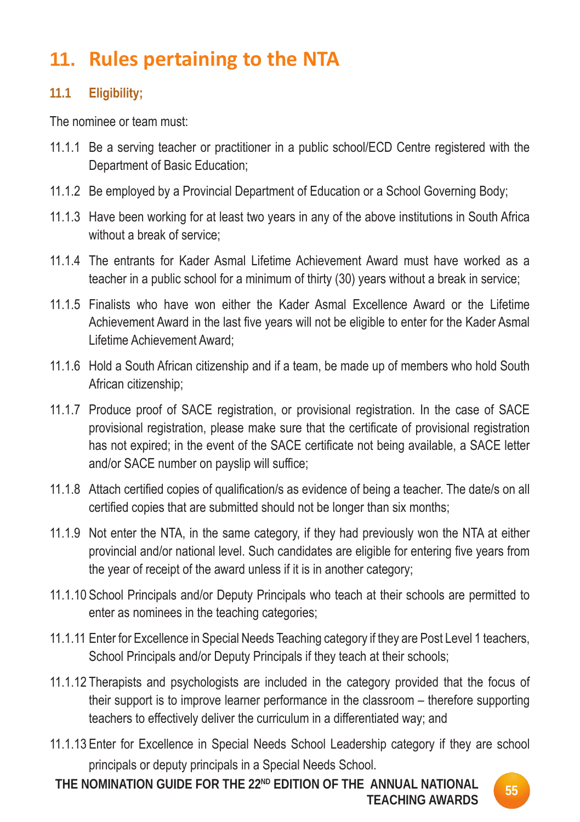# **11. Rules pertaining to the NTA**

### **11.1 Eligibility;**

The nominee or team must:

- 11.1.1 Be a serving teacher or practitioner in a public school/ECD Centre registered with the Department of Basic Education;
- 11.1.2 Be employed by a Provincial Department of Education or a School Governing Body;
- 11.1.3 Have been working for at least two years in any of the above institutions in South Africa without a break of service;
- 11.1.4 The entrants for Kader Asmal Lifetime Achievement Award must have worked as a teacher in a public school for a minimum of thirty (30) years without a break in service;
- 11.1.5 Finalists who have won either the Kader Asmal Excellence Award or the Lifetime Achievement Award in the last five years will not be eligible to enter for the Kader Asmal Lifetime Achievement Award;
- 11.1.6 Hold a South African citizenship and if a team, be made up of members who hold South African citizenship;
- 11.1.7 Produce proof of SACE registration, or provisional registration. In the case of SACE provisional registration, please make sure that the certificate of provisional registration has not expired; in the event of the SACE certificate not being available, a SACE letter and/or SACE number on payslip will suffice;
- 11.1.8 Attach certified copies of qualification/s as evidence of being a teacher. The date/s on all certified copies that are submitted should not be longer than six months;
- 11.1.9 Not enter the NTA, in the same category, if they had previously won the NTA at either provincial and/or national level. Such candidates are eligible for entering five years from the year of receipt of the award unless if it is in another category;
- 11.1.10 School Principals and/or Deputy Principals who teach at their schools are permitted to enter as nominees in the teaching categories;
- 11.1.11 Enter for Excellence in Special Needs Teaching category if they are Post Level 1 teachers, School Principals and/or Deputy Principals if they teach at their schools;
- 11.1.12 Therapists and psychologists are included in the category provided that the focus of their support is to improve learner performance in the classroom – therefore supporting teachers to effectively deliver the curriculum in a differentiated way; and
- 11.1.13 Enter for Excellence in Special Needs School Leadership category if they are school principals or deputy principals in a Special Needs School.
- **THE NOMINATION GUIDE FOR THE 22ND EDITION OF THE ANNUAL NATIONAL TEACHING AWARDS**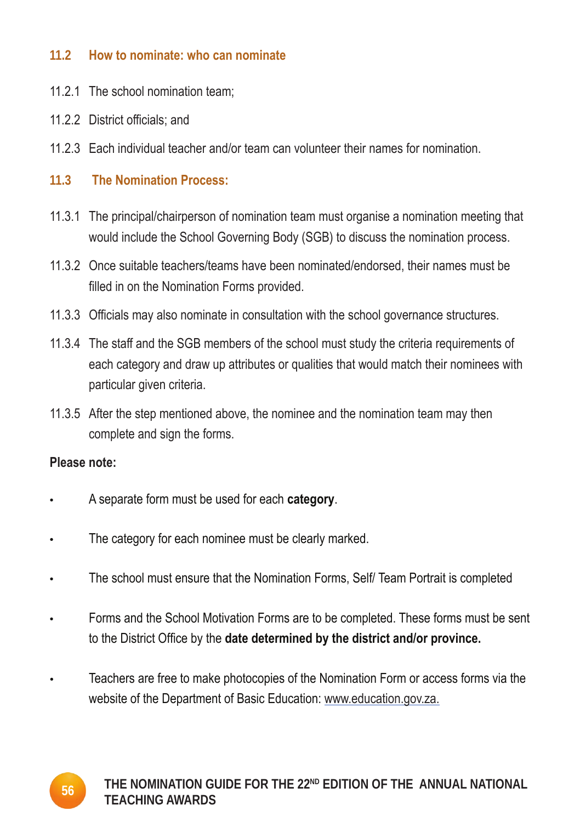#### **11.2 How to nominate: who can nominate**

- 11.2.1 The school nomination team;
- 11.2.2 District officials; and
- 11.2.3 Each individual teacher and/or team can volunteer their names for nomination.

#### **11.3 The Nomination Process:**

- 11.3.1 The principal/chairperson of nomination team must organise a nomination meeting that would include the School Governing Body (SGB) to discuss the nomination process.
- 11.3.2 Once suitable teachers/teams have been nominated/endorsed, their names must be filled in on the Nomination Forms provided.
- 11.3.3 Officials may also nominate in consultation with the school governance structures.
- 11.3.4 The staff and the SGB members of the school must study the criteria requirements of each category and draw up attributes or qualities that would match their nominees with particular given criteria.
- 11.3.5 After the step mentioned above, the nominee and the nomination team may then complete and sign the forms.

#### **Please note:**

- A separate form must be used for each **category**.
- The category for each nominee must be clearly marked.
- The school must ensure that the Nomination Forms, Self/ Team Portrait is completed
- Forms and the School Motivation Forms are to be completed. These forms must be sent to the District Office by the **date determined by the district and/or province.**
- Teachers are free to make photocopies of the Nomination Form or access forms via the website of the Department of Basic Education: www.education.gov.za.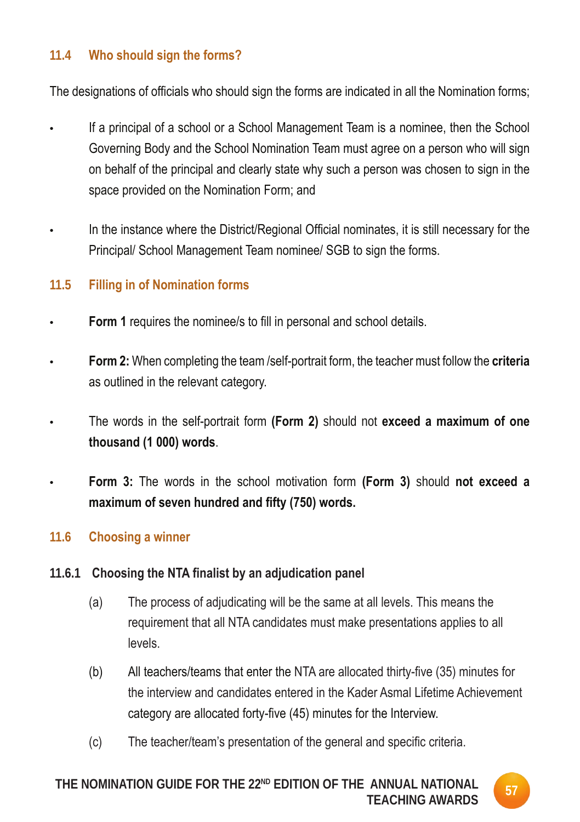#### **11.4 Who should sign the forms?**

The designations of officials who should sign the forms are indicated in all the Nomination forms;

- If a principal of a school or a School Management Team is a nominee, then the School Governing Body and the School Nomination Team must agree on a person who will sign on behalf of the principal and clearly state why such a person was chosen to sign in the space provided on the Nomination Form; and
- In the instance where the District/Regional Official nominates, it is still necessary for the Principal/ School Management Team nominee/ SGB to sign the forms.

#### **11.5 Filling in of Nomination forms**

- **Form 1** requires the nominee/s to fill in personal and school details.
- **Form 2:** When completing the team /self-portrait form, the teacher must follow the **criteria** as outlined in the relevant category.
- The words in the self-portrait form **(Form 2)** should not **exceed a maximum of one thousand (1 000) words**.
- **Form 3:** The words in the school motivation form **(Form 3)** should **not exceed a maximum of seven hundred and fifty (750) words.**

#### **11.6 Choosing a winner**

#### **11.6.1 Choosing the NTA finalist by an adjudication panel**

- (a) The process of adjudicating will be the same at all levels. This means the requirement that all NTA candidates must make presentations applies to all levels.
- (b) All teachers/teams that enter the NTA are allocated thirty-five (35) minutes for the interview and candidates entered in the Kader Asmal Lifetime Achievement category are allocated forty-five (45) minutes for the Interview.
- (c) The teacher/team's presentation of the general and specific criteria.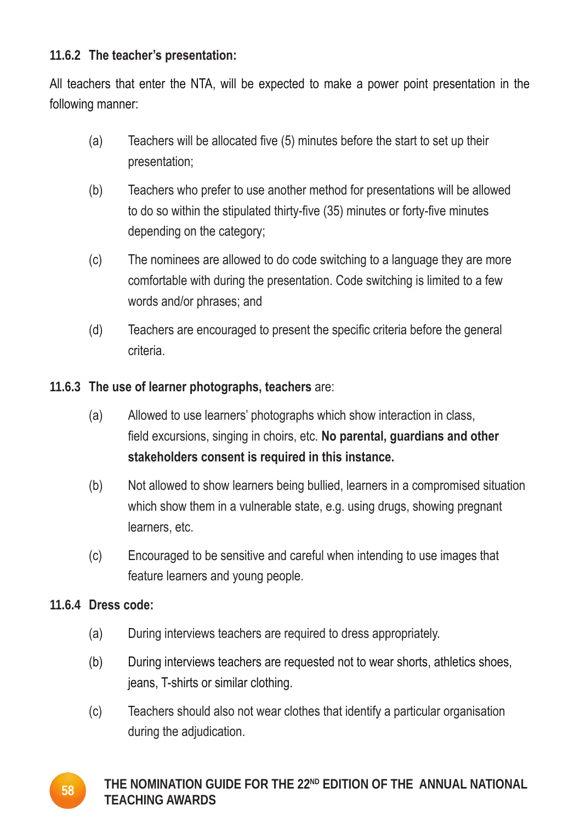#### **11.6.2 The teacher's presentation:**

All teachers that enter the NTA, will be expected to make a power point presentation in the following manner:

- (a) Teachers will be allocated five (5) minutes before the start to set up their presentation;
- (b) Teachers who prefer to use another method for presentations will be allowed to do so within the stipulated thirty-five (35) minutes or forty-five minutes depending on the category;
- (c) The nominees are allowed to do code switching to a language they are more comfortable with during the presentation. Code switching is limited to a few words and/or phrases; and
- (d) Teachers are encouraged to present the specific criteria before the general criteria.
- **11.6.3 The use of learner photographs, teachers** are:
	- (a) Allowed to use learners' photographs which show interaction in class, field excursions, singing in choirs, etc. **No parental, guardians and other stakeholders consent is required in this instance.**
	- (b) Not allowed to show learners being bullied, learners in a compromised situation which show them in a vulnerable state, e.g. using drugs, showing pregnant learners, etc.
	- (c) Encouraged to be sensitive and careful when intending to use images that feature learners and young people.

#### **11.6.4 Dress code:**

- (a) During interviews teachers are required to dress appropriately.
- (b) During interviews teachers are requested not to wear shorts, athletics shoes, jeans, T-shirts or similar clothing.
- (c) Teachers should also not wear clothes that identify a particular organisation during the adjudication.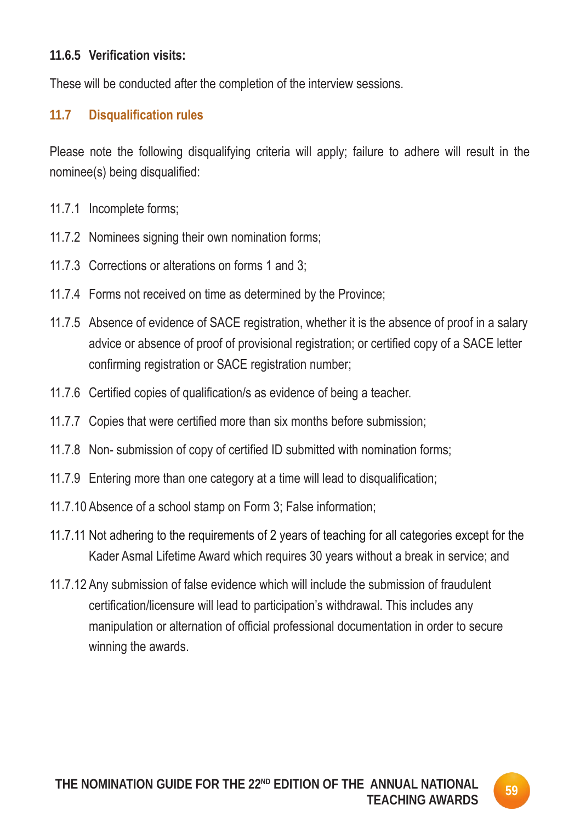#### **11.6.5 Verification visits:**

These will be conducted after the completion of the interview sessions.

#### **11.7 Disqualification rules**

Please note the following disqualifying criteria will apply; failure to adhere will result in the nominee(s) being disqualified:

- 11.7.1 Incomplete forms;
- 11.7.2 Nominees signing their own nomination forms;
- 11.7.3 Corrections or alterations on forms 1 and 3;
- 11.7.4 Forms not received on time as determined by the Province;
- 11.7.5 Absence of evidence of SACE registration, whether it is the absence of proof in a salary advice or absence of proof of provisional registration; or certified copy of a SACE letter confirming registration or SACE registration number;
- 11.7.6 Certified copies of qualification/s as evidence of being a teacher.
- 11.7.7 Copies that were certified more than six months before submission;
- 11.7.8 Non- submission of copy of certified ID submitted with nomination forms;
- 11.7.9 Entering more than one category at a time will lead to disqualification;
- 11.7.10 Absence of a school stamp on Form 3; False information;
- 11.7.11 Not adhering to the requirements of 2 years of teaching for all categories except for the Kader Asmal Lifetime Award which requires 30 years without a break in service; and
- 11.7.12 Any submission of false evidence which will include the submission of fraudulent certification/licensure will lead to participation's withdrawal. This includes any manipulation or alternation of official professional documentation in order to secure winning the awards.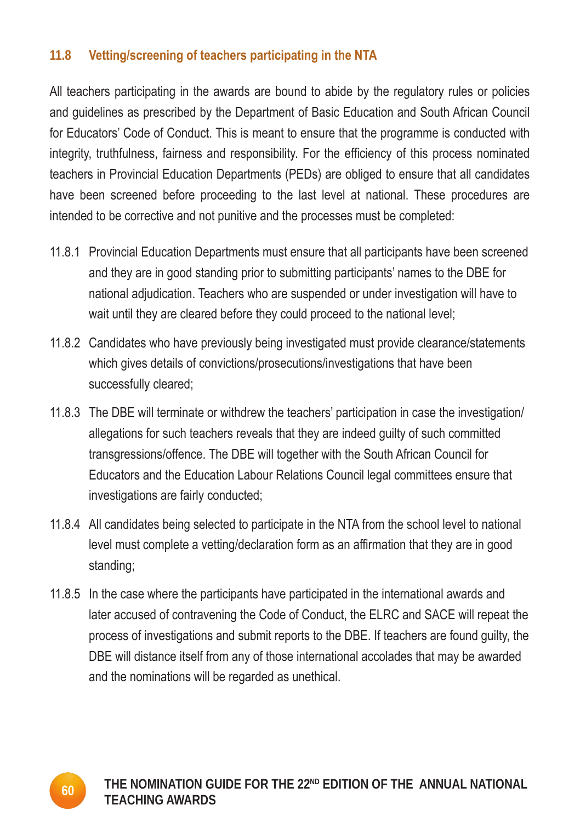#### **11.8 Vetting/screening of teachers participating in the NTA**

All teachers participating in the awards are bound to abide by the regulatory rules or policies and guidelines as prescribed by the Department of Basic Education and South African Council for Educators' Code of Conduct. This is meant to ensure that the programme is conducted with integrity, truthfulness, fairness and responsibility. For the efficiency of this process nominated teachers in Provincial Education Departments (PEDs) are obliged to ensure that all candidates have been screened before proceeding to the last level at national. These procedures are intended to be corrective and not punitive and the processes must be completed:

- 11.8.1 Provincial Education Departments must ensure that all participants have been screened and they are in good standing prior to submitting participants' names to the DBE for national adjudication. Teachers who are suspended or under investigation will have to wait until they are cleared before they could proceed to the national level;
- 11.8.2 Candidates who have previously being investigated must provide clearance/statements which gives details of convictions/prosecutions/investigations that have been successfully cleared;
- 11.8.3 The DBE will terminate or withdrew the teachers' participation in case the investigation/ allegations for such teachers reveals that they are indeed guilty of such committed transgressions/offence. The DBE will together with the South African Council for Educators and the Education Labour Relations Council legal committees ensure that investigations are fairly conducted;
- 11.8.4 All candidates being selected to participate in the NTA from the school level to national level must complete a vetting/declaration form as an affirmation that they are in good standing;
- 11.8.5 In the case where the participants have participated in the international awards and later accused of contravening the Code of Conduct, the ELRC and SACE will repeat the process of investigations and submit reports to the DBE. If teachers are found guilty, the DBE will distance itself from any of those international accolades that may be awarded and the nominations will be regarded as unethical.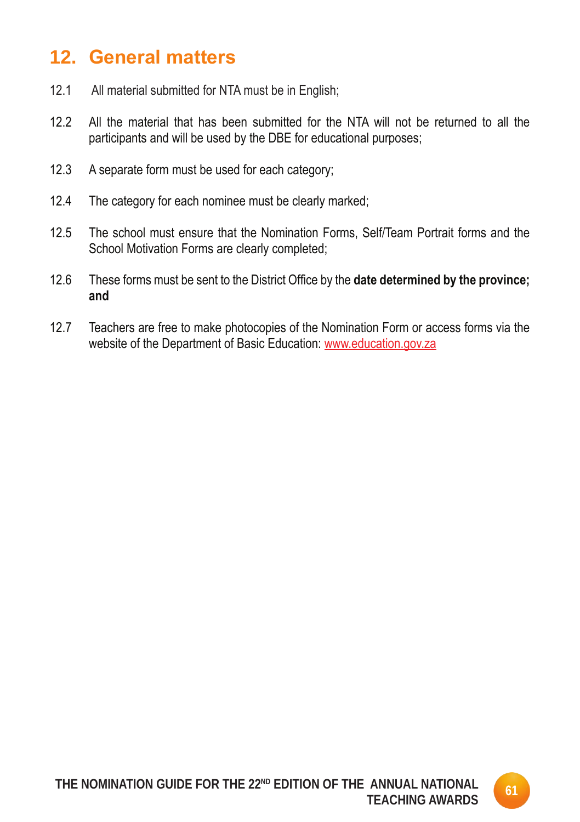# **12. General matters**

- 12.1 All material submitted for NTA must be in English;
- 12.2 All the material that has been submitted for the NTA will not be returned to all the participants and will be used by the DBE for educational purposes;
- 12.3 A separate form must be used for each category;
- 12.4 The category for each nominee must be clearly marked;
- 12.5 The school must ensure that the Nomination Forms, Self/Team Portrait forms and the School Motivation Forms are clearly completed;
- 12.6 These forms must be sent to the District Office by the **date determined by the province; and**
- 12.7 Teachers are free to make photocopies of the Nomination Form or access forms via the website of the Department of Basic Education: www.education.gov.za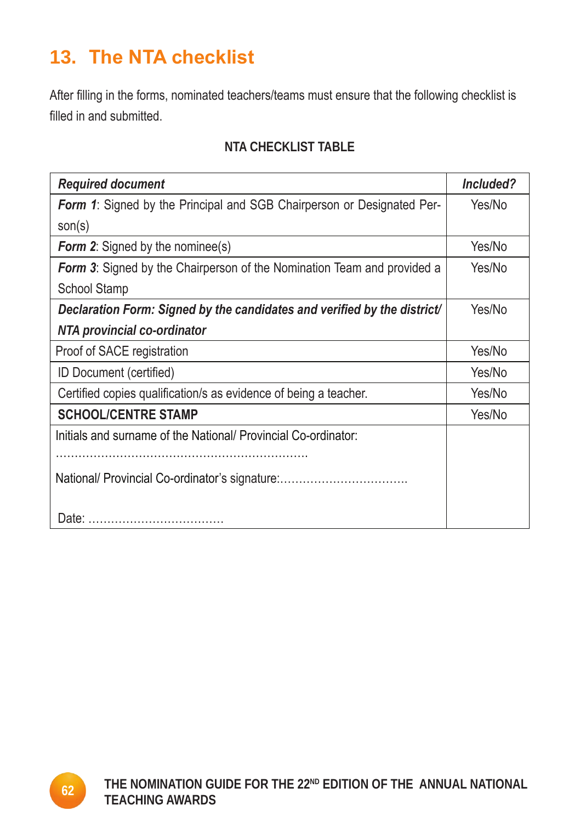# **13. The NTA checklist**

After filling in the forms, nominated teachers/teams must ensure that the following checklist is filled in and submitted.

### **NTA CHECKLIST TABLE**

| <b>Required document</b>                                                      | Included? |
|-------------------------------------------------------------------------------|-----------|
| <b>Form 1:</b> Signed by the Principal and SGB Chairperson or Designated Per- | Yes/No    |
| son(s)                                                                        |           |
| <b>Form 2:</b> Signed by the nominee(s)                                       | Yes/No    |
| Form 3: Signed by the Chairperson of the Nomination Team and provided a       | Yes/No    |
| School Stamp                                                                  |           |
| Declaration Form: Signed by the candidates and verified by the district/      | Yes/No    |
| NTA provincial co-ordinator                                                   |           |
| Proof of SACE registration                                                    | Yes/No    |
| ID Document (certified)                                                       | Yes/No    |
| Certified copies qualification/s as evidence of being a teacher.              | Yes/No    |
| <b>SCHOOL/CENTRE STAMP</b>                                                    | Yes/No    |
| Initials and surname of the National/ Provincial Co-ordinator:                |           |
|                                                                               |           |
| National/ Provincial Co-ordinator's signature:                                |           |
|                                                                               |           |
| Date:                                                                         |           |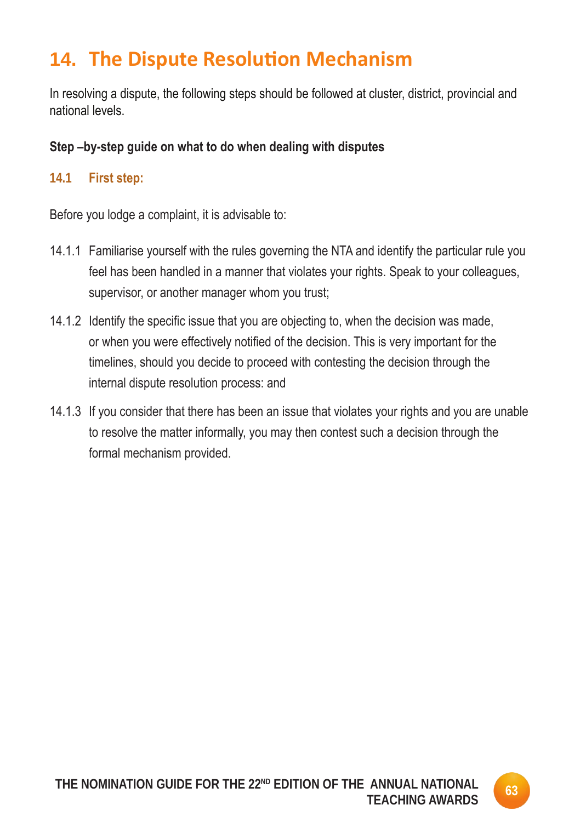# **14. The Dispute Resolution Mechanism**

In resolving a dispute, the following steps should be followed at cluster, district, provincial and national levels.

#### **Step –by-step guide on what to do when dealing with disputes**

#### **14.1 First step:**

Before you lodge a complaint, it is advisable to:

- 14.1.1 Familiarise yourself with the rules governing the NTA and identify the particular rule you feel has been handled in a manner that violates your rights. Speak to your colleagues, supervisor, or another manager whom you trust;
- 14.1.2 Identify the specific issue that you are objecting to, when the decision was made, or when you were effectively notified of the decision. This is very important for the timelines, should you decide to proceed with contesting the decision through the internal dispute resolution process: and
- 14.1.3 If you consider that there has been an issue that violates your rights and you are unable to resolve the matter informally, you may then contest such a decision through the formal mechanism provided.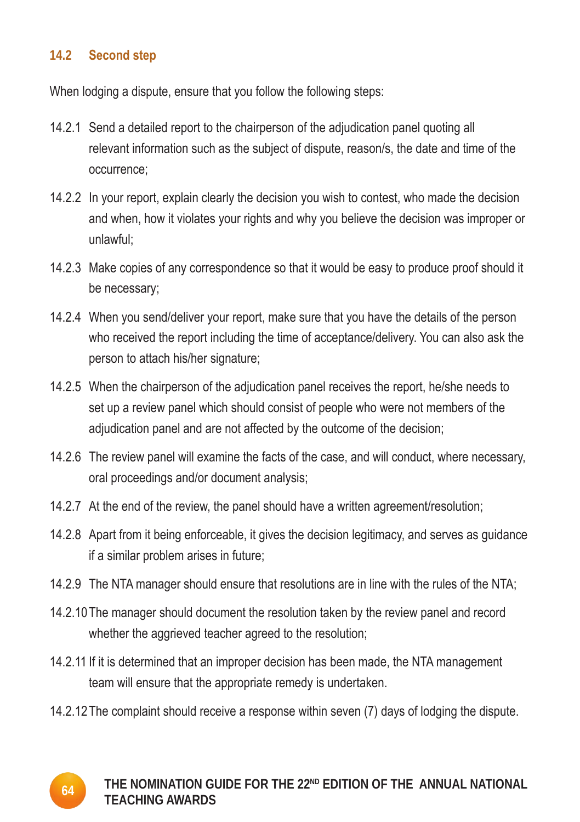#### **14.2 Second step**

When lodging a dispute, ensure that you follow the following steps:

- 14.2.1 Send a detailed report to the chairperson of the adjudication panel quoting all relevant information such as the subject of dispute, reason/s, the date and time of the occurrence;
- 14.2.2 In your report, explain clearly the decision you wish to contest, who made the decision and when, how it violates your rights and why you believe the decision was improper or unlawful;
- 14.2.3 Make copies of any correspondence so that it would be easy to produce proof should it be necessary;
- 14.2.4 When you send/deliver your report, make sure that you have the details of the person who received the report including the time of acceptance/delivery. You can also ask the person to attach his/her signature;
- 14.2.5 When the chairperson of the adjudication panel receives the report, he/she needs to set up a review panel which should consist of people who were not members of the adjudication panel and are not affected by the outcome of the decision;
- 14.2.6 The review panel will examine the facts of the case, and will conduct, where necessary, oral proceedings and/or document analysis;
- 14.2.7 At the end of the review, the panel should have a written agreement/resolution;
- 14.2.8 Apart from it being enforceable, it gives the decision legitimacy, and serves as guidance if a similar problem arises in future;
- 14.2.9 The NTA manager should ensure that resolutions are in line with the rules of the NTA;
- 14.2.10The manager should document the resolution taken by the review panel and record whether the aggrieved teacher agreed to the resolution;
- 14.2.11 If it is determined that an improper decision has been made, the NTA management team will ensure that the appropriate remedy is undertaken.
- 14.2.12The complaint should receive a response within seven (7) days of lodging the dispute.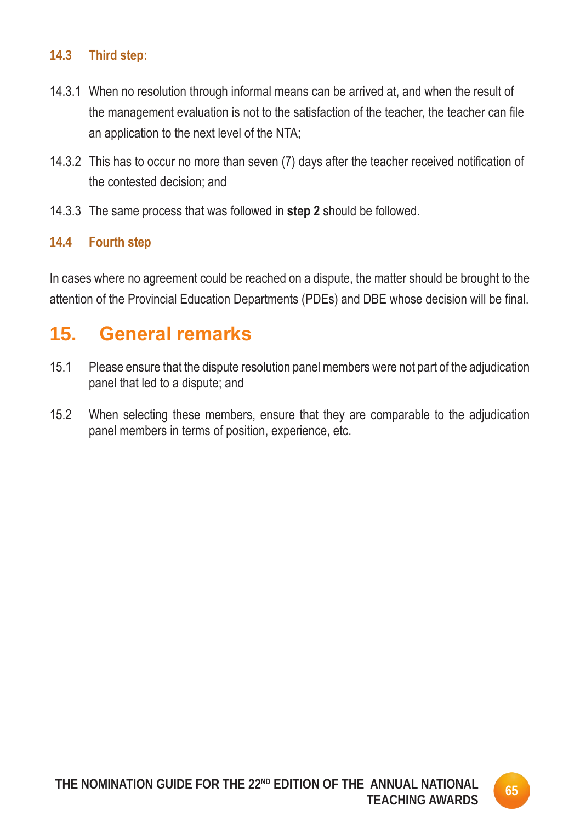#### **14.3 Third step:**

- 14.3.1 When no resolution through informal means can be arrived at, and when the result of the management evaluation is not to the satisfaction of the teacher, the teacher can file an application to the next level of the NTA;
- 14.3.2 This has to occur no more than seven (7) days after the teacher received notification of the contested decision; and
- 14.3.3 The same process that was followed in **step 2** should be followed.

#### **14.4 Fourth step**

In cases where no agreement could be reached on a dispute, the matter should be brought to the attention of the Provincial Education Departments (PDEs) and DBE whose decision will be final.

### **15. General remarks**

- 15.1 Please ensure that the dispute resolution panel members were not part of the adjudication panel that led to a dispute; and
- 15.2 When selecting these members, ensure that they are comparable to the adjudication panel members in terms of position, experience, etc.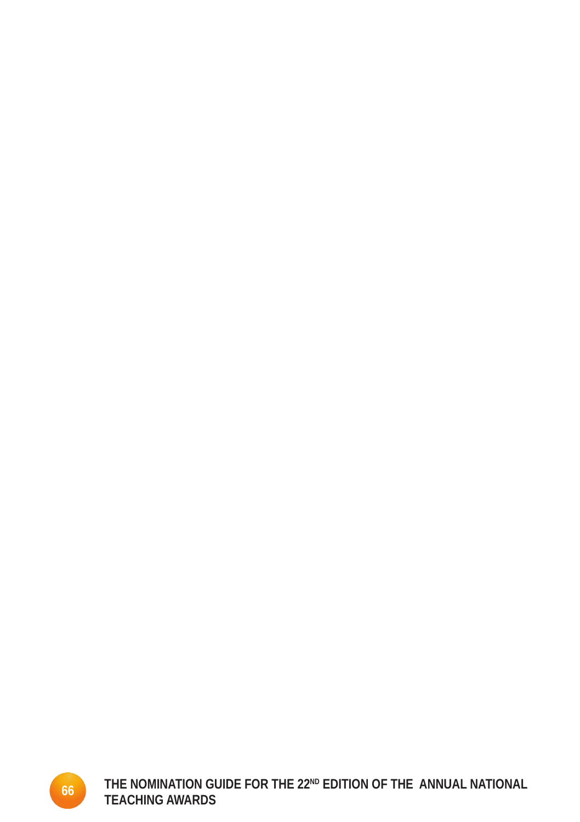THE NOMINATION GUIDE FOR THE 22<sup>ND</sup> EDITION OF THE ANNUAL NATIONAL **EXAMPLE AT THE NOMINATION GUNDER**<br>TEACHING AWARDS